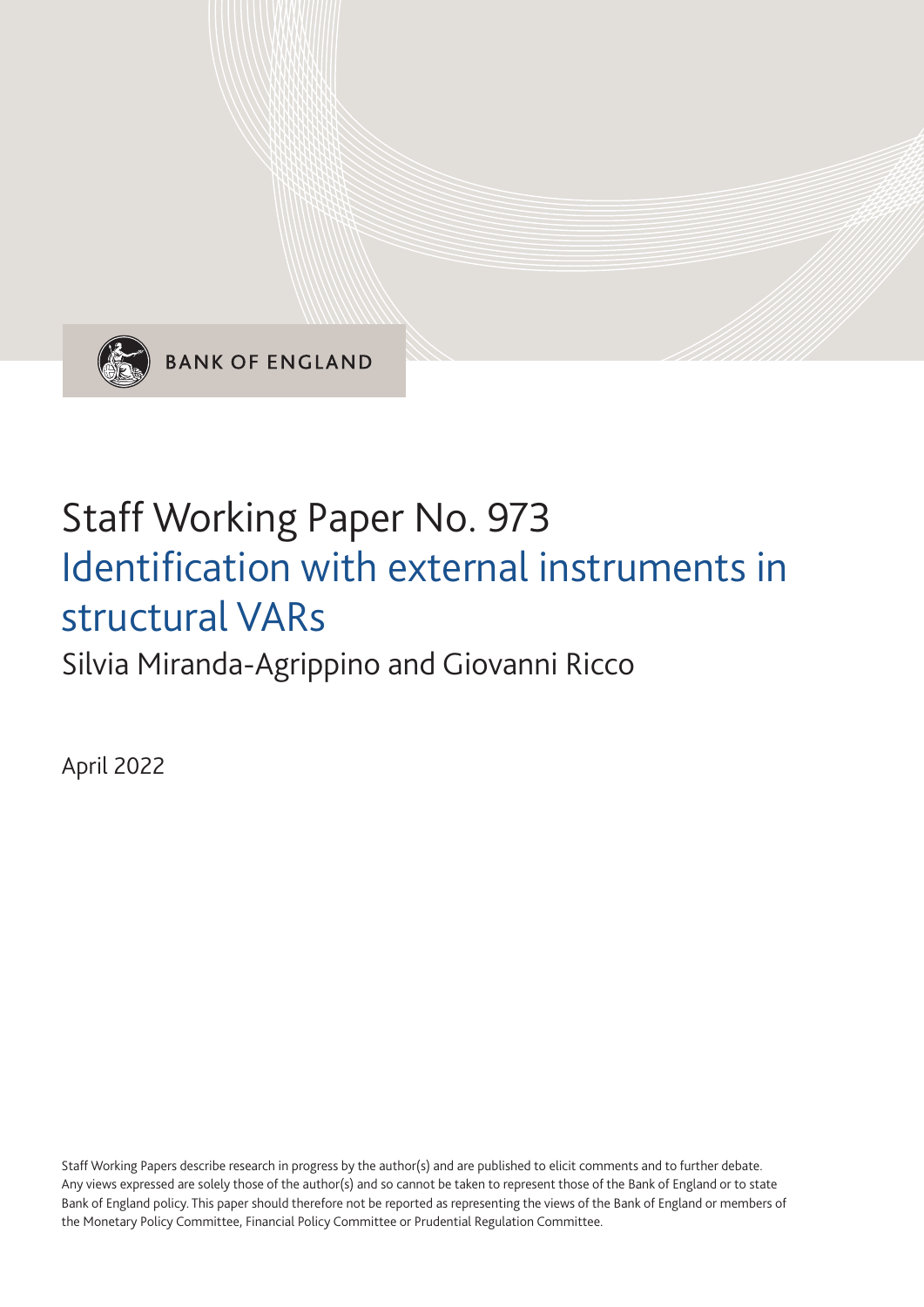

**BANK OF ENGLAND** 

# Staff Working Paper No. 973 Identification with external instruments in structural VARs

Silvia Miranda-Agrippino and Giovanni Ricco

April 2022

Staff Working Papers describe research in progress by the author(s) and are published to elicit comments and to further debate. Any views expressed are solely those of the author(s) and so cannot be taken to represent those of the Bank of England or to state Bank of England policy. This paper should therefore not be reported as representing the views of the Bank of England or members of the Monetary Policy Committee, Financial Policy Committee or Prudential Regulation Committee.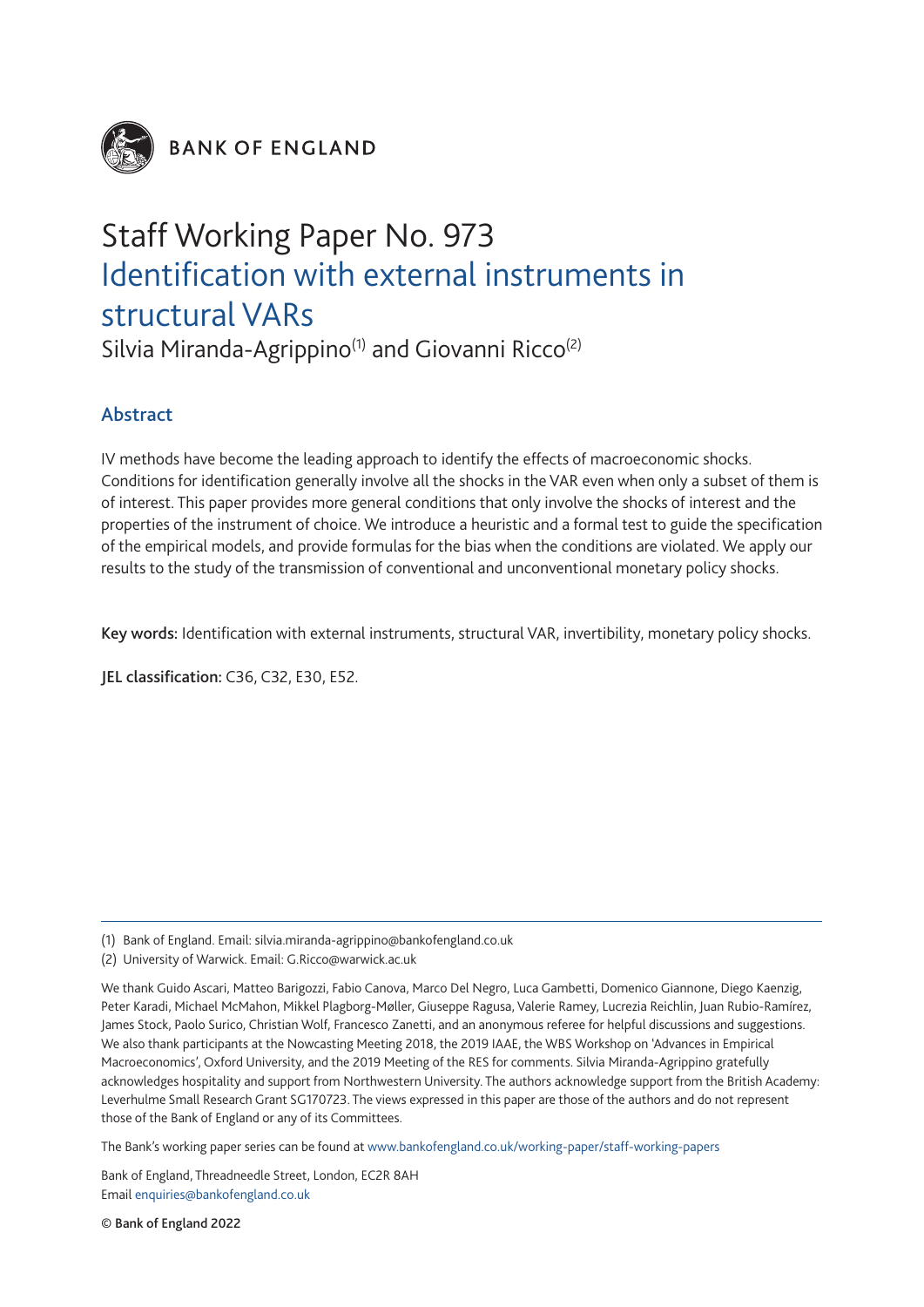

**BANK OF ENGLAND** 

# Staff Working Paper No. 973 Identification with external instruments in structural VARs

Silvia Miranda-Agrippino<sup>(1)</sup> and Giovanni Ricco<sup>(2)</sup>

## Abstract

IV methods have become the leading approach to identify the effects of macroeconomic shocks. Conditions for identification generally involve all the shocks in the VAR even when only a subset of them is of interest. This paper provides more general conditions that only involve the shocks of interest and the properties of the instrument of choice. We introduce a heuristic and a formal test to guide the specification of the empirical models, and provide formulas for the bias when the conditions are violated. We apply our results to the study of the transmission of conventional and unconventional monetary policy shocks.

Key words: Identification with external instruments, structural VAR, invertibility, monetary policy shocks.

JEL classification: C36, C32, E30, E52.

The Bank's working paper series can be found at www.bankofengland.co.uk/working-paper/staff-working-papers

Bank of England, Threadneedle Street, London, EC2R 8AH Email enquiries@bankofengland.co.uk

© Bank of England 2022

<sup>(1)</sup> Bank of England. Email: [silvia.miranda-agrippino@bankofengland.co.uk](mailto:silvia.miranda-agrippino%40bankofengland.co.uk?subject=)

<sup>(2)</sup> University of Warwick. Email: [G.Ricco@warwick.ac.uk](mailto:G.Ricco%40warwick.ac.uk?subject=)

We thank Guido Ascari, Matteo Barigozzi, Fabio Canova, Marco Del Negro, Luca Gambetti, Domenico Giannone, Diego Kaenzig, Peter Karadi, Michael McMahon, Mikkel Plagborg-Møller, Giuseppe Ragusa, Valerie Ramey, Lucrezia Reichlin, Juan Rubio-Ramírez, James Stock, Paolo Surico, Christian Wolf, Francesco Zanetti, and an anonymous referee for helpful discussions and suggestions. We also thank participants at the Nowcasting Meeting 2018, the 2019 IAAE, the WBS Workshop on 'Advances in Empirical Macroeconomics', Oxford University, and the 2019 Meeting of the RES for comments. Silvia Miranda-Agrippino gratefully acknowledges hospitality and support from Northwestern University. The authors acknowledge support from the British Academy: Leverhulme Small Research Grant SG170723. The views expressed in this paper are those of the authors and do not represent those of the Bank of England or any of its Committees.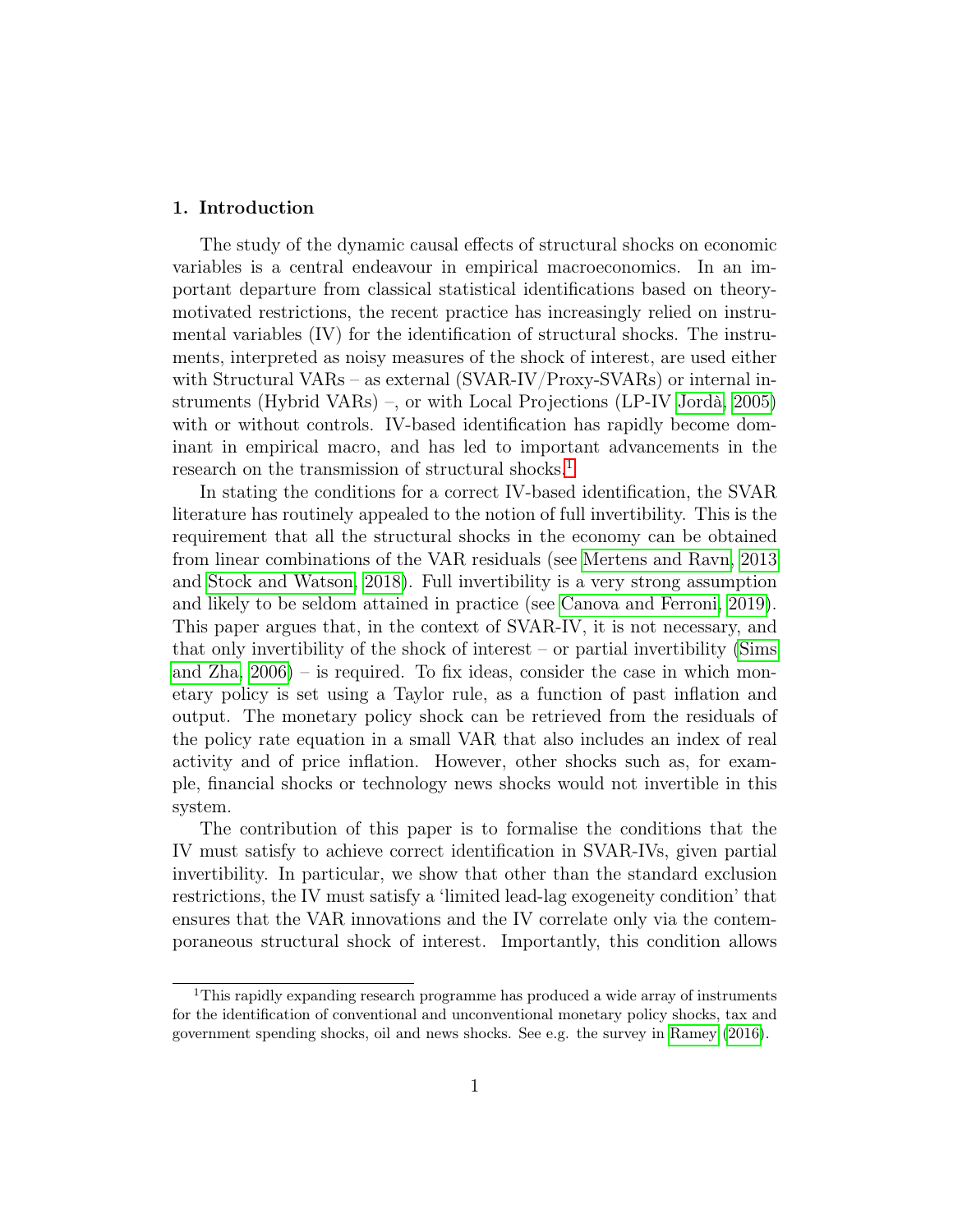#### 1. Introduction

The study of the dynamic causal effects of structural shocks on economic variables is a central endeavour in empirical macroeconomics. In an important departure from classical statistical identifications based on theorymotivated restrictions, the recent practice has increasingly relied on instrumental variables (IV) for the identification of structural shocks. The instruments, interpreted as noisy measures of the shock of interest, are used either with Structural VARs – as external (SVAR-IV/Proxy-SVARs) or internal instruments (Hybrid VARs) –, or with Local Projections (LP-IV [Jordà, 2005\)](#page-31-0) with or without controls. IV-based identification has rapidly become dominant in empirical macro, and has led to important advancements in the research on the transmission of structural shocks.<sup>[1](#page--1-0)</sup>

In stating the conditions for a correct IV-based identification, the SVAR literature has routinely appealed to the notion of full invertibility. This is the requirement that all the structural shocks in the economy can be obtained from linear combinations of the VAR residuals (see [Mertens and Ravn, 2013](#page-32-0) and [Stock and Watson, 2018\)](#page-33-0). Full invertibility is a very strong assumption and likely to be seldom attained in practice (see [Canova and Ferroni, 2019\)](#page-30-0). This paper argues that, in the context of SVAR-IV, it is not necessary, and that only invertibility of the shock of interest – or partial invertibility [\(Sims](#page-33-1) and  $Z$ ha,  $2006$ ) – is required. To fix ideas, consider the case in which monetary policy is set using a Taylor rule, as a function of past inflation and output. The monetary policy shock can be retrieved from the residuals of the policy rate equation in a small VAR that also includes an index of real activity and of price inflation. However, other shocks such as, for example, financial shocks or technology news shocks would not invertible in this system.

The contribution of this paper is to formalise the conditions that the IV must satisfy to achieve correct identification in SVAR-IVs, given partial invertibility. In particular, we show that other than the standard exclusion restrictions, the IV must satisfy a 'limited lead-lag exogeneity condition' that ensures that the VAR innovations and the IV correlate only via the contemporaneous structural shock of interest. Importantly, this condition allows

<sup>1</sup>This rapidly expanding research programme has produced a wide array of instruments for the identification of conventional and unconventional monetary policy shocks, tax and government spending shocks, oil and news shocks. See e.g. the survey in [Ramey](#page-33-2) [\(2016\)](#page-33-2).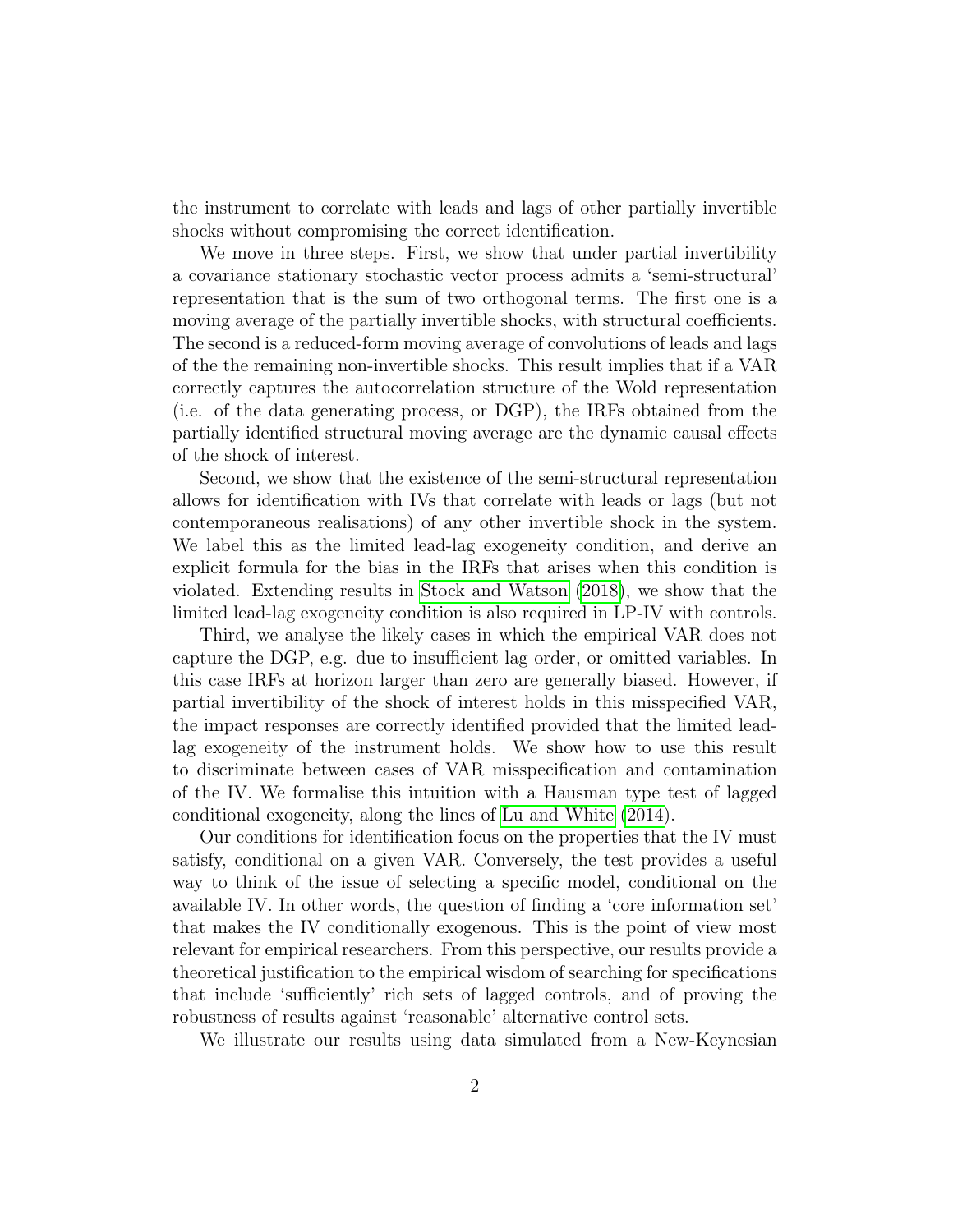the instrument to correlate with leads and lags of other partially invertible shocks without compromising the correct identification.

We move in three steps. First, we show that under partial invertibility a covariance stationary stochastic vector process admits a 'semi-structural' representation that is the sum of two orthogonal terms. The first one is a moving average of the partially invertible shocks, with structural coefficients. The second is a reduced-form moving average of convolutions of leads and lags of the the remaining non-invertible shocks. This result implies that if a VAR correctly captures the autocorrelation structure of the Wold representation (i.e. of the data generating process, or DGP), the IRFs obtained from the partially identified structural moving average are the dynamic causal effects of the shock of interest.

Second, we show that the existence of the semi-structural representation allows for identification with IVs that correlate with leads or lags (but not contemporaneous realisations) of any other invertible shock in the system. We label this as the limited lead-lag exogeneity condition, and derive an explicit formula for the bias in the IRFs that arises when this condition is violated. Extending results in [Stock and Watson](#page-33-0) [\(2018\)](#page-33-0), we show that the limited lead-lag exogeneity condition is also required in LP-IV with controls.

Third, we analyse the likely cases in which the empirical VAR does not capture the DGP, e.g. due to insufficient lag order, or omitted variables. In this case IRFs at horizon larger than zero are generally biased. However, if partial invertibility of the shock of interest holds in this misspecified VAR, the impact responses are correctly identified provided that the limited leadlag exogeneity of the instrument holds. We show how to use this result to discriminate between cases of VAR misspecification and contamination of the IV. We formalise this intuition with a Hausman type test of lagged conditional exogeneity, along the lines of [Lu and White](#page-32-1) [\(2014\)](#page-32-1).

Our conditions for identification focus on the properties that the IV must satisfy, conditional on a given VAR. Conversely, the test provides a useful way to think of the issue of selecting a specific model, conditional on the available IV. In other words, the question of finding a 'core information set' that makes the IV conditionally exogenous. This is the point of view most relevant for empirical researchers. From this perspective, our results provide a theoretical justification to the empirical wisdom of searching for specifications that include 'sufficiently' rich sets of lagged controls, and of proving the robustness of results against 'reasonable' alternative control sets.

We illustrate our results using data simulated from a New-Keynesian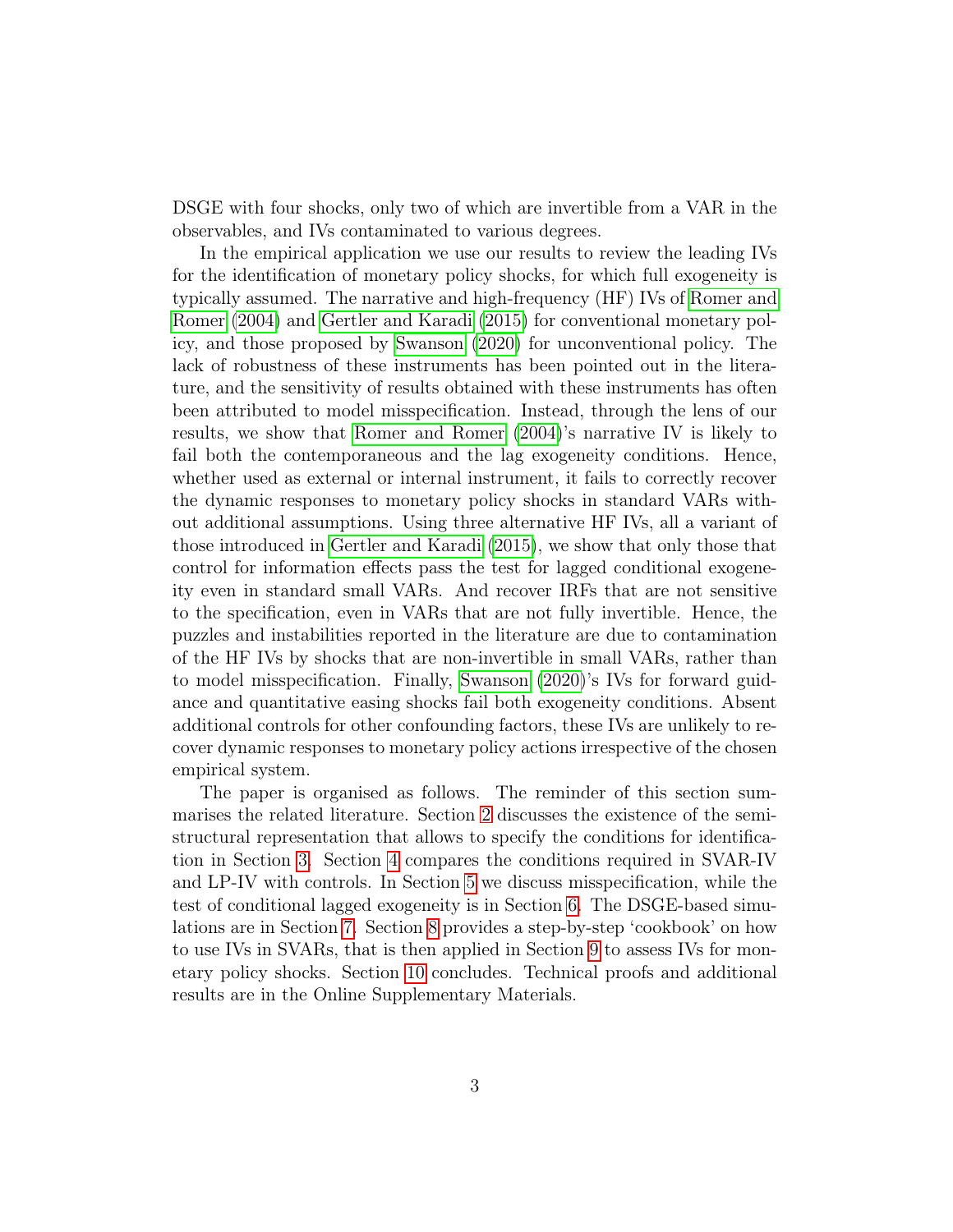DSGE with four shocks, only two of which are invertible from a VAR in the observables, and IVs contaminated to various degrees.

In the empirical application we use our results to review the leading IVs for the identification of monetary policy shocks, for which full exogeneity is typically assumed. The narrative and high-frequency (HF) IVs of [Romer and](#page-33-3) [Romer](#page-33-3) [\(2004\)](#page-33-3) and [Gertler and Karadi](#page-31-1) [\(2015\)](#page-31-1) for conventional monetary policy, and those proposed by [Swanson](#page-33-4) [\(2020\)](#page-33-4) for unconventional policy. The lack of robustness of these instruments has been pointed out in the literature, and the sensitivity of results obtained with these instruments has often been attributed to model misspecification. Instead, through the lens of our results, we show that [Romer and Romer](#page-33-3) [\(2004\)](#page-33-3)'s narrative IV is likely to fail both the contemporaneous and the lag exogeneity conditions. Hence, whether used as external or internal instrument, it fails to correctly recover the dynamic responses to monetary policy shocks in standard VARs without additional assumptions. Using three alternative HF IVs, all a variant of those introduced in [Gertler and Karadi](#page-31-1) [\(2015\)](#page-31-1), we show that only those that control for information effects pass the test for lagged conditional exogeneity even in standard small VARs. And recover IRFs that are not sensitive to the specification, even in VARs that are not fully invertible. Hence, the puzzles and instabilities reported in the literature are due to contamination of the HF IVs by shocks that are non-invertible in small VARs, rather than to model misspecification. Finally, [Swanson](#page-33-4) [\(2020\)](#page-33-4)'s IVs for forward guidance and quantitative easing shocks fail both exogeneity conditions. Absent additional controls for other confounding factors, these IVs are unlikely to recover dynamic responses to monetary policy actions irrespective of the chosen empirical system.

The paper is organised as follows. The reminder of this section summarises the related literature. Section [2](#page-6-0) discusses the existence of the semistructural representation that allows to specify the conditions for identification in Section [3.](#page-9-0) Section [4](#page-11-0) compares the conditions required in SVAR-IV and LP-IV with controls. In Section [5](#page-14-0) we discuss misspecification, while the test of conditional lagged exogeneity is in Section [6.](#page-15-0) The DSGE-based simulations are in Section [7.](#page-18-0) Section [8](#page-21-0) provides a step-by-step 'cookbook' on how to use IVs in SVARs, that is then applied in Section [9](#page-21-1) to assess IVs for monetary policy shocks. Section [10](#page-28-0) concludes. Technical proofs and additional results are in the Online Supplementary Materials.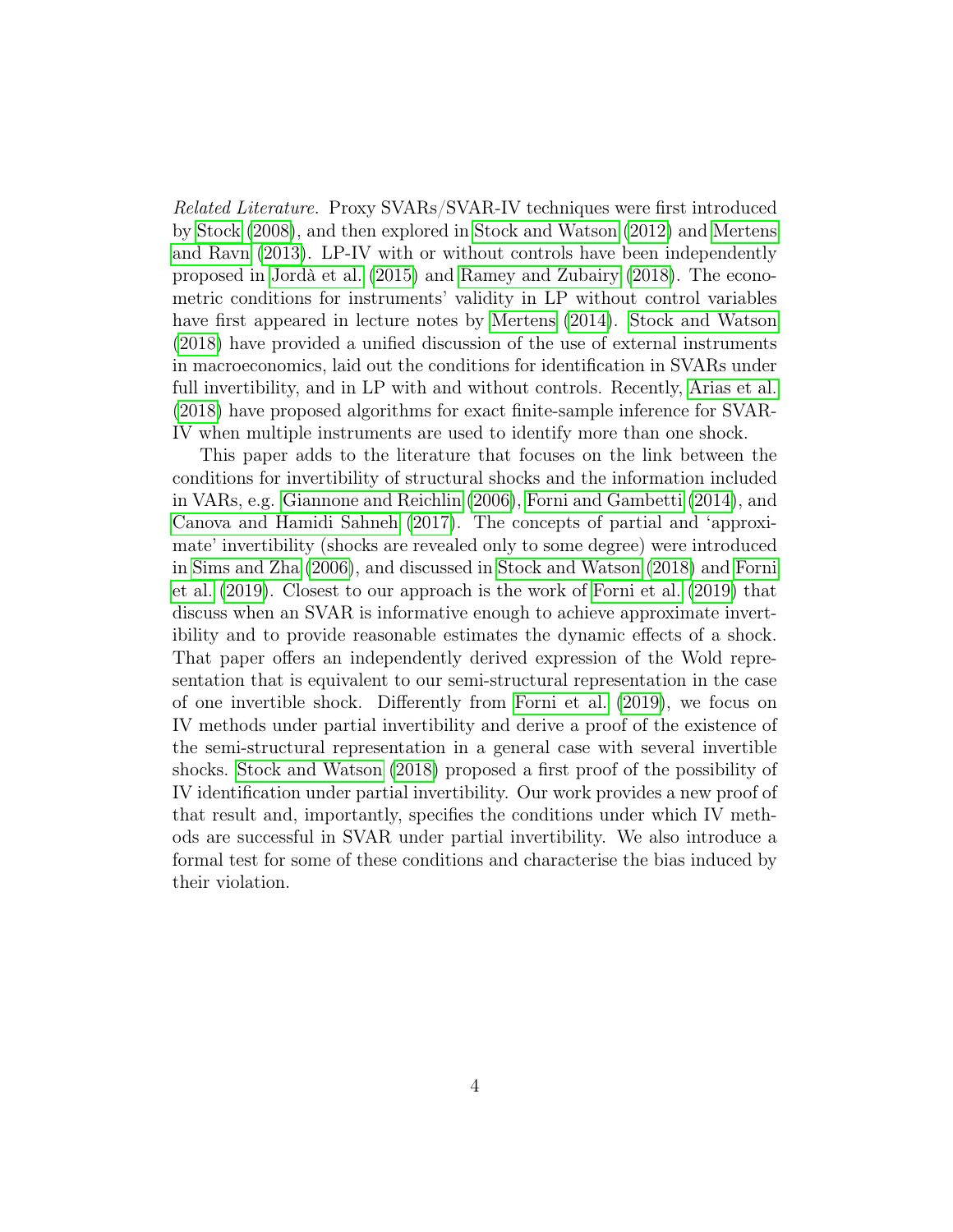Related Literature. Proxy SVARs/SVAR-IV techniques were first introduced by [Stock](#page-33-5) [\(2008\)](#page-33-5), and then explored in [Stock and Watson](#page-33-6) [\(2012\)](#page-33-6) and [Mertens](#page-32-0) [and Ravn](#page-32-0) [\(2013\)](#page-32-0). LP-IV with or without controls have been independently proposed in [Jordà et al.](#page-31-2) [\(2015\)](#page-31-2) and [Ramey and Zubairy](#page-33-7) [\(2018\)](#page-33-7). The econometric conditions for instruments' validity in LP without control variables have first appeared in lecture notes by [Mertens](#page-32-2) [\(2014\)](#page-32-2). [Stock and Watson](#page-33-0) [\(2018\)](#page-33-0) have provided a unified discussion of the use of external instruments in macroeconomics, laid out the conditions for identification in SVARs under full invertibility, and in LP with and without controls. Recently, [Arias et al.](#page-29-0) [\(2018\)](#page-29-0) have proposed algorithms for exact finite-sample inference for SVAR-IV when multiple instruments are used to identify more than one shock.

This paper adds to the literature that focuses on the link between the conditions for invertibility of structural shocks and the information included in VARs, e.g. [Giannone and Reichlin](#page-31-3) [\(2006\)](#page-31-3), [Forni and Gambetti](#page-30-1) [\(2014\)](#page-30-1), and [Canova and Hamidi Sahneh](#page-30-2) [\(2017\)](#page-30-2). The concepts of partial and 'approximate' invertibility (shocks are revealed only to some degree) were introduced in [Sims and Zha](#page-33-1) [\(2006\)](#page-33-1), and discussed in [Stock and Watson](#page-33-0) [\(2018\)](#page-33-0) and [Forni](#page-31-4) [et al.](#page-31-4) [\(2019\)](#page-31-4). Closest to our approach is the work of [Forni et al.](#page-31-4) [\(2019\)](#page-31-4) that discuss when an SVAR is informative enough to achieve approximate invertibility and to provide reasonable estimates the dynamic effects of a shock. That paper offers an independently derived expression of the Wold representation that is equivalent to our semi-structural representation in the case of one invertible shock. Differently from [Forni et al.](#page-31-4) [\(2019\)](#page-31-4), we focus on IV methods under partial invertibility and derive a proof of the existence of the semi-structural representation in a general case with several invertible shocks. [Stock and Watson](#page-33-0) [\(2018\)](#page-33-0) proposed a first proof of the possibility of IV identification under partial invertibility. Our work provides a new proof of that result and, importantly, specifies the conditions under which IV methods are successful in SVAR under partial invertibility. We also introduce a formal test for some of these conditions and characterise the bias induced by their violation.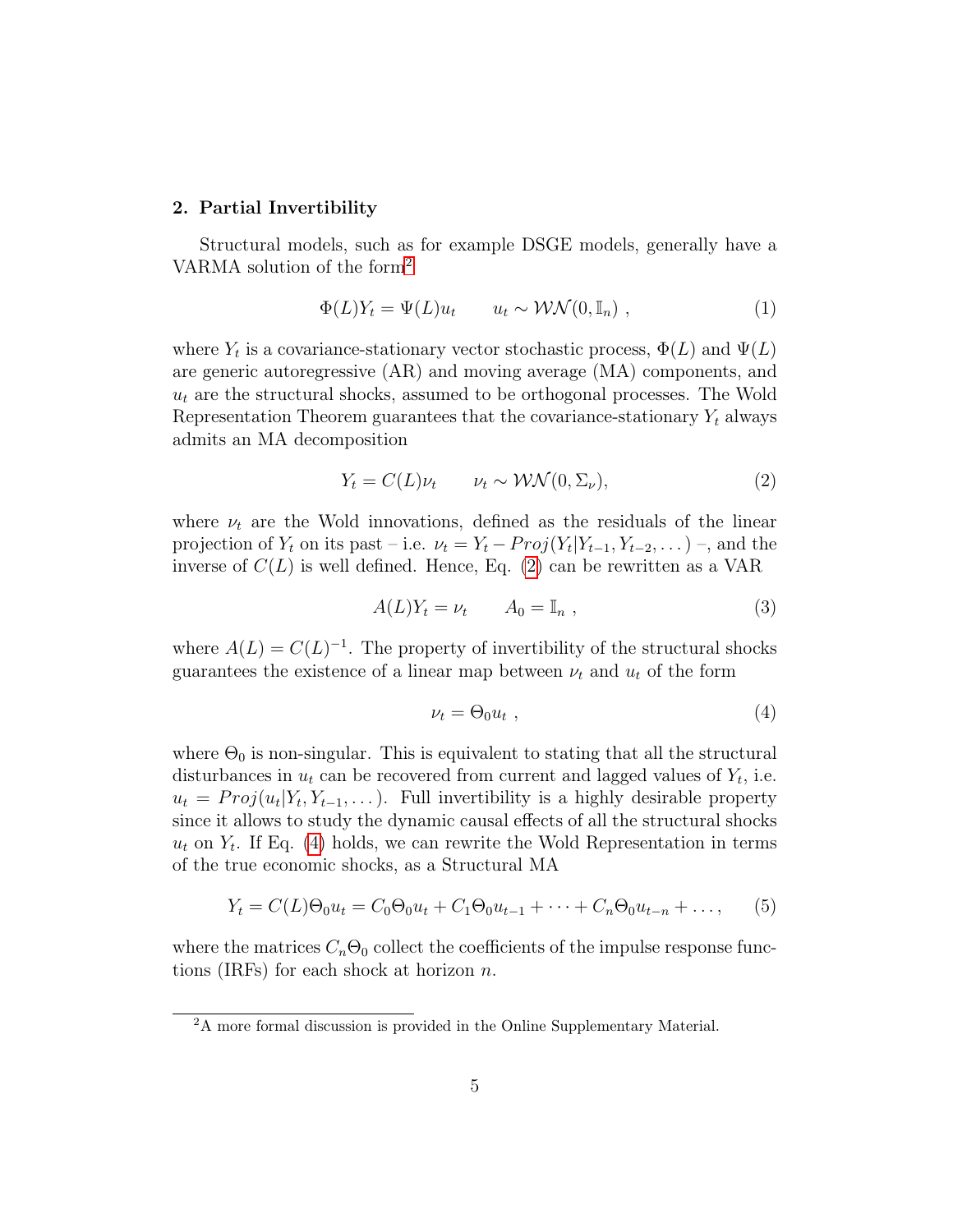#### <span id="page-6-0"></span>2. Partial Invertibility

Structural models, such as for example DSGE models, generally have a VARMA solution of the form[2](#page--1-0)

<span id="page-6-3"></span>
$$
\Phi(L)Y_t = \Psi(L)u_t \qquad u_t \sim \mathcal{WN}(0, \mathbb{I}_n) , \qquad (1)
$$

where  $Y_t$  is a covariance-stationary vector stochastic process,  $\Phi(L)$  and  $\Psi(L)$ are generic autoregressive (AR) and moving average (MA) components, and  $u_t$  are the structural shocks, assumed to be orthogonal processes. The Wold Representation Theorem guarantees that the covariance-stationary  $Y_t$  always admits an MA decomposition

<span id="page-6-1"></span>
$$
Y_t = C(L)\nu_t \qquad \nu_t \sim \mathcal{WN}(0, \Sigma_\nu), \tag{2}
$$

where  $\nu_t$  are the Wold innovations, defined as the residuals of the linear projection of  $Y_t$  on its past – i.e.  $\nu_t = Y_t - Proj(Y_t|Y_{t-1}, Y_{t-2}, \dots)$ , and the inverse of  $C(L)$  is well defined. Hence, Eq. [\(2\)](#page-6-1) can be rewritten as a VAR

<span id="page-6-5"></span>
$$
A(L)Y_t = \nu_t \qquad A_0 = \mathbb{I}_n , \qquad (3)
$$

where  $A(L) = C(L)^{-1}$ . The property of invertibility of the structural shocks guarantees the existence of a linear map between  $\nu_t$  and  $u_t$  of the form

<span id="page-6-2"></span>
$$
\nu_t = \Theta_0 u_t \tag{4}
$$

where  $\Theta_0$  is non-singular. This is equivalent to stating that all the structural disturbances in  $u_t$  can be recovered from current and lagged values of  $Y_t$ , i.e.  $u_t = Proj(u_t|Y_t, Y_{t-1}, \dots)$ . Full invertibility is a highly desirable property since it allows to study the dynamic causal effects of all the structural shocks  $u_t$  on  $Y_t$ . If Eq. [\(4\)](#page-6-2) holds, we can rewrite the Wold Representation in terms of the true economic shocks, as a Structural MA

<span id="page-6-4"></span>
$$
Y_t = C(L)\Theta_0 u_t = C_0 \Theta_0 u_t + C_1 \Theta_0 u_{t-1} + \dots + C_n \Theta_0 u_{t-n} + \dots,
$$
 (5)

where the matrices  $C_n\Theta_0$  collect the coefficients of the impulse response functions (IRFs) for each shock at horizon  $n$ .

<sup>2</sup>A more formal discussion is provided in the Online Supplementary Material.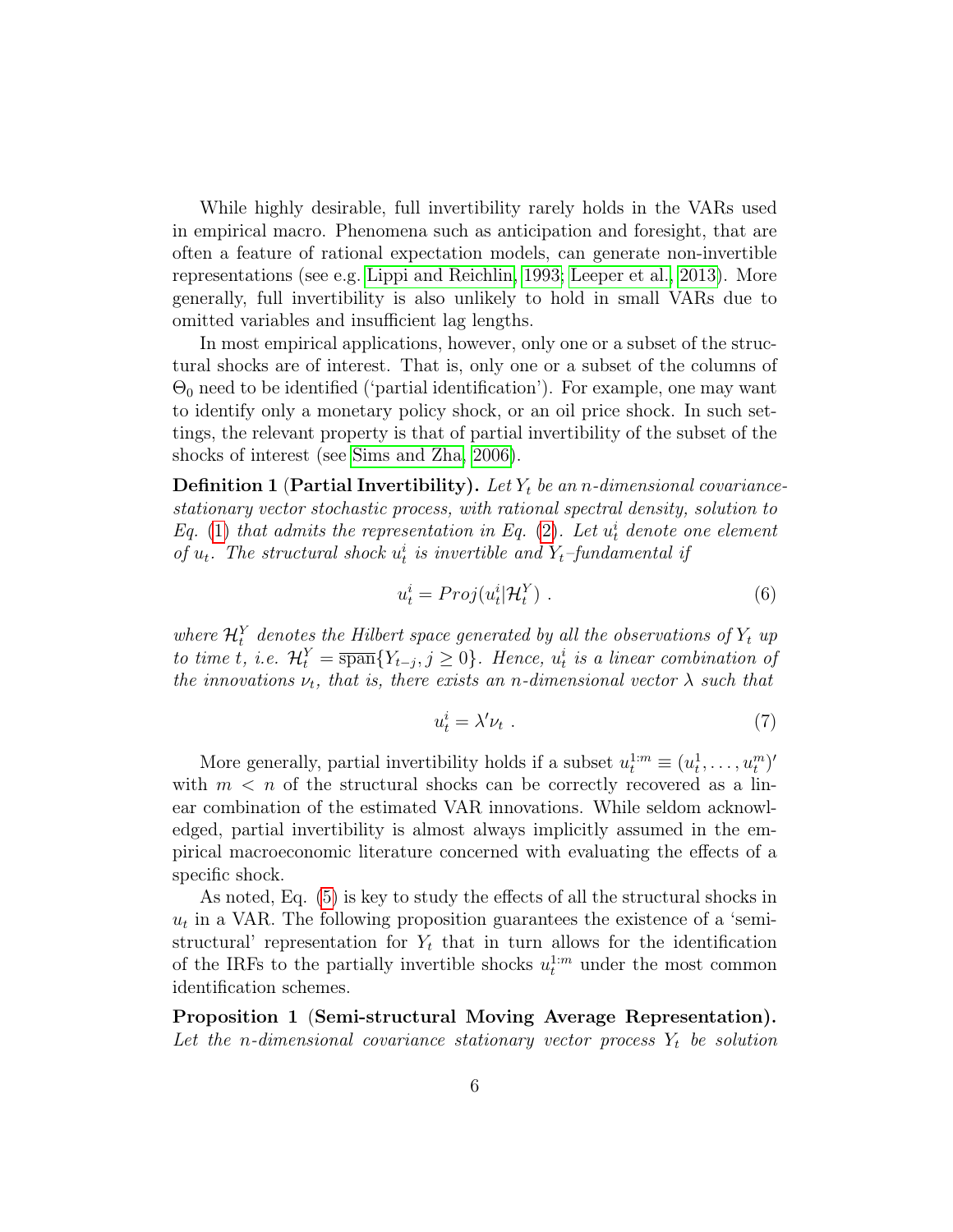While highly desirable, full invertibility rarely holds in the VARs used in empirical macro. Phenomena such as anticipation and foresight, that are often a feature of rational expectation models, can generate non-invertible representations (see e.g. [Lippi and Reichlin, 1993;](#page-32-3) [Leeper et al., 2013\)](#page-32-4). More generally, full invertibility is also unlikely to hold in small VARs due to omitted variables and insufficient lag lengths.

In most empirical applications, however, only one or a subset of the structural shocks are of interest. That is, only one or a subset of the columns of  $\Theta_0$  need to be identified ('partial identification'). For example, one may want to identify only a monetary policy shock, or an oil price shock. In such settings, the relevant property is that of partial invertibility of the subset of the shocks of interest (see [Sims and Zha, 2006\)](#page-33-1).

**Definition 1 (Partial Invertibility).** Let  $Y_t$  be an n-dimensional covariancestationary vector stochastic process, with rational spectral density, solution to Eq. [\(1\)](#page-6-3) that admits the representation in Eq. [\(2\)](#page-6-1). Let  $u_t^i$  denote one element of  $u_t$ . The structural shock  $u_t^i$  is invertible and  $Y_t$ -fundamental if

$$
u_t^i = Proj(u_t^i | \mathcal{H}_t^Y) \tag{6}
$$

where  $\mathcal{H}_t^Y$  denotes the Hilbert space generated by all the observations of  $Y_t$  up to time t, i.e.  $\mathcal{H}_t^Y = \overline{\text{span}}\{Y_{t-j}, j \geq 0\}$ . Hence,  $u_t^i$  is a linear combination of the innovations  $\nu_t$ , that is, there exists an n-dimensional vector  $\lambda$  such that

$$
u_t^i = \lambda' \nu_t \tag{7}
$$

More generally, partial invertibility holds if a subset  $u_t^{1:m} \equiv (u_t^1, \ldots, u_t^m)'$ with  $m < n$  of the structural shocks can be correctly recovered as a linear combination of the estimated VAR innovations. While seldom acknowledged, partial invertibility is almost always implicitly assumed in the empirical macroeconomic literature concerned with evaluating the effects of a specific shock.

As noted, Eq. [\(5\)](#page-6-4) is key to study the effects of all the structural shocks in  $u_t$  in a VAR. The following proposition guarantees the existence of a 'semistructural' representation for  $Y_t$  that in turn allows for the identification of the IRFs to the partially invertible shocks  $u_t^{1:m}$  under the most common identification schemes.

<span id="page-7-0"></span>Proposition 1 (Semi-structural Moving Average Representation). Let the n-dimensional covariance stationary vector process  $Y_t$  be solution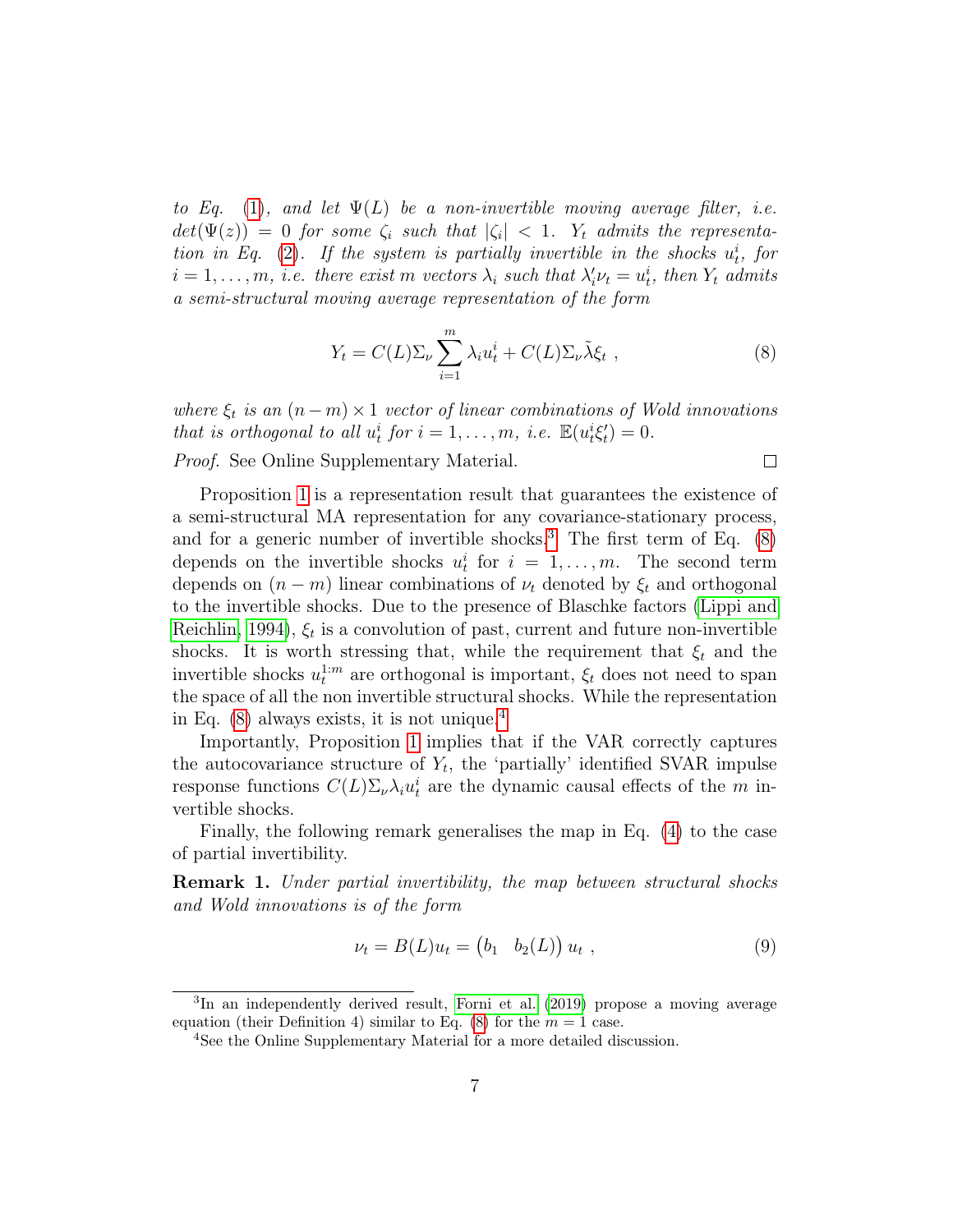to Eq. [\(1\)](#page-6-3), and let  $\Psi(L)$  be a non-invertible moving average filter, i.e.  $det(\Psi(z)) = 0$  for some  $\zeta_i$  such that  $|\zeta_i| < 1$ .  $Y_t$  admits the representa-tion in Eq. [\(2\)](#page-6-1). If the system is partially invertible in the shocks  $u_t^i$ , for  $i = 1, \ldots, m$ , i.e. there exist m vectors  $\lambda_i$  such that  $\lambda'_i \nu_t = u_t^i$ , then  $Y_t$  admits a semi-structural moving average representation of the form

<span id="page-8-0"></span>
$$
Y_t = C(L)\Sigma_\nu \sum_{i=1}^m \lambda_i u_t^i + C(L)\Sigma_\nu \tilde{\lambda} \xi_t , \qquad (8)
$$

 $\Box$ 

where  $\xi_t$  is an  $(n-m) \times 1$  vector of linear combinations of Wold innovations that is orthogonal to all  $u_t^i$  for  $i = 1, ..., m$ , i.e.  $\mathbb{E}(u_t^{i\zeta_t}) = 0$ .

Proof. See Online Supplementary Material.

Proposition [1](#page-7-0) is a representation result that guarantees the existence of a semi-structural MA representation for any covariance-stationary process, and for a generic number of invertible shocks.<sup>[3](#page--1-0)</sup> The first term of Eq.  $(8)$ depends on the invertible shocks  $u_t^i$  for  $i = 1, ..., m$ . The second term depends on  $(n - m)$  linear combinations of  $\nu_t$  denoted by  $\xi_t$  and orthogonal to the invertible shocks. Due to the presence of Blaschke factors [\(Lippi and](#page-32-5) [Reichlin, 1994\)](#page-32-5),  $\xi_t$  is a convolution of past, current and future non-invertible shocks. It is worth stressing that, while the requirement that  $\xi_t$  and the invertible shocks  $u_t^{1:m}$  are orthogonal is important,  $\xi_t$  does not need to span the space of all the non invertible structural shocks. While the representation in Eq.  $(8)$  always exists, it is not unique.<sup>[4](#page--1-0)</sup>

Importantly, Proposition [1](#page-7-0) implies that if the VAR correctly captures the autocovariance structure of  $Y_t$ , the 'partially' identified SVAR impulse response functions  $C(L)\Sigma_{\nu}\lambda_i u_i^i$  are the dynamic causal effects of the m invertible shocks.

Finally, the following remark generalises the map in Eq. [\(4\)](#page-6-2) to the case of partial invertibility.

<span id="page-8-1"></span>**Remark 1.** Under partial invertibility, the map between structural shocks and Wold innovations is of the form

$$
\nu_t = B(L)u_t = (b_1 \quad b_2(L)) u_t , \qquad (9)
$$

<sup>3</sup> In an independently derived result, [Forni et al.](#page-31-4) [\(2019\)](#page-31-4) propose a moving average equation (their Definition 4) similar to Eq. [\(8\)](#page-8-0) for the  $m = 1$  case.

<sup>4</sup>See the Online Supplementary Material for a more detailed discussion.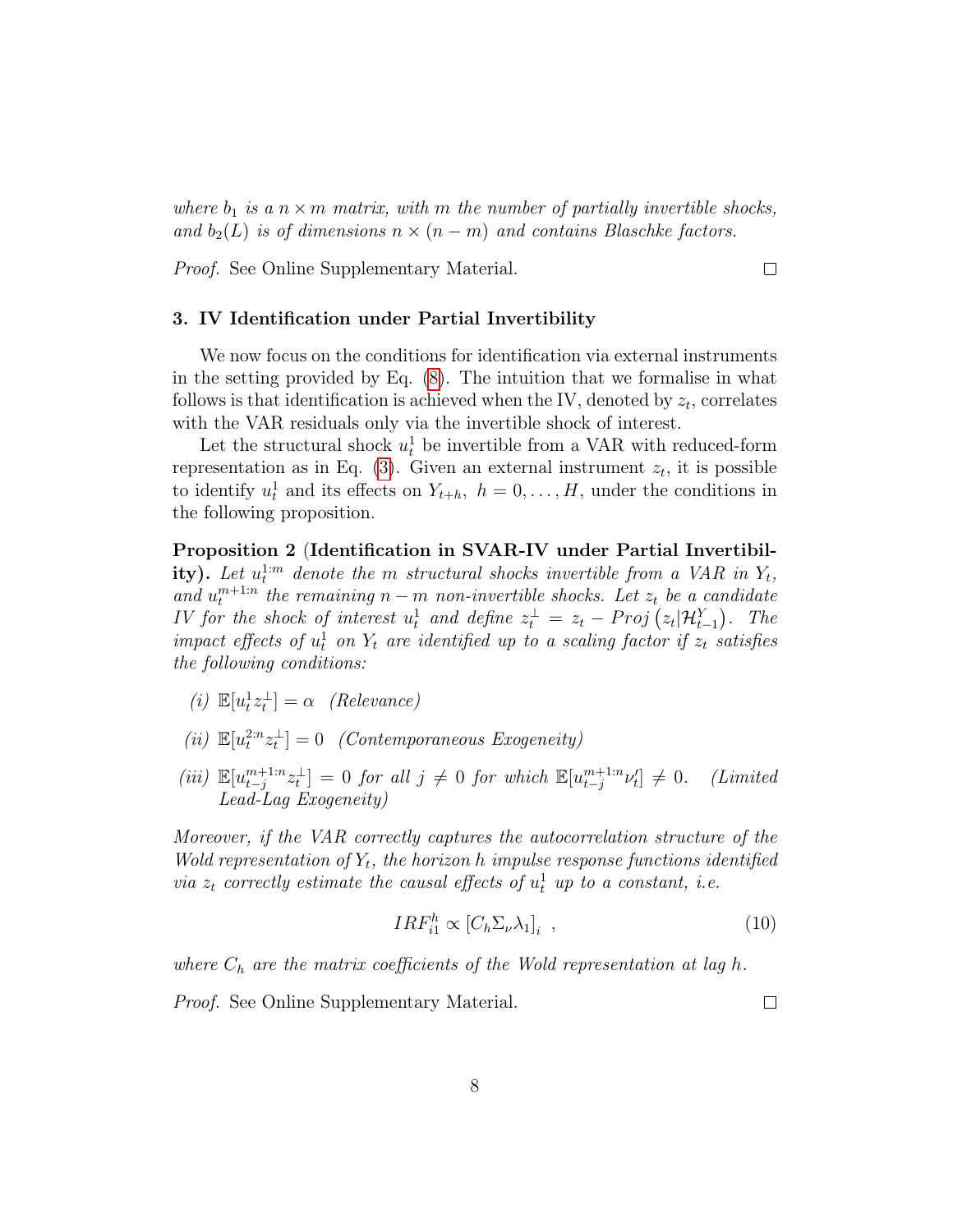where  $b_1$  is a  $n \times m$  matrix, with m the number of partially invertible shocks, and  $b_2(L)$  is of dimensions  $n \times (n-m)$  and contains Blaschke factors.

Proof. See Online Supplementary Material.

#### <span id="page-9-0"></span>3. IV Identification under Partial Invertibility

We now focus on the conditions for identification via external instruments in the setting provided by Eq. [\(8\)](#page-8-0). The intuition that we formalise in what follows is that identification is achieved when the IV, denoted by  $z_t$ , correlates with the VAR residuals only via the invertible shock of interest.

Let the structural shock  $u_t^1$  be invertible from a VAR with reduced-form representation as in Eq.  $(3)$ . Given an external instrument  $z_t$ , it is possible to identify  $u_t^1$  and its effects on  $Y_{t+h}$ ,  $h = 0, \ldots, H$ , under the conditions in the following proposition.

<span id="page-9-1"></span>Proposition 2 (Identification in SVAR-IV under Partial Invertibility). Let  $u_t^{1:m}$  denote the m structural shocks invertible from a VAR in  $Y_t$ , and  $u_t^{m+1:n}$  the remaining  $n-m$  non-invertible shocks. Let  $z_t$  be a candidate IV for the shock of interest  $u_t^1$  and define  $z_t^{\perp} = z_t - Proj\left(z_t|\mathcal{H}_{t-1}^Y\right)$ . The impact effects of  $u_t^1$  on  $Y_t$  are identified up to a scaling factor if  $z_t$  satisfies the following conditions:

- (i)  $\mathbb{E}[u_t^1 z_t^{\perp}] = \alpha$  (Relevance)
- (ii)  $\mathbb{E}[u_t^{2:n}z_t^{\perp}] = 0$  (Contemporaneous Exogeneity)
- (iii)  $\mathbb{E}[u_{t-j}^{m+1:n}z_t^{\perp}] = 0$  for all  $j \neq 0$  for which  $\mathbb{E}[u_{t-j}^{m+1:n}v_t^{\perp}]$  $(Limited$ Lead-Lag Exogeneity)

Moreover, if the VAR correctly captures the autocorrelation structure of the Wold representation of  $Y_t$ , the horizon h impulse response functions identified via  $z_t$  correctly estimate the causal effects of  $u_t^1$  up to a constant, i.e.

$$
IRF_{i1}^h \propto [C_h \Sigma_\nu \lambda_1]_i \quad , \tag{10}
$$

where  $C_h$  are the matrix coefficients of the Wold representation at lag h.

Proof. See Online Supplementary Material.

 $\Box$ 

 $\Box$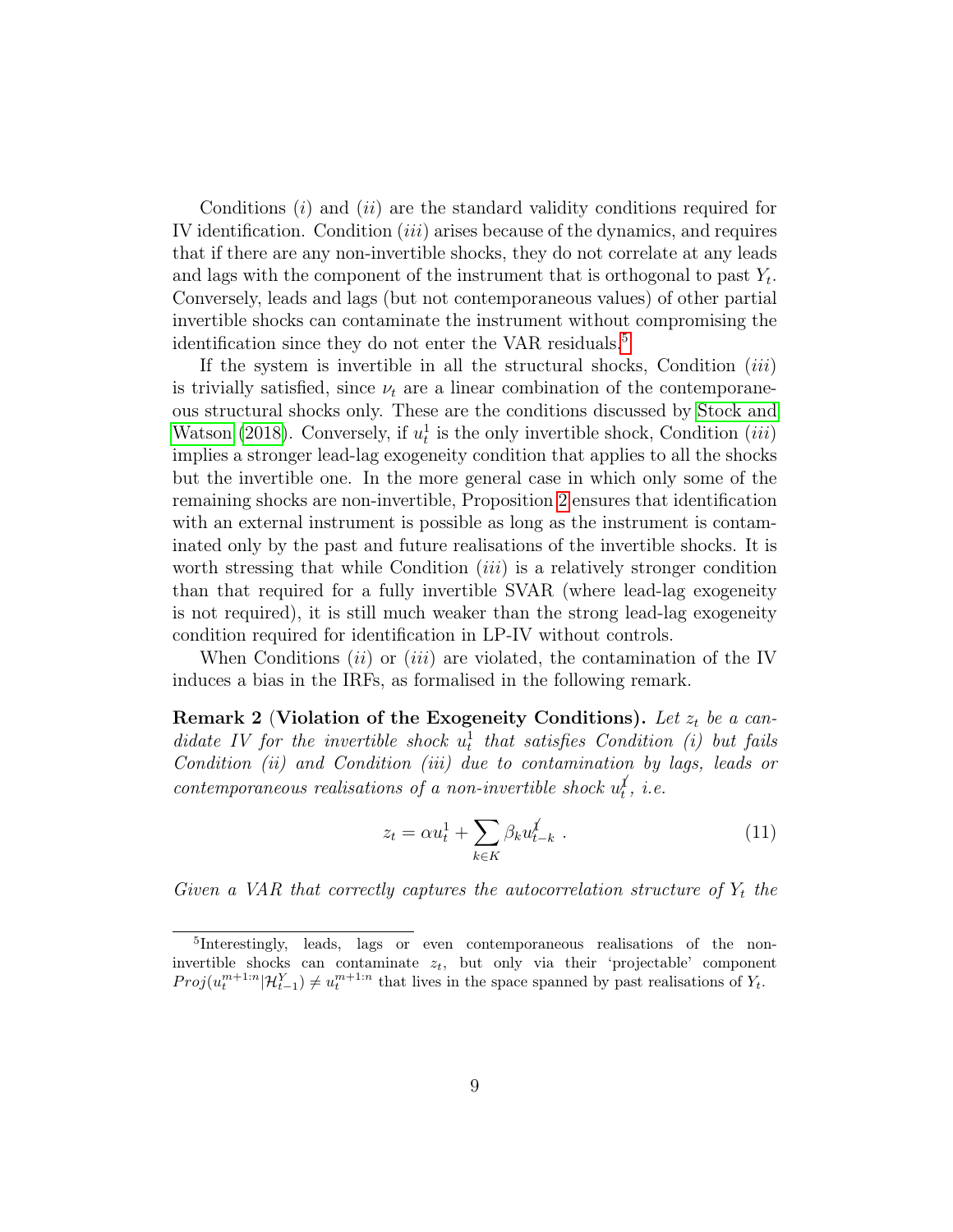Conditions  $(i)$  and  $(ii)$  are the standard validity conditions required for IV identification. Condition (iii) arises because of the dynamics, and requires that if there are any non-invertible shocks, they do not correlate at any leads and lags with the component of the instrument that is orthogonal to past  $Y_t$ . Conversely, leads and lags (but not contemporaneous values) of other partial invertible shocks can contaminate the instrument without compromising the identification since they do not enter the VAR residuals.<sup>[5](#page--1-0)</sup>

If the system is invertible in all the structural shocks, Condition  $(iii)$ is trivially satisfied, since  $\nu_t$  are a linear combination of the contemporaneous structural shocks only. These are the conditions discussed by [Stock and](#page-33-0) [Watson](#page-33-0) [\(2018\)](#page-33-0). Conversely, if  $u_t^1$  is the only invertible shock, Condition (*iii*) implies a stronger lead-lag exogeneity condition that applies to all the shocks but the invertible one. In the more general case in which only some of the remaining shocks are non-invertible, Proposition [2](#page-9-1) ensures that identification with an external instrument is possible as long as the instrument is contaminated only by the past and future realisations of the invertible shocks. It is worth stressing that while Condition  $(iii)$  is a relatively stronger condition than that required for a fully invertible SVAR (where lead-lag exogeneity is not required), it is still much weaker than the strong lead-lag exogeneity condition required for identification in LP-IV without controls.

When Conditions  $(ii)$  or  $(iii)$  are violated, the contamination of the IV induces a bias in the IRFs, as formalised in the following remark.

<span id="page-10-1"></span>Remark 2 (Violation of the Exogeneity Conditions). Let  $z_t$  be a candidate IV for the invertible shock  $u_t^1$  that satisfies Condition (i) but fails Condition (ii) and Condition (iii) due to contamination by lags, leads or contemporaneous realisations of a non-invertible shock  $u_t^j$ , i.e.

<span id="page-10-0"></span>
$$
z_t = \alpha u_t^1 + \sum_{k \in K} \beta_k u_{t-k}^{\prime}
$$
 (11)

Given a VAR that correctly captures the autocorrelation structure of  $Y_t$  the

<sup>&</sup>lt;sup>5</sup>Interestingly, leads, lags or even contemporaneous realisations of the noninvertible shocks can contaminate  $z_t$ , but only via their 'projectable' component  $Proj(u_t^{m+1:n} | \mathcal{H}_{t-1}^Y) \neq u_t^{m+1:n}$  that lives in the space spanned by past realisations of  $Y_t$ .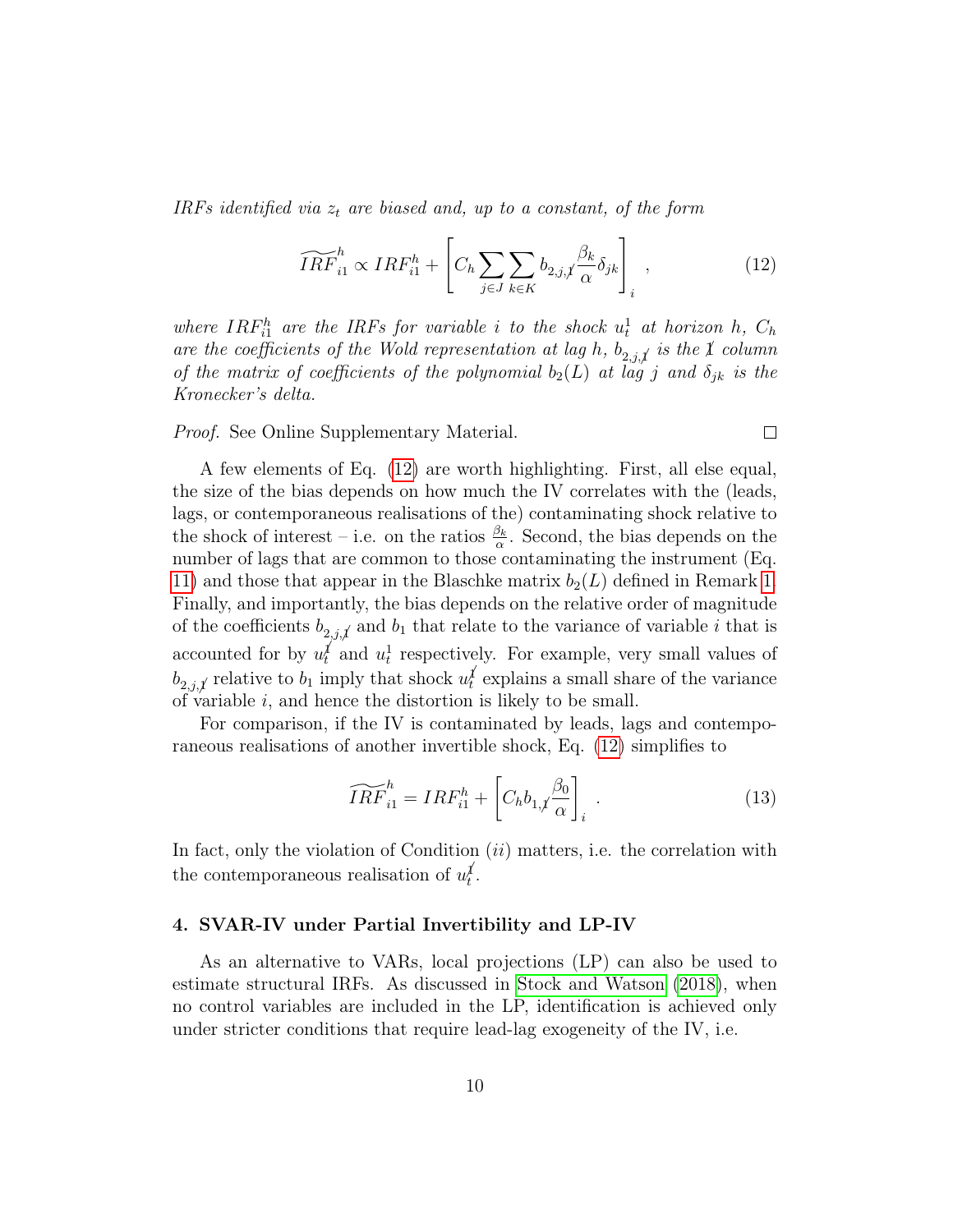IRFs identified via  $z_t$  are biased and, up to a constant, of the form

<span id="page-11-1"></span>
$$
\widetilde{IRF}_{i1}^{h} \propto IRF_{i1}^{h} + \left[C_{h} \sum_{j \in J} \sum_{k \in K} b_{2,j,\jmath} \frac{\beta_{k}}{\alpha} \delta_{jk}\right]_{i},\tag{12}
$$

 $\Box$ 

where  $IRF_{i1}^h$  are the IRFs for variable i to the shock  $u_t^1$  at horizon h,  $C_h$ are the coefficients of the Wold representation at lag h,  $b_{2,j,\cancel{1}}$  is the  $\cancel{1}$  column of the matrix of coefficients of the polynomial  $b_2(L)$  at lag j and  $\delta_{jk}$  is the Kronecker's delta.

Proof. See Online Supplementary Material.

A few elements of Eq. [\(12\)](#page-11-1) are worth highlighting. First, all else equal, the size of the bias depends on how much the IV correlates with the (leads, lags, or contemporaneous realisations of the) contaminating shock relative to the shock of interest – i.e. on the ratios  $\frac{\beta_k}{\alpha}$ . Second, the bias depends on the number of lags that are common to those contaminating the instrument (Eq. [11\)](#page-10-0) and those that appear in the Blaschke matrix  $b_2(L)$  defined in Remark [1.](#page-8-1) Finally, and importantly, the bias depends on the relative order of magnitude of the coefficients  $b_{2,j,\ell}$  and  $b_1$  that relate to the variance of variable i that is accounted for by  $u_t^j$  and  $u_t^1$  respectively. For example, very small values of  $b_{2,j,\ell}$  relative to  $b_1$  imply that shock  $u_t^{\ell}$  explains a small share of the variance of variable i, and hence the distortion is likely to be small.

For comparison, if the IV is contaminated by leads, lags and contemporaneous realisations of another invertible shock, Eq. [\(12\)](#page-11-1) simplifies to

$$
\widetilde{IRF}_{i1}^h = IRF_{i1}^h + \left[C_h b_{1,t} \frac{\beta_0}{\alpha}\right]_i.
$$
 (13)

In fact, only the violation of Condition  $(ii)$  matters, i.e. the correlation with the contemporaneous realisation of  $u_t^j$ .

#### <span id="page-11-0"></span>4. SVAR-IV under Partial Invertibility and LP-IV

As an alternative to VARs, local projections (LP) can also be used to estimate structural IRFs. As discussed in [Stock and Watson](#page-33-0) [\(2018\)](#page-33-0), when no control variables are included in the LP, identification is achieved only under stricter conditions that require lead-lag exogeneity of the IV, i.e.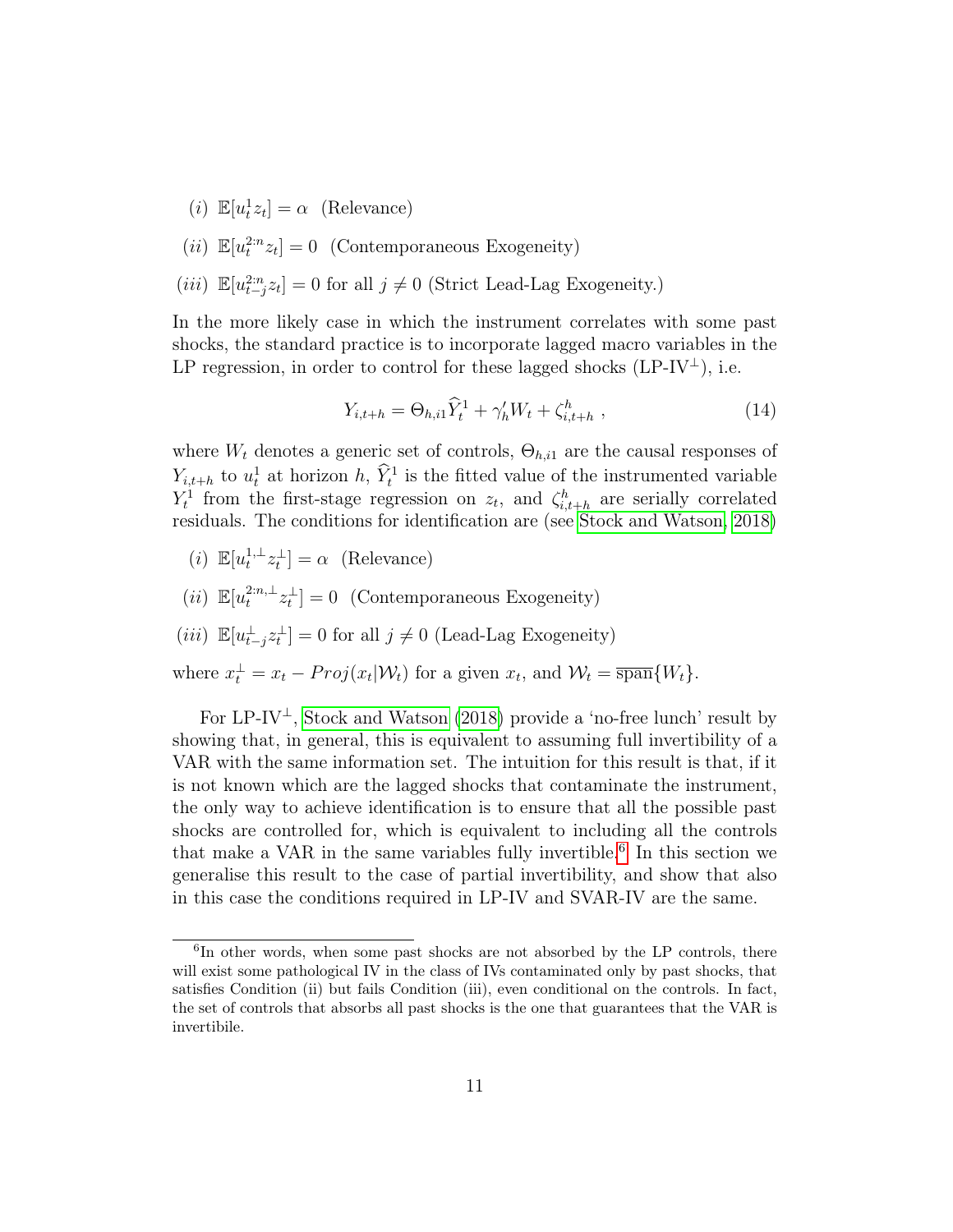- (*i*)  $\mathbb{E}[u_t^1 z_t] = \alpha$  (Relevance)
- (*ii*)  $\mathbb{E}[u_t^{2:n}z_t] = 0$  (Contemporaneous Exogeneity)
- (*iii*)  $\mathbb{E}[u^{2:n}_{t-j}z_t] = 0$  for all  $j \neq 0$  (Strict Lead-Lag Exogeneity.)

In the more likely case in which the instrument correlates with some past shocks, the standard practice is to incorporate lagged macro variables in the LP regression, in order to control for these lagged shocks (LP-IV<sup>⊥</sup>), i.e.

$$
Y_{i,t+h} = \Theta_{h,i1} \hat{Y}_t^1 + \gamma_h' W_t + \zeta_{i,t+h}^h \;, \tag{14}
$$

where  $W_t$  denotes a generic set of controls,  $\Theta_{h,i1}$  are the causal responses of  $Y_{i,t+h}$  to  $u_t^1$  at horizon h,  $\hat{Y}_t^1$  is the fitted value of the instrumented variable  $Y_t^1$  from the first-stage regression on  $z_t$ , and  $\zeta_{i,t+h}^h$  are serially correlated residuals. The conditions for identification are (see [Stock and Watson, 2018\)](#page-33-0)

- (*i*)  $\mathbb{E}[u_t^{1,\perp}z_t^{\perp}] = \alpha$  (Relevance)
- (*ii*)  $\mathbb{E}[u_t^{2:n,\perp}z_t^{\perp}] = 0$  (Contemporaneous Exogeneity)
- (*iii*)  $\mathbb{E}[u_{t-j}^{\perp}z_t^{\perp}] = 0$  for all  $j \neq 0$  (Lead-Lag Exogeneity)
- where  $x_t^{\perp} = x_t Proj(x_t|W_t)$  for a given  $x_t$ , and  $W_t = \overline{\text{span}}\{W_t\}.$

For  $LP-IV^{\perp}$ , [Stock and Watson](#page-33-0) [\(2018\)](#page-33-0) provide a 'no-free lunch' result by showing that, in general, this is equivalent to assuming full invertibility of a VAR with the same information set. The intuition for this result is that, if it is not known which are the lagged shocks that contaminate the instrument, the only way to achieve identification is to ensure that all the possible past shocks are controlled for, which is equivalent to including all the controls that make a VAR in the same variables fully invertible.<sup>[6](#page--1-0)</sup> In this section we generalise this result to the case of partial invertibility, and show that also in this case the conditions required in LP-IV and SVAR-IV are the same.

<sup>6</sup> In other words, when some past shocks are not absorbed by the LP controls, there will exist some pathological IV in the class of IVs contaminated only by past shocks, that satisfies Condition (ii) but fails Condition (iii), even conditional on the controls. In fact, the set of controls that absorbs all past shocks is the one that guarantees that the VAR is invertibile.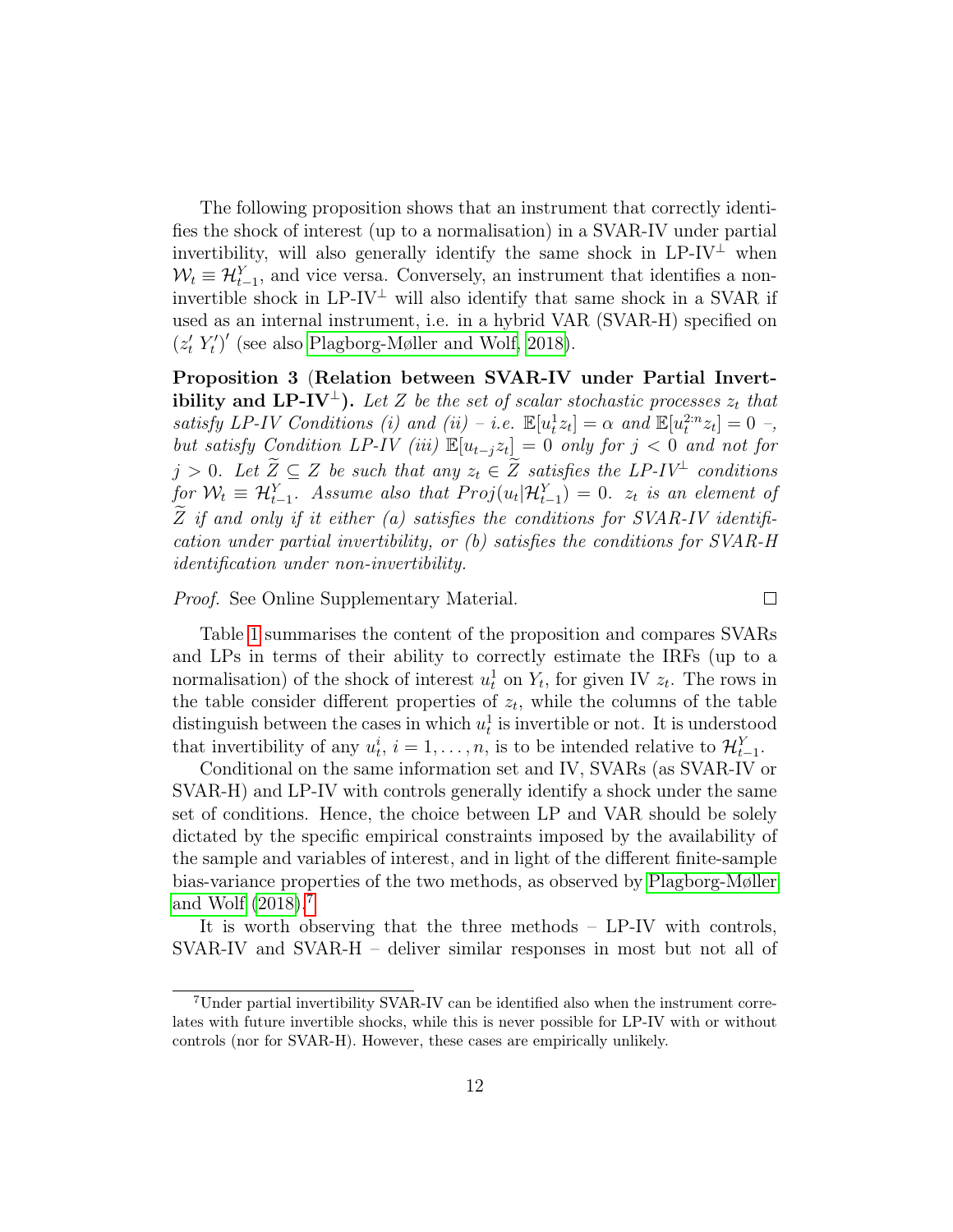The following proposition shows that an instrument that correctly identifies the shock of interest (up to a normalisation) in a SVAR-IV under partial invertibility, will also generally identify the same shock in  $LP-IV^{\perp}$  when  $W_t \equiv \mathcal{H}_{t-1}^Y$ , and vice versa. Conversely, an instrument that identifies a noninvertible shock in LP-IV<sup> $\perp$ </sup> will also identify that same shock in a SVAR if used as an internal instrument, i.e. in a hybrid VAR (SVAR-H) specified on  $(z'_t Y'_t)'$  (see also [Plagborg-Møller and Wolf, 2018\)](#page-33-8).

<span id="page-13-1"></span>Proposition 3 (Relation between SVAR-IV under Partial Invertibility and LP-IV<sup>⊥</sup>). Let Z be the set of scalar stochastic processes  $z_t$  that satisfy LP-IV Conditions (i) and (ii) – i.e.  $\mathbb{E}[u_t^1 z_t] = \alpha$  and  $\mathbb{E}[u_t^{2:n} z_t] = 0$  –, but satisfy Condition LP-IV (iii)  $\mathbb{E}[u_{t-j}z_t] = 0$  only for  $j < 0$  and not for  $j > 0$ . Let  $\widetilde{Z} \subseteq Z$  be such that any  $z_t \in \widetilde{Z}$  satisfies the LP-IV<sup>⊥</sup> conditions for  $\mathcal{W}_t \equiv \mathcal{H}_{t-1}^Y$ . Assume also that  $Proj(u_t | \mathcal{H}_{t-1}^Y) = 0$ .  $z_t$  is an element of Z if and only if it either (a) satisfies the conditions for SVAR-IV identification under partial invertibility, or (b) satisfies the conditions for SVAR-H identification under non-invertibility.

Proof. See Online Supplementary Material.

 $\Box$ 

Table [1](#page-13-0) summarises the content of the proposition and compares SVARs and LPs in terms of their ability to correctly estimate the IRFs (up to a normalisation) of the shock of interest  $u_t^1$  on  $Y_t$ , for given IV  $z_t$ . The rows in the table consider different properties of  $z_t$ , while the columns of the table distinguish between the cases in which  $u_t^1$  is invertible or not. It is understood that invertibility of any  $u_t^i$ ,  $i = 1, \ldots, n$ , is to be intended relative to  $\mathcal{H}_{t-1}^Y$ .

<span id="page-13-0"></span>Conditional on the same information set and IV, SVARs (as SVAR-IV or SVAR-H) and LP-IV with controls generally identify a shock under the same set of conditions. Hence, the choice between LP and VAR should be solely dictated by the specific empirical constraints imposed by the availability of the sample and variables of interest, and in light of the different finite-sample bias-variance properties of the two methods, as observed by [Plagborg-Møller](#page-33-8) [and Wolf](#page-33-8) [\(2018\)](#page-33-8).[7](#page--1-0)

It is worth observing that the three methods – LP-IV with controls, SVAR-IV and SVAR-H – deliver similar responses in most but not all of

<sup>7</sup>Under partial invertibility SVAR-IV can be identified also when the instrument correlates with future invertible shocks, while this is never possible for LP-IV with or without controls (nor for SVAR-H). However, these cases are empirically unlikely.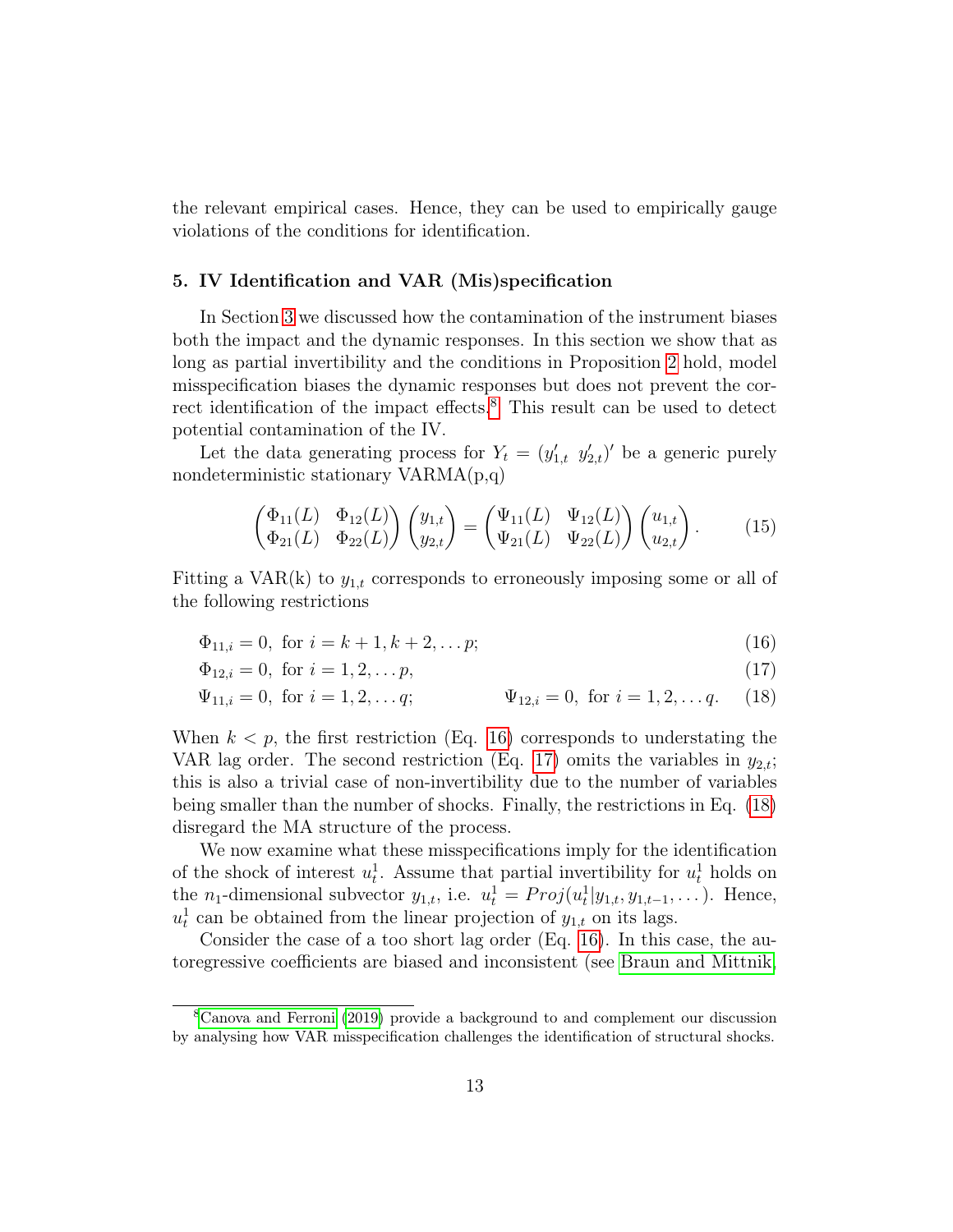the relevant empirical cases. Hence, they can be used to empirically gauge violations of the conditions for identification.

#### <span id="page-14-0"></span>5. IV Identification and VAR (Mis)specification

In Section [3](#page-9-0) we discussed how the contamination of the instrument biases both the impact and the dynamic responses. In this section we show that as long as partial invertibility and the conditions in Proposition [2](#page-9-1) hold, model misspecification biases the dynamic responses but does not prevent the cor-rect identification of the impact effects.<sup>[8](#page--1-0)</sup> This result can be used to detect potential contamination of the IV.

Let the data generating process for  $Y_t = (y'_{1,t}, y'_{2,t})'$  be a generic purely nondeterministic stationary VARMA(p,q)

<span id="page-14-3"></span><span id="page-14-2"></span><span id="page-14-1"></span>
$$
\begin{pmatrix}\n\Phi_{11}(L) & \Phi_{12}(L) \\
\Phi_{21}(L) & \Phi_{22}(L)\n\end{pmatrix}\n\begin{pmatrix}\ny_{1,t} \\
y_{2,t}\n\end{pmatrix} =\n\begin{pmatrix}\n\Psi_{11}(L) & \Psi_{12}(L) \\
\Psi_{21}(L) & \Psi_{22}(L)\n\end{pmatrix}\n\begin{pmatrix}\nu_{1,t} \\
u_{2,t}\n\end{pmatrix}.
$$
\n(15)

Fitting a VAR(k) to  $y_{1,t}$  corresponds to erroneously imposing some or all of the following restrictions

$$
\Phi_{11,i} = 0, \text{ for } i = k+1, k+2, \dots p; \tag{16}
$$

$$
\Phi_{12,i} = 0, \text{ for } i = 1, 2, \dots p,
$$
\n(17)

$$
\Psi_{11,i} = 0
$$
, for  $i = 1, 2, ..., q$ ;  $\Psi_{12,i} = 0$ , for  $i = 1, 2, ..., q$ . (18)

When  $k < p$ , the first restriction (Eq. [16\)](#page-14-1) corresponds to understating the VAR lag order. The second restriction (Eq. [17\)](#page-14-2) omits the variables in  $y_{2,t}$ ; this is also a trivial case of non-invertibility due to the number of variables being smaller than the number of shocks. Finally, the restrictions in Eq. [\(18\)](#page-14-3) disregard the MA structure of the process.

We now examine what these misspecifications imply for the identification of the shock of interest  $u_t^1$ . Assume that partial invertibility for  $u_t^1$  holds on the *n*<sub>1</sub>-dimensional subvector  $y_{1,t}$ , i.e.  $u_t^1 = Proj(u_t^1|y_{1,t}, y_{1,t-1}, \dots)$ . Hence,  $u_t^1$  can be obtained from the linear projection of  $y_{1,t}$  on its lags.

Consider the case of a too short lag order (Eq. [16\)](#page-14-1). In this case, the autoregressive coefficients are biased and inconsistent (see [Braun and Mittnik,](#page-29-1)

<sup>8</sup>[Canova and Ferroni](#page-30-0) [\(2019\)](#page-30-0) provide a background to and complement our discussion by analysing how VAR misspecification challenges the identification of structural shocks.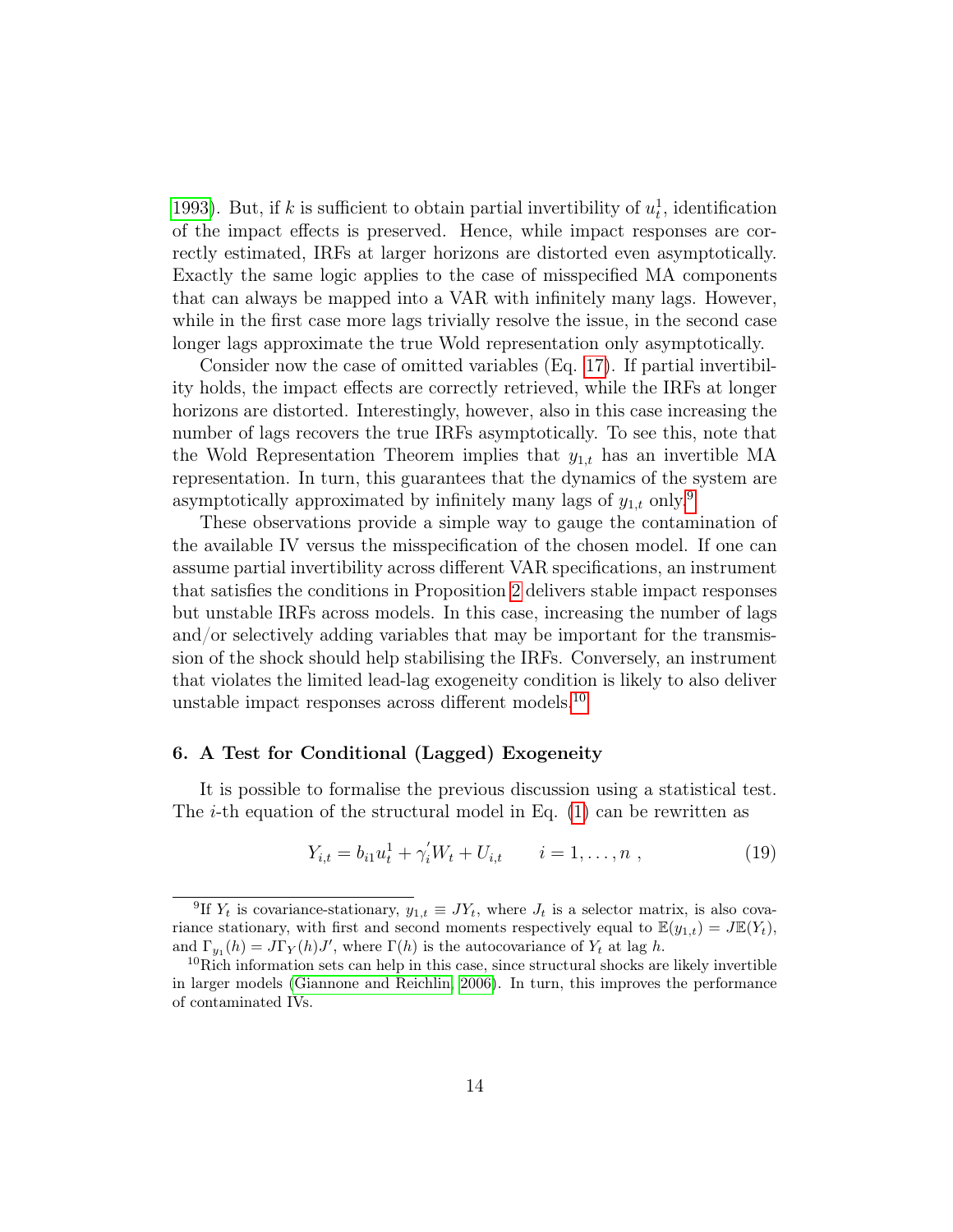[1993\)](#page-29-1). But, if k is sufficient to obtain partial invertibility of  $u_t^1$ , identification of the impact effects is preserved. Hence, while impact responses are correctly estimated, IRFs at larger horizons are distorted even asymptotically. Exactly the same logic applies to the case of misspecified MA components that can always be mapped into a VAR with infinitely many lags. However, while in the first case more lags trivially resolve the issue, in the second case longer lags approximate the true Wold representation only asymptotically.

Consider now the case of omitted variables (Eq. [17\)](#page-14-2). If partial invertibility holds, the impact effects are correctly retrieved, while the IRFs at longer horizons are distorted. Interestingly, however, also in this case increasing the number of lags recovers the true IRFs asymptotically. To see this, note that the Wold Representation Theorem implies that  $y_{1,t}$  has an invertible MA representation. In turn, this guarantees that the dynamics of the system are asymptotically approximated by infinitely many lags of  $y_{1,t}$  only.<sup>[9](#page--1-0)</sup>

These observations provide a simple way to gauge the contamination of the available IV versus the misspecification of the chosen model. If one can assume partial invertibility across different VAR specifications, an instrument that satisfies the conditions in Proposition [2](#page-9-1) delivers stable impact responses but unstable IRFs across models. In this case, increasing the number of lags and/or selectively adding variables that may be important for the transmission of the shock should help stabilising the IRFs. Conversely, an instrument that violates the limited lead-lag exogeneity condition is likely to also deliver unstable impact responses across different models.[10](#page--1-0)

#### <span id="page-15-0"></span>6. A Test for Conditional (Lagged) Exogeneity

It is possible to formalise the previous discussion using a statistical test. The *i*-th equation of the structural model in Eq.  $(1)$  can be rewritten as

<span id="page-15-1"></span>
$$
Y_{i,t} = b_{i1}u_t^1 + \gamma_i' W_t + U_{i,t} \qquad i = 1, \dots, n \tag{19}
$$

<sup>&</sup>lt;sup>9</sup>If  $Y_t$  is covariance-stationary,  $y_{1,t} \equiv JY_t$ , where  $J_t$  is a selector matrix, is also covariance stationary, with first and second moments respectively equal to  $\mathbb{E}(y_{1,t}) = J\mathbb{E}(Y_t)$ , and  $\Gamma_{y_1}(h) = J\Gamma_Y(h)J'$ , where  $\Gamma(h)$  is the autocovariance of  $Y_t$  at lag h.

 $10$ Rich information sets can help in this case, since structural shocks are likely invertible in larger models [\(Giannone and Reichlin, 2006\)](#page-31-3). In turn, this improves the performance of contaminated IVs.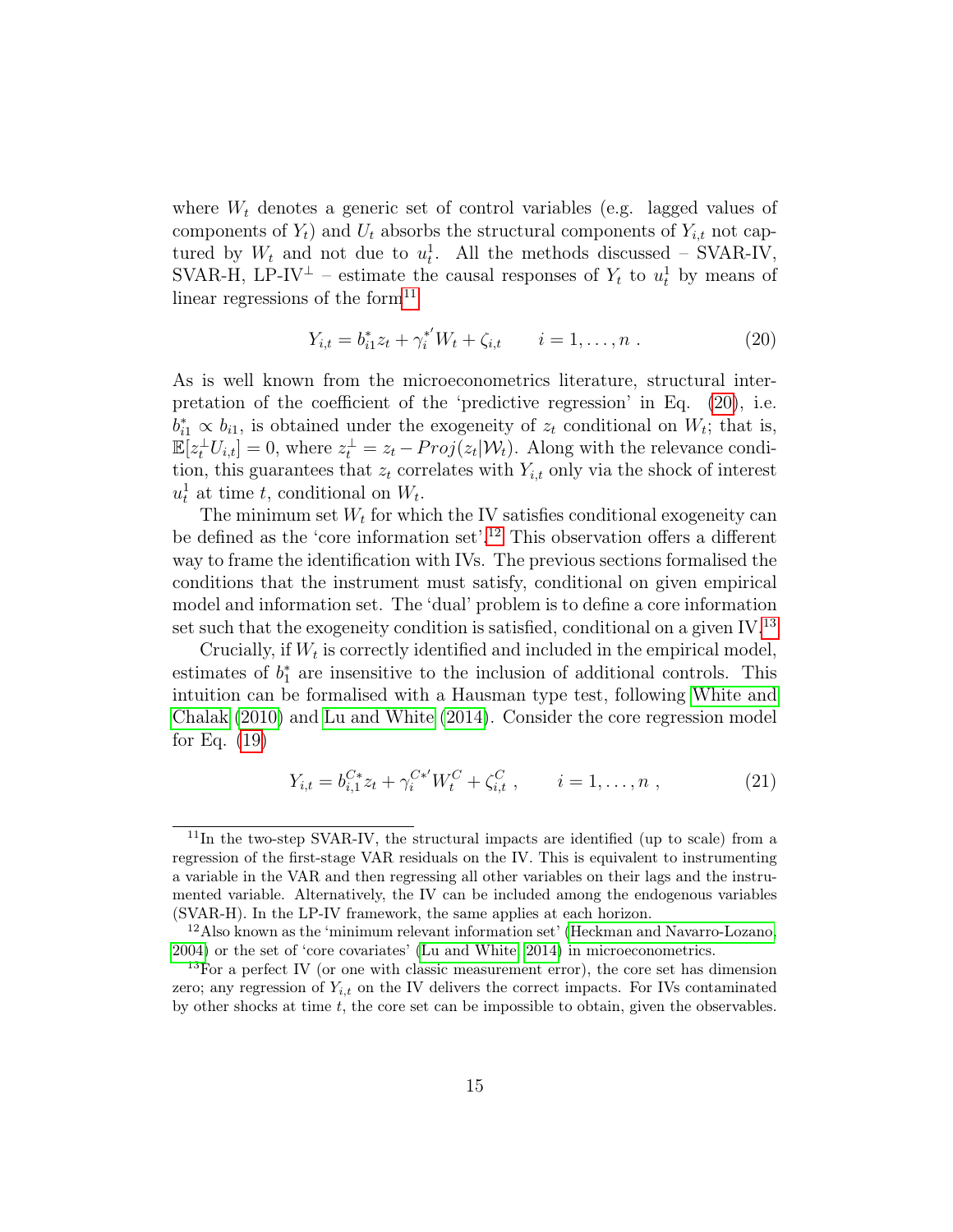where  $W_t$  denotes a generic set of control variables (e.g. lagged values of components of  $Y_t$ ) and  $U_t$  absorbs the structural components of  $Y_{i,t}$  not captured by  $W_t$  and not due to  $u_t^1$ . All the methods discussed – SVAR-IV, SVAR-H, LP-IV<sup> $\perp$ </sup> – estimate the causal responses of  $Y_t$  to  $u_t$ <sup>1</sup> by means of linear regressions of the form $11$ 

<span id="page-16-0"></span>
$$
Y_{i,t} = b_{i1}^* z_t + \gamma_i^{*'} W_t + \zeta_{i,t} \qquad i = 1, \dots, n . \tag{20}
$$

As is well known from the microeconometrics literature, structural interpretation of the coefficient of the 'predictive regression' in Eq. [\(20\)](#page-16-0), i.e.  $b_{i1}^* \propto b_{i1}$ , is obtained under the exogeneity of  $z_t$  conditional on  $W_t$ ; that is,  $\mathbb{E}[z_t^{\perp} U_{i,t}] = 0$ , where  $z_t^{\perp} = z_t - Proj(z_t | \mathcal{W}_t)$ . Along with the relevance condition, this guarantees that  $z_t$  correlates with  $Y_{i,t}$  only via the shock of interest  $u_t^1$  at time t, conditional on  $W_t$ .

The minimum set  $W_t$  for which the IV satisfies conditional exogeneity can be defined as the 'core information set'.<sup>[12](#page--1-0)</sup> This observation offers a different way to frame the identification with IVs. The previous sections formalised the conditions that the instrument must satisfy, conditional on given empirical model and information set. The 'dual' problem is to define a core information set such that the exogeneity condition is satisfied, conditional on a given  $IV^{13}$  $IV^{13}$  $IV^{13}$ 

Crucially, if  $W_t$  is correctly identified and included in the empirical model, estimates of  $b_1^*$  are insensitive to the inclusion of additional controls. This intuition can be formalised with a Hausman type test, following [White and](#page-34-0) [Chalak](#page-34-0) [\(2010\)](#page-34-0) and [Lu and White](#page-32-1) [\(2014\)](#page-32-1). Consider the core regression model for Eq. [\(19\)](#page-15-1)

<span id="page-16-1"></span>
$$
Y_{i,t} = b_{i,1}^{C*} z_t + \gamma_i^{C*'} W_t^C + \zeta_{i,t}^C , \qquad i = 1, ..., n , \qquad (21)
$$

<sup>&</sup>lt;sup>11</sup>In the two-step SVAR-IV, the structural impacts are identified (up to scale) from a regression of the first-stage VAR residuals on the IV. This is equivalent to instrumenting a variable in the VAR and then regressing all other variables on their lags and the instrumented variable. Alternatively, the IV can be included among the endogenous variables (SVAR-H). In the LP-IV framework, the same applies at each horizon.

<sup>12</sup>Also known as the 'minimum relevant information set' [\(Heckman and Navarro-Lozano,](#page-31-5) [2004\)](#page-31-5) or the set of 'core covariates' [\(Lu and White, 2014\)](#page-32-1) in microeconometrics.

 $13$ For a perfect IV (or one with classic measurement error), the core set has dimension zero; any regression of  $Y_{i,t}$  on the IV delivers the correct impacts. For IVs contaminated by other shocks at time  $t$ , the core set can be impossible to obtain, given the observables.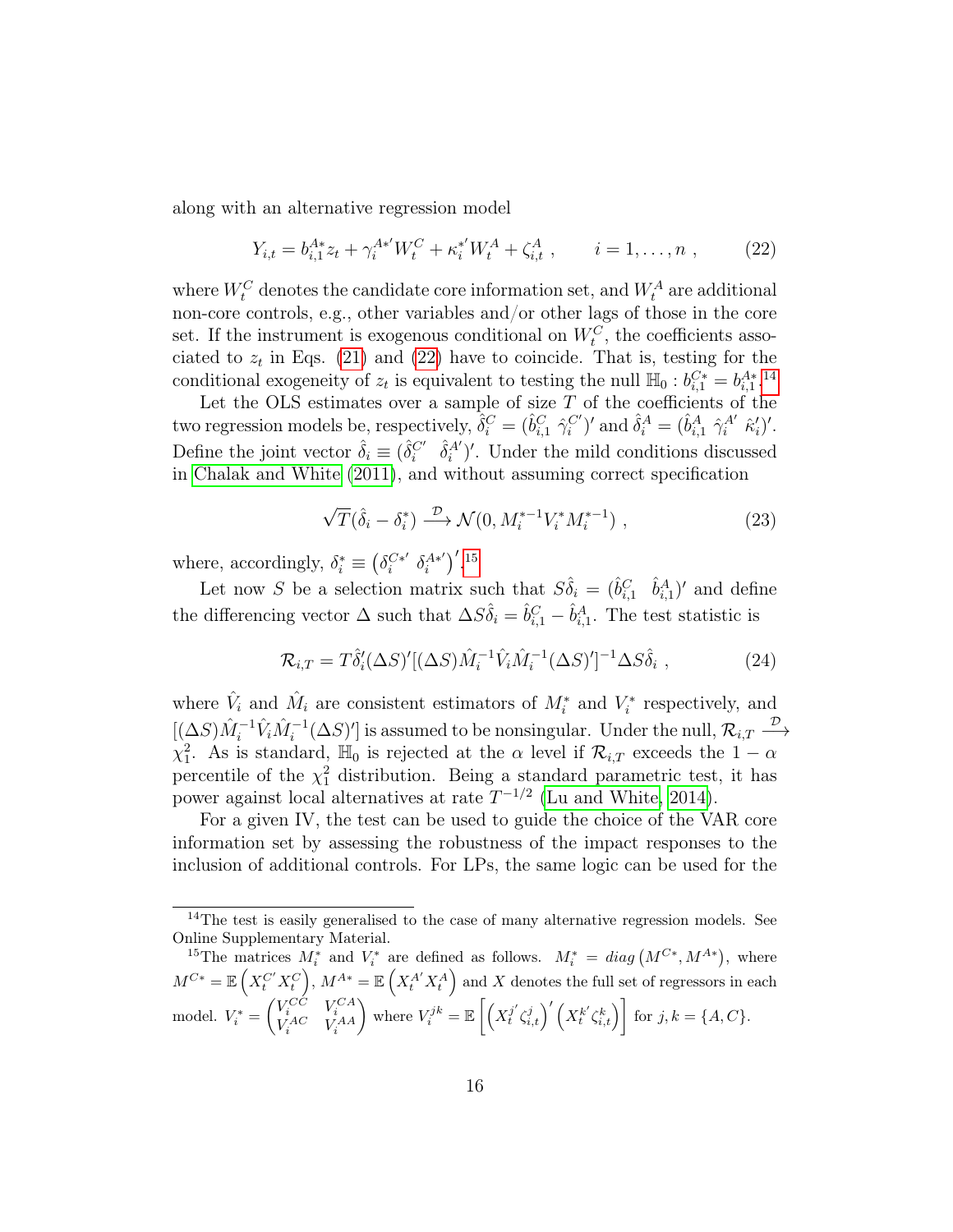along with an alternative regression model

<span id="page-17-0"></span>
$$
Y_{i,t} = b_{i,1}^{A*} z_t + \gamma_i^{A*'} W_t^C + \kappa_i^{*'} W_t^A + \zeta_{i,t}^A , \qquad i = 1, ..., n , \qquad (22)
$$

where  $W_t^C$  denotes the candidate core information set, and  $W_t^A$  are additional non-core controls, e.g., other variables and/or other lags of those in the core set. If the instrument is exogenous conditional on  $W_t^C$ , the coefficients associated to  $z_t$  in Eqs. [\(21\)](#page-16-1) and [\(22\)](#page-17-0) have to coincide. That is, testing for the conditional exogeneity of  $z_t$  is equivalent to testing the null  $\mathbb{H}_0 : b_{i,1}^{C^*} = b_{i,1}^{A^*}.$ <sup>[14](#page--1-0)</sup>

Let the OLS estimates over a sample of size  $T$  of the coefficients of the two regression models be, respectively,  $\hat{\delta}_i^C = (\hat{b}_{i,1}^C \hat{\gamma}_i^{C'})'$  and  $\hat{\delta}_i^A = (\hat{b}_{i,1}^A \hat{\gamma}_i^{A'} \hat{\kappa}_i')'.$ Define the joint vector  $\hat{\delta}_i \equiv (\hat{\delta}_i^{C'} \quad \hat{\delta}_i^{A'})'$ . Under the mild conditions discussed in [Chalak and White](#page-30-3) [\(2011\)](#page-30-3), and without assuming correct specification

$$
\sqrt{T}(\hat{\delta}_i - \delta_i^*) \xrightarrow{\mathcal{D}} \mathcal{N}(0, M_i^{*-1} V_i^* M_i^{*-1}), \qquad (23)
$$

where, accordingly,  $\delta_i^* \equiv (\delta_i^{C*'}$  $i^{C*'}$   $\delta_i^{A*'}$  $\binom{A^{*'}}{i}$ , [15](#page--1-0)

Let now S be a selection matrix such that  $S\hat{\delta}_i = (\hat{b}_{i,1}^C \hat{b}_{i,1}^A)'$  and define the differencing vector  $\Delta$  such that  $\Delta S \hat{\delta}_i = \hat{b}_{i,1}^C - \hat{b}_{i,1}^A$ . The test statistic is

$$
\mathcal{R}_{i,T} = T\hat{\delta}'_i(\Delta S)'[(\Delta S)\hat{M}_i^{-1}\hat{V}_i\hat{M}_i^{-1}(\Delta S)']^{-1}\Delta S\hat{\delta}_i , \qquad (24)
$$

where  $\hat{V}_i$  and  $\hat{M}_i$  are consistent estimators of  $M_i^*$  and  $V_i^*$  respectively, and  $[(\Delta S)\hat{M}_i^{-1}\hat{V}_i\hat{M}_i^{-1}(\Delta S)']$  is assumed to be nonsingular. Under the null,  $\mathcal{R}_{i,T} \stackrel{\mathcal{D}}{\longrightarrow}$  $\chi_1^2$ . As is standard,  $\mathbb{H}_0$  is rejected at the  $\alpha$  level if  $\mathcal{R}_{i,T}$  exceeds the  $1-\alpha$ percentile of the  $\chi_1^2$  distribution. Being a standard parametric test, it has power against local alternatives at rate  $T^{-1/2}$  [\(Lu and White, 2014\)](#page-32-1).

For a given IV, the test can be used to guide the choice of the VAR core information set by assessing the robustness of the impact responses to the inclusion of additional controls. For LPs, the same logic can be used for the

<sup>&</sup>lt;sup>14</sup>The test is easily generalised to the case of many alternative regression models. See Online Supplementary Material.

<sup>&</sup>lt;sup>15</sup>The matrices  $M_i^*$  and  $V_i^*$  are defined as follows.  $M_i^* = diag(M^{C*}, M^{A*})$ , where  $M^{C*} = \mathbb{E}\left(X_t^{C'} X_t^C\right), M^{A*} = \mathbb{E}\left(X_t^{A'} X_t^A\right)$  and X denotes the full set of regressors in each model.  $V_i^* = \begin{pmatrix} V_i^{CC} & V_i^{CA} \\ V_i^{AC} & V_i^{AA} \end{pmatrix}$ where  $V_i^{jk} = \mathbb{E}\left[\left(X_i^{j'}\right)\right]$  $\left(j^{'}_{t}\zeta_{i,t}^{j}\right)' \left(X_{t}^{k'}\zeta_{i,t}^{k}\right)\right]$  for  $j,k=\{A,C\}.$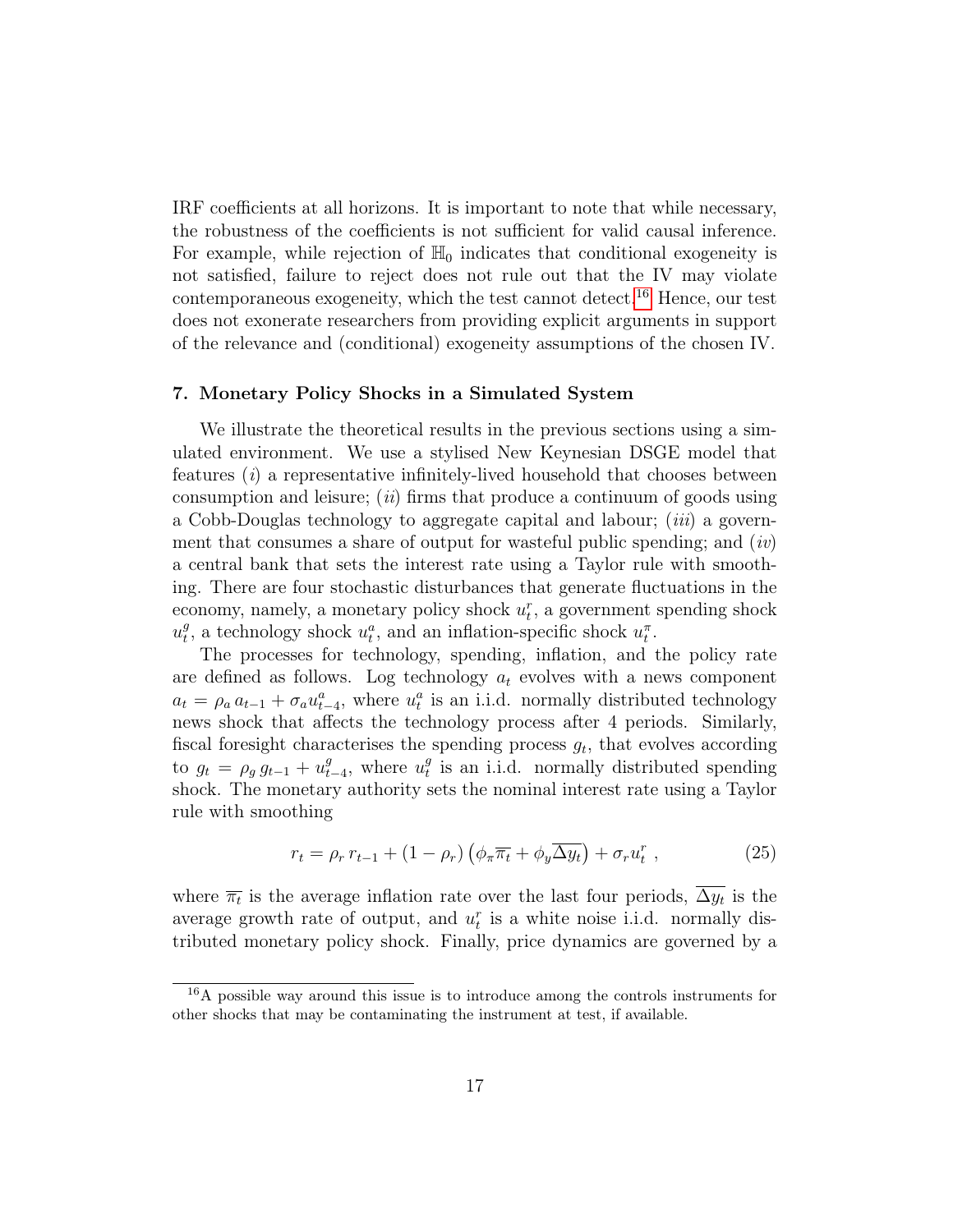IRF coefficients at all horizons. It is important to note that while necessary, the robustness of the coefficients is not sufficient for valid causal inference. For example, while rejection of  $\mathbb{H}_0$  indicates that conditional exogeneity is not satisfied, failure to reject does not rule out that the IV may violate contemporaneous exogeneity, which the test cannot detect.<sup>[16](#page--1-0)</sup> Hence, our test does not exonerate researchers from providing explicit arguments in support of the relevance and (conditional) exogeneity assumptions of the chosen IV.

#### <span id="page-18-0"></span>7. Monetary Policy Shocks in a Simulated System

We illustrate the theoretical results in the previous sections using a simulated environment. We use a stylised New Keynesian DSGE model that features (i) a representative infinitely-lived household that chooses between consumption and leisure; (*ii*) firms that produce a continuum of goods using a Cobb-Douglas technology to aggregate capital and labour; (iii) a government that consumes a share of output for wasteful public spending; and  $(iv)$ a central bank that sets the interest rate using a Taylor rule with smoothing. There are four stochastic disturbances that generate fluctuations in the economy, namely, a monetary policy shock  $u_t^r$ , a government spending shock  $u_t^g$ <sup>g</sup>, a technology shock  $u_t^a$ , and an inflation-specific shock  $u_t^{\pi}$ .

The processes for technology, spending, inflation, and the policy rate are defined as follows. Log technology  $a_t$  evolves with a news component  $a_t = \rho_a a_{t-1} + \sigma_a u_{t-4}^a$ , where  $u_t^a$  is an i.i.d. normally distributed technology news shock that affects the technology process after 4 periods. Similarly, fiscal foresight characterises the spending process  $g_t$ , that evolves according to  $g_t = \rho_g g_{t-1} + u_t^g$  $_{t-4}^g$ , where  $u_t^g$  $_t^g$  is an i.i.d. normally distributed spending shock. The monetary authority sets the nominal interest rate using a Taylor rule with smoothing

$$
r_t = \rho_r r_{t-1} + (1 - \rho_r) \left( \phi_\pi \overline{\pi_t} + \phi_y \overline{\Delta y_t} \right) + \sigma_r u_t^r , \qquad (25)
$$

where  $\overline{\pi_t}$  is the average inflation rate over the last four periods,  $\Delta y_t$  is the average growth rate of output, and  $u_t^r$  is a white noise i.i.d. normally distributed monetary policy shock. Finally, price dynamics are governed by a

<sup>&</sup>lt;sup>16</sup>A possible way around this issue is to introduce among the controls instruments for other shocks that may be contaminating the instrument at test, if available.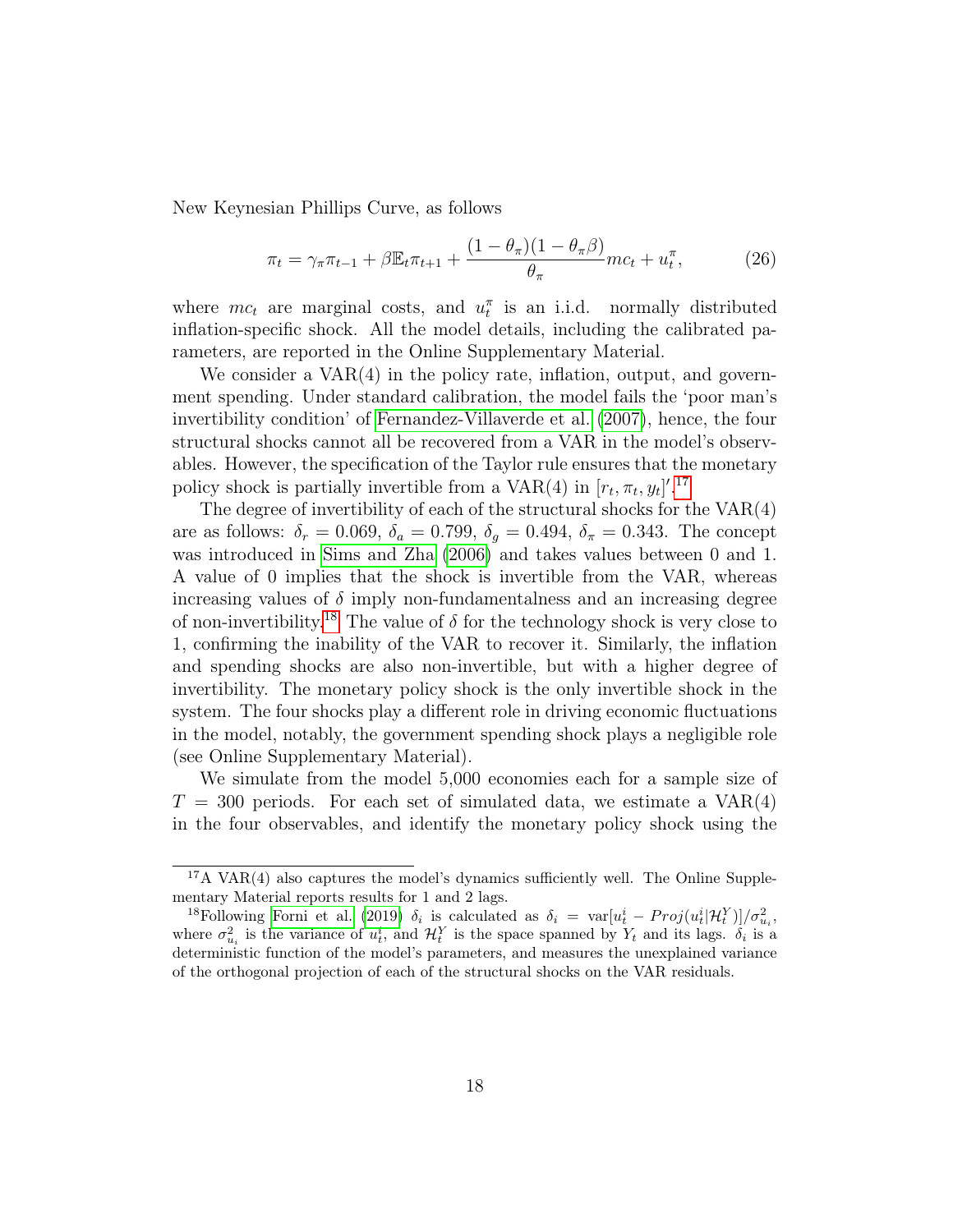New Keynesian Phillips Curve, as follows

$$
\pi_t = \gamma_\pi \pi_{t-1} + \beta \mathbb{E}_t \pi_{t+1} + \frac{(1 - \theta_\pi)(1 - \theta_\pi \beta)}{\theta_\pi} mc_t + u_t^\pi, \tag{26}
$$

where  $mc_t$  are marginal costs, and  $u_t^{\pi}$  is an i.i.d. normally distributed inflation-specific shock. All the model details, including the calibrated parameters, are reported in the Online Supplementary Material.

We consider a  $VAR(4)$  in the policy rate, inflation, output, and government spending. Under standard calibration, the model fails the 'poor man's invertibility condition' of [Fernandez-Villaverde et al.](#page-30-4) [\(2007\)](#page-30-4), hence, the four structural shocks cannot all be recovered from a VAR in the model's observables. However, the specification of the Taylor rule ensures that the monetary policy shock is partially invertible from a VAR(4) in  $[r_t, \pi_t, y_t]'$ .<sup>[17](#page--1-0)</sup>

The degree of invertibility of each of the structural shocks for the  $VAR(4)$ are as follows:  $\delta_r = 0.069, \delta_a = 0.799, \delta_g = 0.494, \delta_\pi = 0.343$ . The concept was introduced in [Sims and Zha](#page-33-1) [\(2006\)](#page-33-1) and takes values between 0 and 1. A value of 0 implies that the shock is invertible from the VAR, whereas increasing values of  $\delta$  imply non-fundamentalness and an increasing degree of non-invertibility.<sup>[18](#page--1-0)</sup> The value of  $\delta$  for the technology shock is very close to 1, confirming the inability of the VAR to recover it. Similarly, the inflation and spending shocks are also non-invertible, but with a higher degree of invertibility. The monetary policy shock is the only invertible shock in the system. The four shocks play a different role in driving economic fluctuations in the model, notably, the government spending shock plays a negligible role (see Online Supplementary Material).

We simulate from the model 5,000 economies each for a sample size of  $T = 300$  periods. For each set of simulated data, we estimate a  $VAR(4)$ in the four observables, and identify the monetary policy shock using the

<sup>&</sup>lt;sup>17</sup>A VAR(4) also captures the model's dynamics sufficiently well. The Online Supplementary Material reports results for 1 and 2 lags.

<sup>&</sup>lt;sup>18</sup>Following [Forni et al.](#page-31-4) [\(2019\)](#page-31-4)  $\delta_i$  is calculated as  $\delta_i = \text{var}[u_t^i - Proj(u_t^i|\mathcal{H}_t^Y)]/\sigma_{u_i}^2$ , where  $\sigma_{u_i}^2$  is the variance of  $u_t^i$ , and  $\mathcal{H}_t^Y$  is the space spanned by  $Y_t$  and its lags.  $\delta_i$  is a deterministic function of the model's parameters, and measures the unexplained variance of the orthogonal projection of each of the structural shocks on the VAR residuals.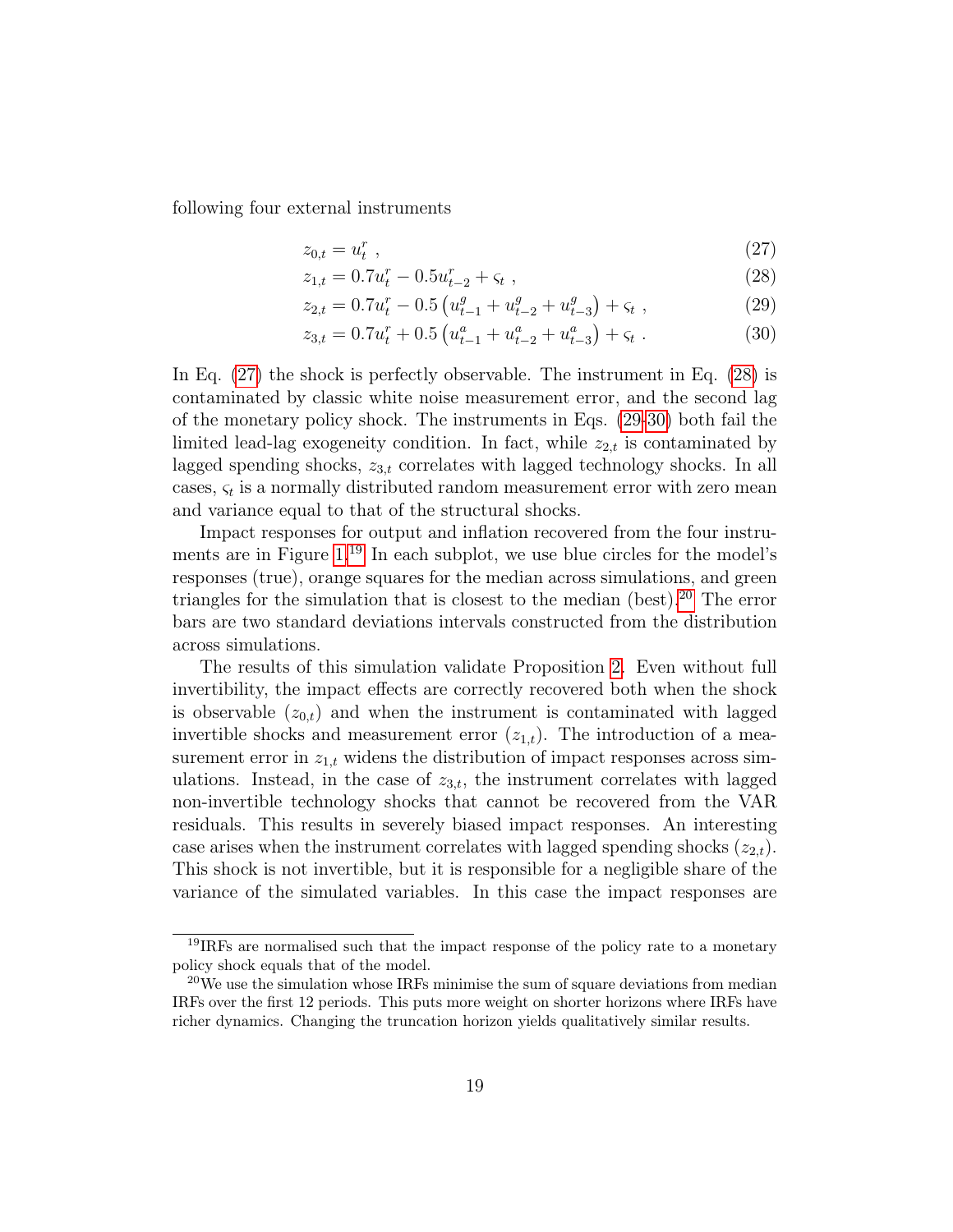following four external instruments

<span id="page-20-0"></span>
$$
z_{0,t} = u_t^r \tag{27}
$$

<span id="page-20-2"></span><span id="page-20-1"></span>
$$
z_{1,t} = 0.7u_t^r - 0.5u_{t-2}^r + \varsigma_t , \qquad (28)
$$

$$
z_{2,t} = 0.7u_t^r - 0.5\left(u_{t-1}^g + u_{t-2}^g + u_{t-3}^g\right) + \varsigma_t \tag{29}
$$

<span id="page-20-3"></span>
$$
z_{3,t} = 0.7u_t^r + 0.5\left(u_{t-1}^a + u_{t-2}^a + u_{t-3}^a\right) + \varsigma_t \tag{30}
$$

In Eq. [\(27\)](#page-20-0) the shock is perfectly observable. The instrument in Eq. [\(28\)](#page-20-1) is contaminated by classic white noise measurement error, and the second lag of the monetary policy shock. The instruments in Eqs. [\(29-](#page-20-2)[30\)](#page-20-3) both fail the limited lead-lag exogeneity condition. In fact, while  $z_{2,t}$  is contaminated by lagged spending shocks,  $z_{3,t}$  correlates with lagged technology shocks. In all cases,  $\varsigma_t$  is a normally distributed random measurement error with zero mean and variance equal to that of the structural shocks.

<span id="page-20-4"></span>Impact responses for output and inflation recovered from the four instru-ments are in Figure [1.](#page-20-4)<sup>[19](#page--1-0)</sup> In each subplot, we use blue circles for the model's responses (true), orange squares for the median across simulations, and green triangles for the simulation that is closest to the median (best).[20](#page--1-0) The error bars are two standard deviations intervals constructed from the distribution across simulations.

The results of this simulation validate Proposition [2.](#page-9-1) Even without full invertibility, the impact effects are correctly recovered both when the shock is observable  $(z_{0,t})$  and when the instrument is contaminated with lagged invertible shocks and measurement error  $(z_{1,t})$ . The introduction of a measurement error in  $z_{1,t}$  widens the distribution of impact responses across simulations. Instead, in the case of  $z_{3,t}$ , the instrument correlates with lagged non-invertible technology shocks that cannot be recovered from the VAR residuals. This results in severely biased impact responses. An interesting case arises when the instrument correlates with lagged spending shocks  $(z_{2,t})$ . This shock is not invertible, but it is responsible for a negligible share of the variance of the simulated variables. In this case the impact responses are

<sup>&</sup>lt;sup>19</sup>IRFs are normalised such that the impact response of the policy rate to a monetary policy shock equals that of the model.

<sup>20</sup>We use the simulation whose IRFs minimise the sum of square deviations from median IRFs over the first 12 periods. This puts more weight on shorter horizons where IRFs have richer dynamics. Changing the truncation horizon yields qualitatively similar results.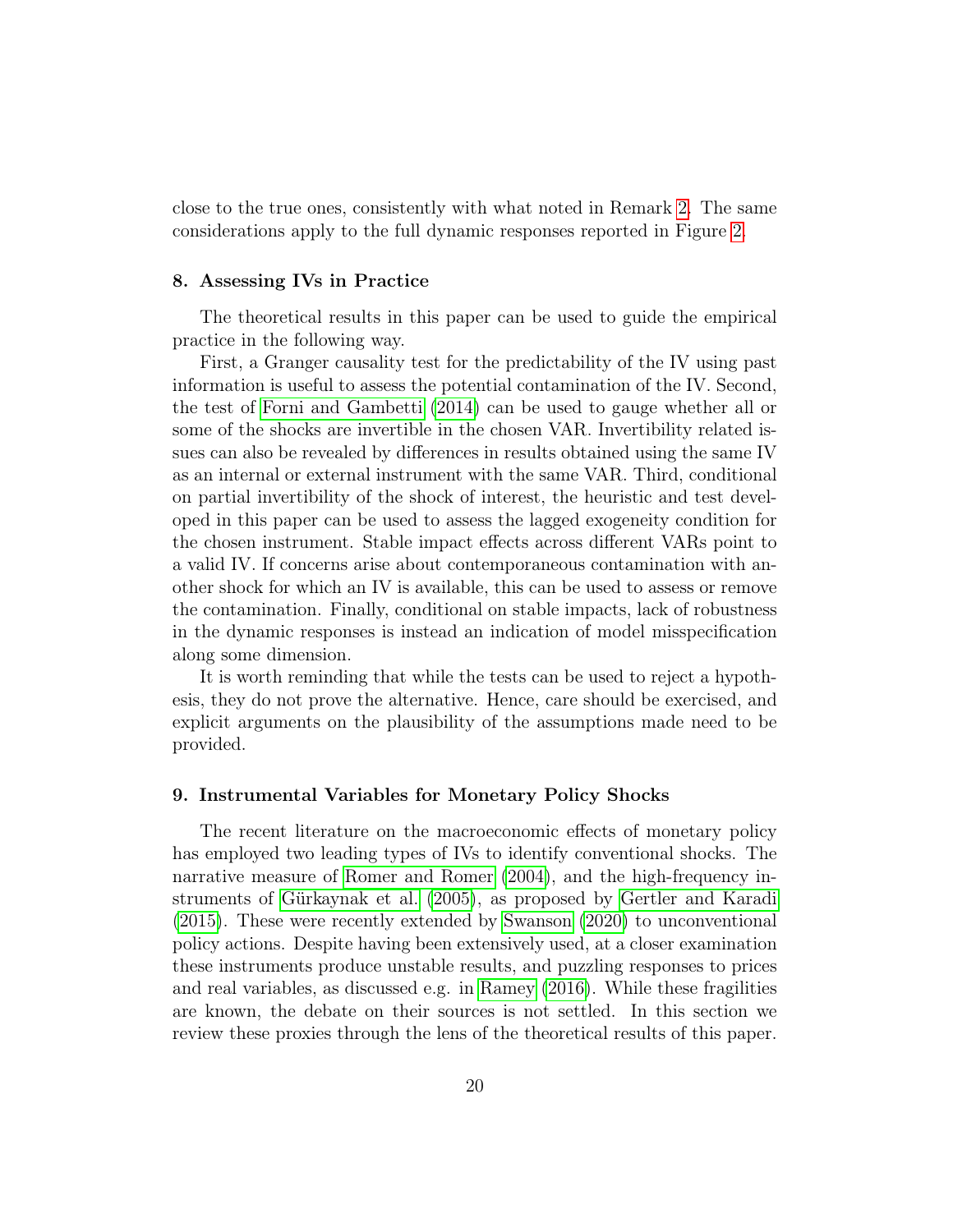close to the true ones, consistently with what noted in Remark [2.](#page-10-1) The same considerations apply to the full dynamic responses reported in Figure [2.](#page-21-2)

#### <span id="page-21-2"></span><span id="page-21-0"></span>8. Assessing IVs in Practice

The theoretical results in this paper can be used to guide the empirical practice in the following way.

First, a Granger causality test for the predictability of the IV using past information is useful to assess the potential contamination of the IV. Second, the test of [Forni and Gambetti](#page-30-1) [\(2014\)](#page-30-1) can be used to gauge whether all or some of the shocks are invertible in the chosen VAR. Invertibility related issues can also be revealed by differences in results obtained using the same IV as an internal or external instrument with the same VAR. Third, conditional on partial invertibility of the shock of interest, the heuristic and test developed in this paper can be used to assess the lagged exogeneity condition for the chosen instrument. Stable impact effects across different VARs point to a valid IV. If concerns arise about contemporaneous contamination with another shock for which an IV is available, this can be used to assess or remove the contamination. Finally, conditional on stable impacts, lack of robustness in the dynamic responses is instead an indication of model misspecification along some dimension.

It is worth reminding that while the tests can be used to reject a hypothesis, they do not prove the alternative. Hence, care should be exercised, and explicit arguments on the plausibility of the assumptions made need to be provided.

#### <span id="page-21-1"></span>9. Instrumental Variables for Monetary Policy Shocks

The recent literature on the macroeconomic effects of monetary policy has employed two leading types of IVs to identify conventional shocks. The narrative measure of [Romer and Romer](#page-33-3) [\(2004\)](#page-33-3), and the high-frequency instruments of [Gürkaynak et al.](#page-31-6) [\(2005\)](#page-31-6), as proposed by [Gertler and Karadi](#page-31-1) [\(2015\)](#page-31-1). These were recently extended by [Swanson](#page-33-4) [\(2020\)](#page-33-4) to unconventional policy actions. Despite having been extensively used, at a closer examination these instruments produce unstable results, and puzzling responses to prices and real variables, as discussed e.g. in [Ramey](#page-33-2) [\(2016\)](#page-33-2). While these fragilities are known, the debate on their sources is not settled. In this section we review these proxies through the lens of the theoretical results of this paper.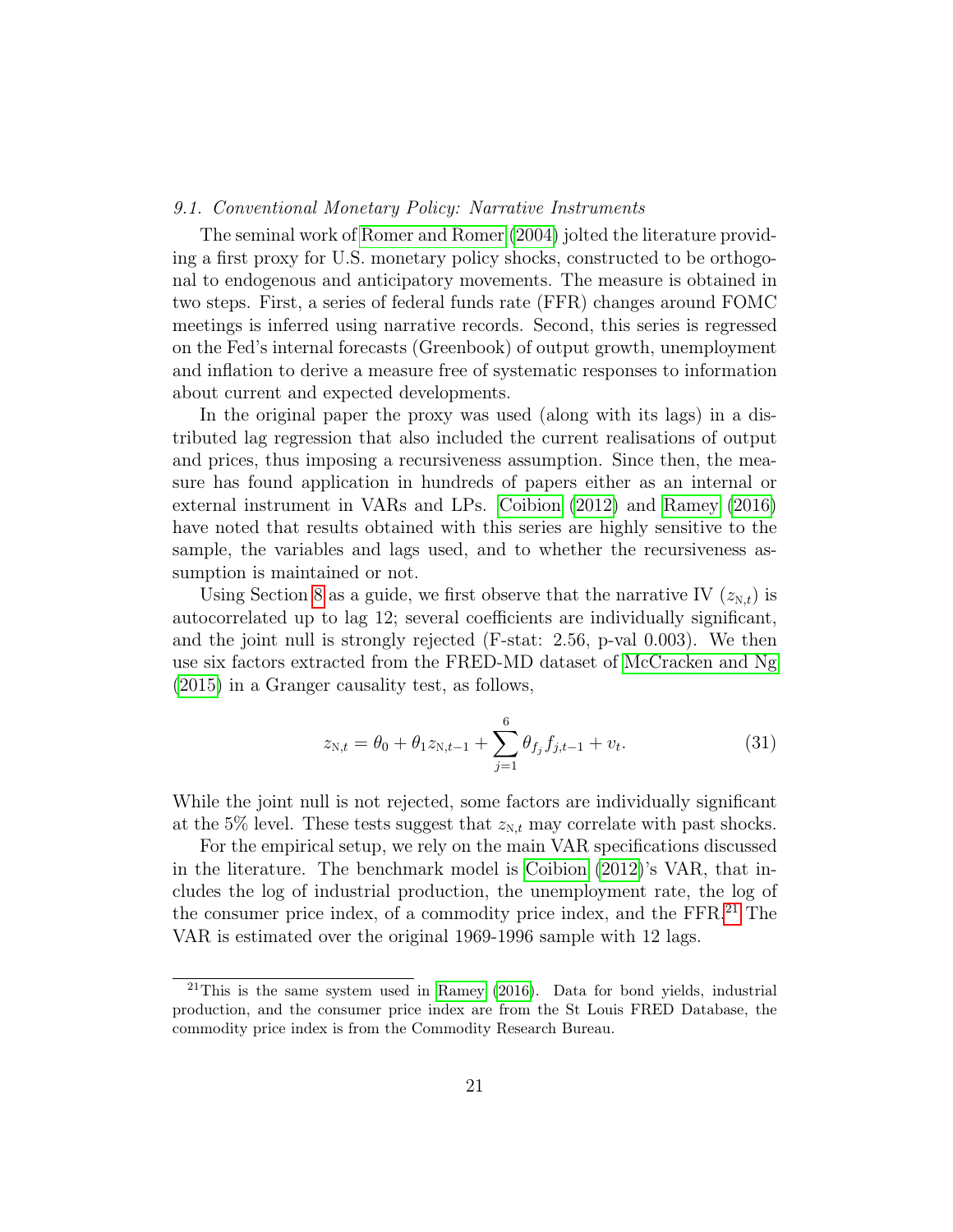#### 9.1. Conventional Monetary Policy: Narrative Instruments

The seminal work of [Romer and Romer](#page-33-3) [\(2004\)](#page-33-3) jolted the literature providing a first proxy for U.S. monetary policy shocks, constructed to be orthogonal to endogenous and anticipatory movements. The measure is obtained in two steps. First, a series of federal funds rate (FFR) changes around FOMC meetings is inferred using narrative records. Second, this series is regressed on the Fed's internal forecasts (Greenbook) of output growth, unemployment and inflation to derive a measure free of systematic responses to information about current and expected developments.

In the original paper the proxy was used (along with its lags) in a distributed lag regression that also included the current realisations of output and prices, thus imposing a recursiveness assumption. Since then, the measure has found application in hundreds of papers either as an internal or external instrument in VARs and LPs. [Coibion](#page-30-5) [\(2012\)](#page-30-5) and [Ramey](#page-33-2) [\(2016\)](#page-33-2) have noted that results obtained with this series are highly sensitive to the sample, the variables and lags used, and to whether the recursiveness assumption is maintained or not.

Using Section [8](#page-21-0) as a guide, we first observe that the narrative IV  $(z_{N,t})$  is autocorrelated up to lag 12; several coefficients are individually significant, and the joint null is strongly rejected (F-stat: 2.56, p-val 0.003). We then use six factors extracted from the FRED-MD dataset of [McCracken and Ng](#page-32-6) [\(2015\)](#page-32-6) in a Granger causality test, as follows,

<span id="page-22-0"></span>
$$
z_{N,t} = \theta_0 + \theta_1 z_{N,t-1} + \sum_{j=1}^6 \theta_{f_j} f_{j,t-1} + v_t.
$$
 (31)

While the joint null is not rejected, some factors are individually significant at the 5% level. These tests suggest that  $z_{N,t}$  may correlate with past shocks.

For the empirical setup, we rely on the main VAR specifications discussed in the literature. The benchmark model is [Coibion](#page-30-5) [\(2012\)](#page-30-5)'s VAR, that includes the log of industrial production, the unemployment rate, the log of the consumer price index, of a commodity price index, and the FFR.[21](#page--1-0) The VAR is estimated over the original 1969-1996 sample with 12 lags.

 $^{21}$ This is the same system used in [Ramey](#page-33-2) [\(2016\)](#page-33-2). Data for bond yields, industrial production, and the consumer price index are from the St Louis FRED Database, the commodity price index is from the Commodity Research Bureau.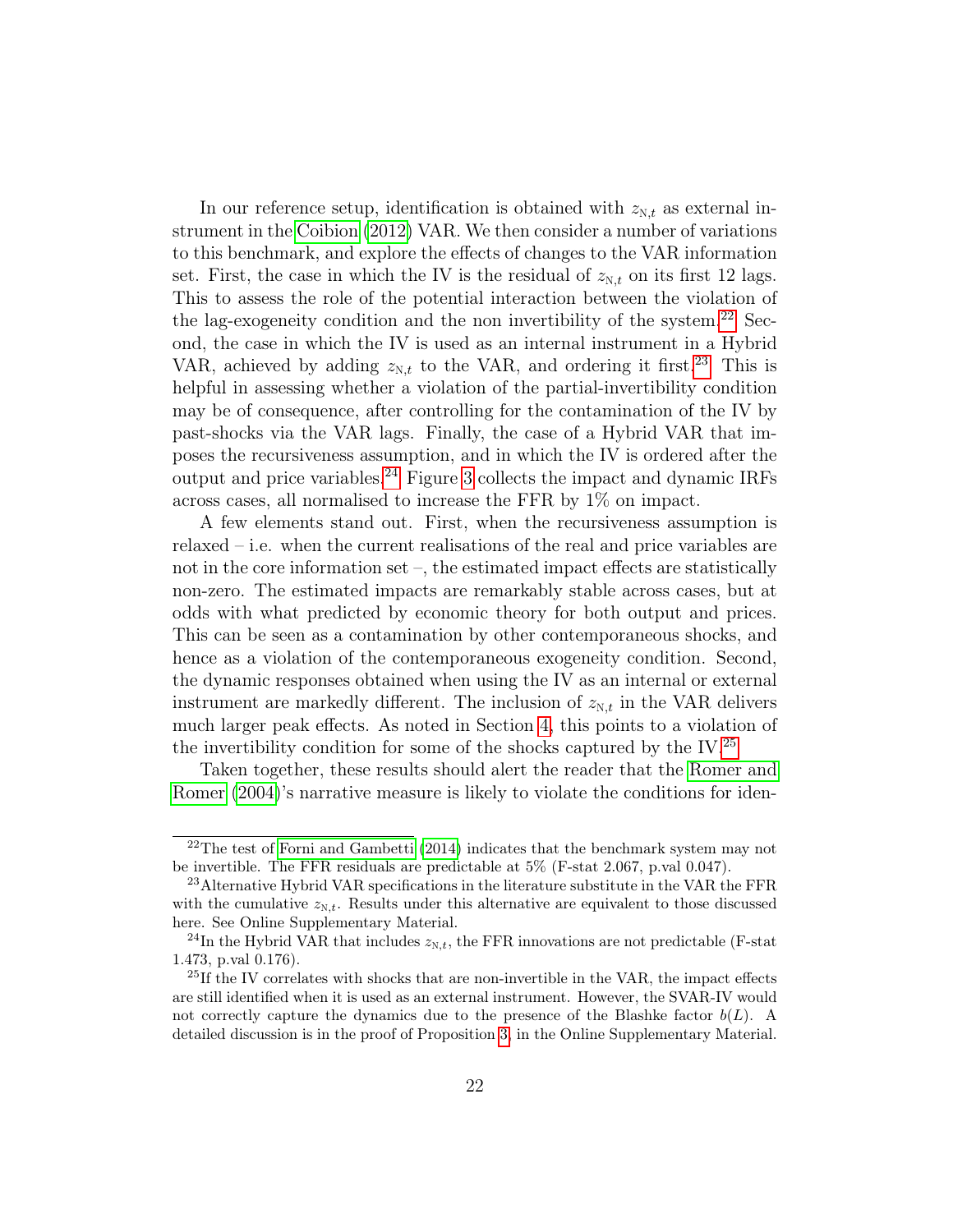In our reference setup, identification is obtained with  $z_{N,t}$  as external instrument in the [Coibion](#page-30-5) [\(2012\)](#page-30-5) VAR. We then consider a number of variations to this benchmark, and explore the effects of changes to the VAR information set. First, the case in which the IV is the residual of  $z_{N,t}$  on its first 12 lags. This to assess the role of the potential interaction between the violation of the lag-exogeneity condition and the non invertibility of the system.<sup>[22](#page--1-0)</sup> Second, the case in which the IV is used as an internal instrument in a Hybrid VAR, achieved by adding  $z_{N,t}$  to the VAR, and ordering it first.<sup>[23](#page--1-0)</sup> This is helpful in assessing whether a violation of the partial-invertibility condition may be of consequence, after controlling for the contamination of the IV by past-shocks via the VAR lags. Finally, the case of a Hybrid VAR that imposes the recursiveness assumption, and in which the IV is ordered after the output and price variables.<sup>[24](#page--1-0)</sup> Figure [3](#page-23-0) collects the impact and dynamic IRFs across cases, all normalised to increase the FFR by 1% on impact.

A few elements stand out. First, when the recursiveness assumption is relaxed – i.e. when the current realisations of the real and price variables are not in the core information set –, the estimated impact effects are statistically non-zero. The estimated impacts are remarkably stable across cases, but at odds with what predicted by economic theory for both output and prices. This can be seen as a contamination by other contemporaneous shocks, and hence as a violation of the contemporaneous exogeneity condition. Second, the dynamic responses obtained when using the IV as an internal or external instrument are markedly different. The inclusion of  $z_{N,t}$  in the VAR delivers much larger peak effects. As noted in Section [4,](#page-11-0) this points to a violation of the invertibility condition for some of the shocks captured by the IV.<sup>[25](#page--1-0)</sup>

<span id="page-23-0"></span>Taken together, these results should alert the reader that the [Romer and](#page-33-3) [Romer](#page-33-3) [\(2004\)](#page-33-3)'s narrative measure is likely to violate the conditions for iden-

 $22$ The test of [Forni and Gambetti](#page-30-1) [\(2014\)](#page-30-1) indicates that the benchmark system may not be invertible. The FFR residuals are predictable at 5% (F-stat 2.067, p.val 0.047).

<sup>&</sup>lt;sup>23</sup> Alternative Hybrid VAR specifications in the literature substitute in the VAR the FFR with the cumulative  $z_{N,t}$ . Results under this alternative are equivalent to those discussed here. See Online Supplementary Material.

<sup>&</sup>lt;sup>24</sup>In the Hybrid VAR that includes  $z_{N,t}$ , the FFR innovations are not predictable (F-stat 1.473, p.val 0.176).

<sup>&</sup>lt;sup>25</sup>If the IV correlates with shocks that are non-invertible in the VAR, the impact effects are still identified when it is used as an external instrument. However, the SVAR-IV would not correctly capture the dynamics due to the presence of the Blashke factor  $b(L)$ . A detailed discussion is in the proof of Proposition [3,](#page-13-1) in the Online Supplementary Material.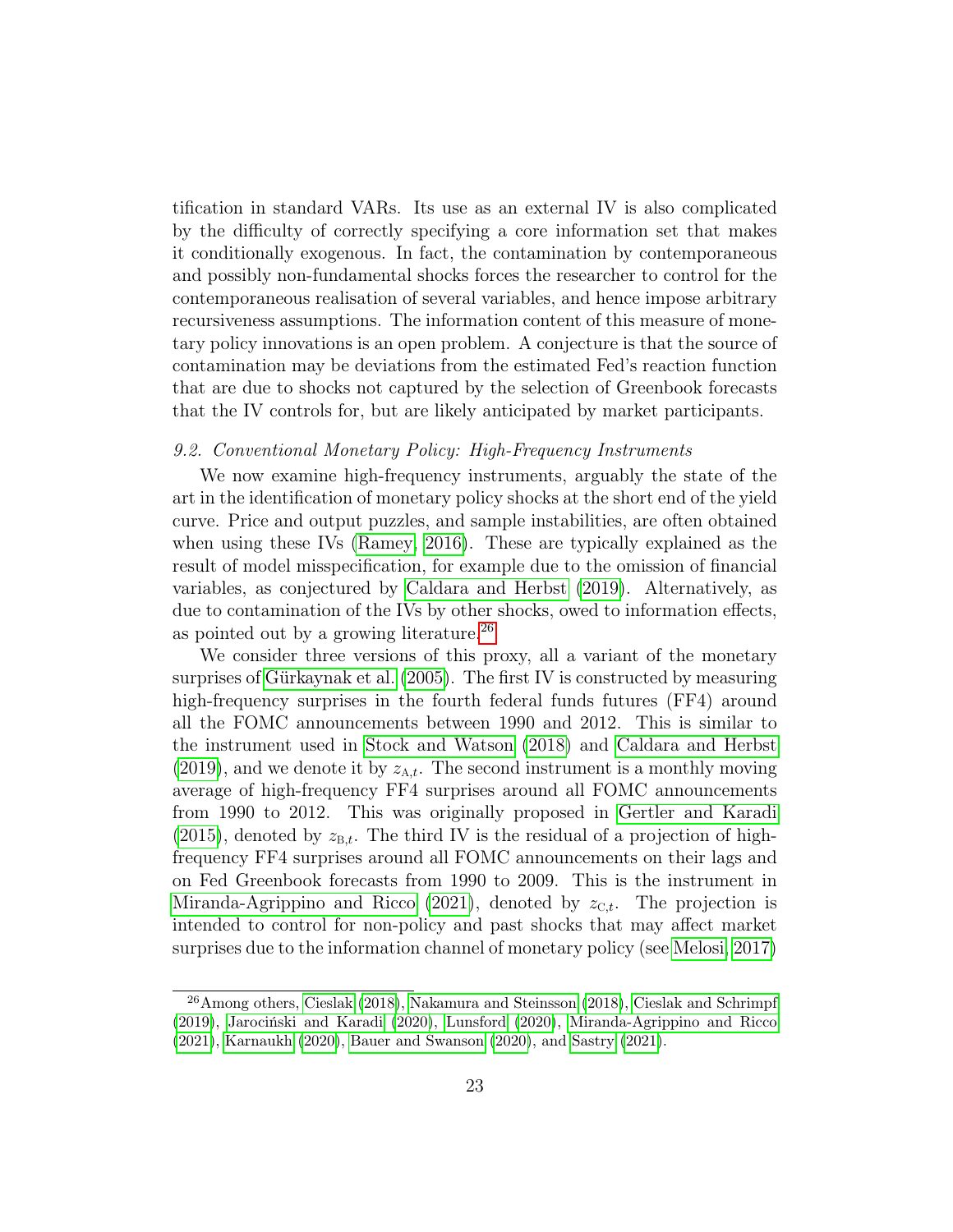tification in standard VARs. Its use as an external IV is also complicated by the difficulty of correctly specifying a core information set that makes it conditionally exogenous. In fact, the contamination by contemporaneous and possibly non-fundamental shocks forces the researcher to control for the contemporaneous realisation of several variables, and hence impose arbitrary recursiveness assumptions. The information content of this measure of monetary policy innovations is an open problem. A conjecture is that the source of contamination may be deviations from the estimated Fed's reaction function that are due to shocks not captured by the selection of Greenbook forecasts that the IV controls for, but are likely anticipated by market participants.

#### 9.2. Conventional Monetary Policy: High-Frequency Instruments

We now examine high-frequency instruments, arguably the state of the art in the identification of monetary policy shocks at the short end of the yield curve. Price and output puzzles, and sample instabilities, are often obtained when using these IVs [\(Ramey, 2016\)](#page-33-2). These are typically explained as the result of model misspecification, for example due to the omission of financial variables, as conjectured by [Caldara and Herbst](#page-29-2) [\(2019\)](#page-29-2). Alternatively, as due to contamination of the IVs by other shocks, owed to information effects, as pointed out by a growing literature.[26](#page--1-0)

We consider three versions of this proxy, all a variant of the monetary surprises of [Gürkaynak et al.](#page-31-6) [\(2005\)](#page-31-6). The first IV is constructed by measuring high-frequency surprises in the fourth federal funds futures (FF4) around all the FOMC announcements between 1990 and 2012. This is similar to the instrument used in [Stock and Watson](#page-33-0) [\(2018\)](#page-33-0) and [Caldara and Herbst](#page-29-2) [\(2019\)](#page-29-2), and we denote it by  $z_{A,t}$ . The second instrument is a monthly moving average of high-frequency FF4 surprises around all FOMC announcements from 1990 to 2012. This was originally proposed in [Gertler and Karadi](#page-31-1)  $(2015)$ , denoted by  $z_{B,t}$ . The third IV is the residual of a projection of highfrequency FF4 surprises around all FOMC announcements on their lags and on Fed Greenbook forecasts from 1990 to 2009. This is the instrument in [Miranda-Agrippino and Ricco](#page-32-7) [\(2021\)](#page-32-7), denoted by  $z_{C,t}$ . The projection is intended to control for non-policy and past shocks that may affect market surprises due to the information channel of monetary policy (see [Melosi, 2017\)](#page-32-8)

<sup>26</sup>Among others, [Cieslak](#page-30-6) [\(2018\)](#page-30-6), [Nakamura and Steinsson](#page-33-9) [\(2018\)](#page-33-9), [Cieslak and Schrimpf](#page-30-7) [\(2019\)](#page-30-7), [Jarociński and Karadi](#page-31-7) [\(2020\)](#page-31-7), [Lunsford](#page-32-9) [\(2020\)](#page-32-9), [Miranda-Agrippino and Ricco](#page-32-7) [\(2021\)](#page-32-7), [Karnaukh](#page-32-10) [\(2020\)](#page-32-10), [Bauer and Swanson](#page-29-3) [\(2020\)](#page-29-3), and [Sastry](#page-33-10) [\(2021\)](#page-33-10).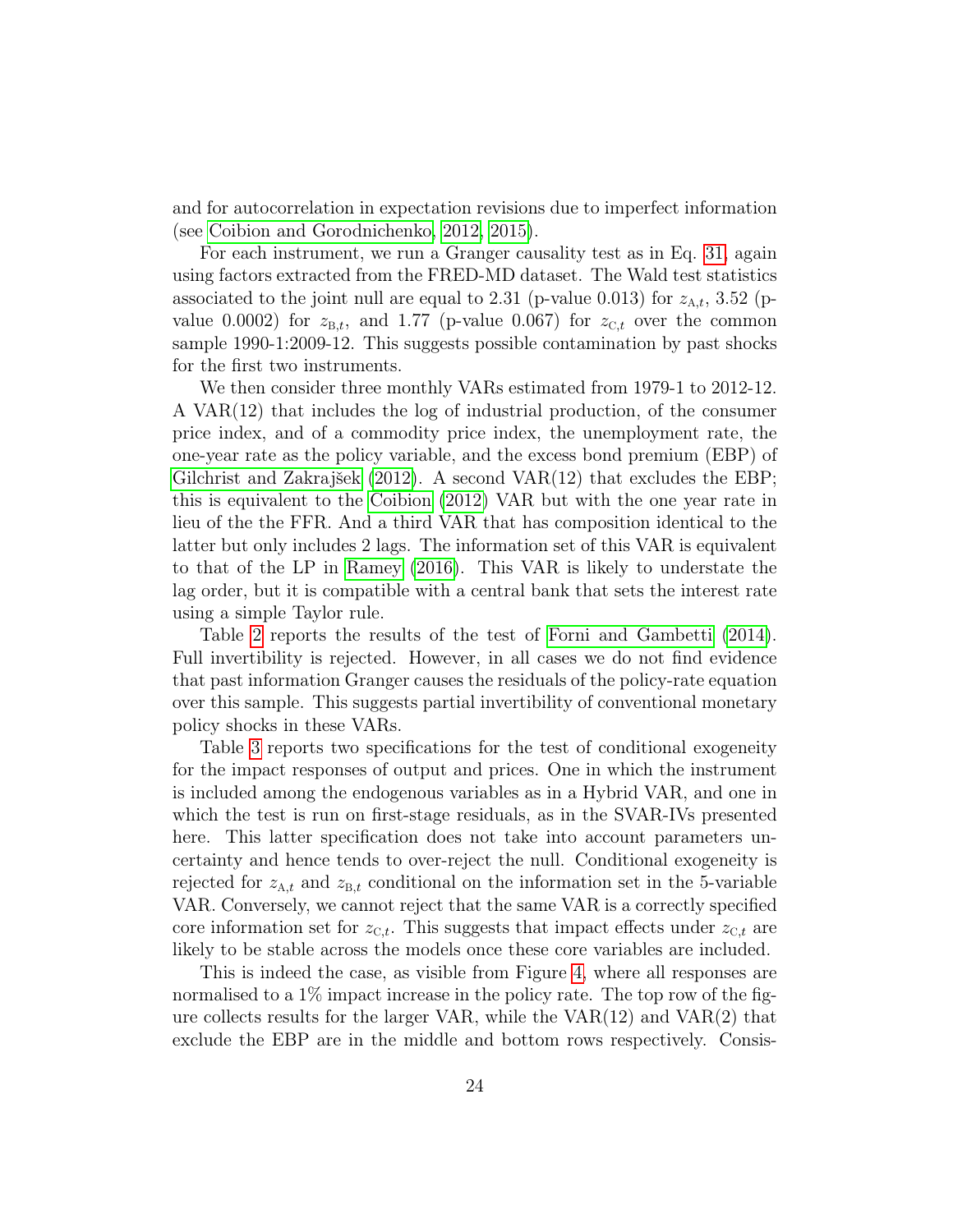and for autocorrelation in expectation revisions due to imperfect information (see [Coibion and Gorodnichenko, 2012,](#page-30-8) [2015\)](#page-30-9).

For each instrument, we run a Granger causality test as in Eq. [31,](#page-22-0) again using factors extracted from the FRED-MD dataset. The Wald test statistics associated to the joint null are equal to 2.31 (p-value 0.013) for  $z_{A,t}$ , 3.52 (pvalue 0.0002) for  $z_{B,t}$ , and 1.77 (p-value 0.067) for  $z_{C,t}$  over the common sample 1990-1:2009-12. This suggests possible contamination by past shocks for the first two instruments.

We then consider three monthly VARs estimated from 1979-1 to 2012-12. A VAR(12) that includes the log of industrial production, of the consumer price index, and of a commodity price index, the unemployment rate, the one-year rate as the policy variable, and the excess bond premium (EBP) of [Gilchrist and Zakrajšek](#page-31-8) [\(2012\)](#page-31-8). A second VAR(12) that excludes the EBP; this is equivalent to the [Coibion](#page-30-5) [\(2012\)](#page-30-5) VAR but with the one year rate in lieu of the the FFR. And a third VAR that has composition identical to the latter but only includes 2 lags. The information set of this VAR is equivalent to that of the LP in [Ramey](#page-33-2) [\(2016\)](#page-33-2). This VAR is likely to understate the lag order, but it is compatible with a central bank that sets the interest rate using a simple Taylor rule.

Table [2](#page-25-0) reports the results of the test of [Forni and Gambetti](#page-30-1) [\(2014\)](#page-30-1). Full invertibility is rejected. However, in all cases we do not find evidence that past information Granger causes the residuals of the policy-rate equation over this sample. This suggests partial invertibility of conventional monetary policy shocks in these VARs.

<span id="page-25-0"></span>Table [3](#page-26-0) reports two specifications for the test of conditional exogeneity for the impact responses of output and prices. One in which the instrument is included among the endogenous variables as in a Hybrid VAR, and one in which the test is run on first-stage residuals, as in the SVAR-IVs presented here. This latter specification does not take into account parameters uncertainty and hence tends to over-reject the null. Conditional exogeneity is rejected for  $z_{A,t}$  and  $z_{B,t}$  conditional on the information set in the 5-variable VAR. Conversely, we cannot reject that the same VAR is a correctly specified core information set for  $z_{\text{C},t}$ . This suggests that impact effects under  $z_{\text{C},t}$  are likely to be stable across the models once these core variables are included.

This is indeed the case, as visible from Figure [4,](#page-26-0) where all responses are normalised to a 1% impact increase in the policy rate. The top row of the figure collects results for the larger VAR, while the VAR(12) and VAR(2) that exclude the EBP are in the middle and bottom rows respectively. Consis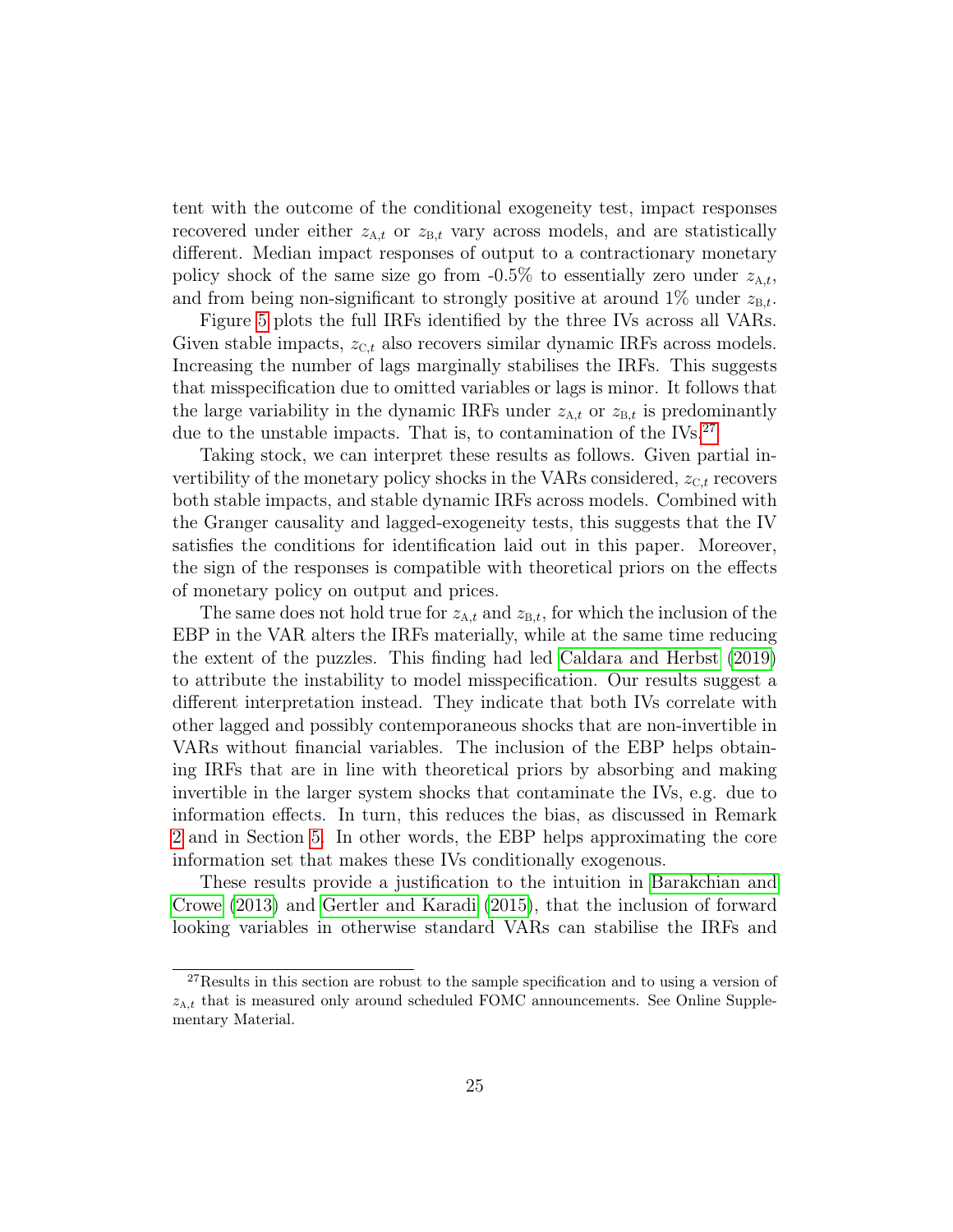tent with the outcome of the conditional exogeneity test, impact responses recovered under either  $z_{A,t}$  or  $z_{B,t}$  vary across models, and are statistically different. Median impact responses of output to a contractionary monetary policy shock of the same size go from  $-0.5\%$  to essentially zero under  $z_{A,t}$ , and from being non-significant to strongly positive at around  $1\%$  under  $z_{B,t}$ .

<span id="page-26-0"></span>Figure [5](#page-26-1) plots the full IRFs identified by the three IVs across all VARs. Given stable impacts,  $z_{C,t}$  also recovers similar dynamic IRFs across models. Increasing the number of lags marginally stabilises the IRFs. This suggests that misspecification due to omitted variables or lags is minor. It follows that the large variability in the dynamic IRFs under  $z_{A,t}$  or  $z_{B,t}$  is predominantly due to the unstable impacts. That is, to contamination of the IVs.<sup>[27](#page--1-0)</sup>

<span id="page-26-1"></span>Taking stock, we can interpret these results as follows. Given partial invertibility of the monetary policy shocks in the VARs considered,  $z_{C,t}$  recovers both stable impacts, and stable dynamic IRFs across models. Combined with the Granger causality and lagged-exogeneity tests, this suggests that the IV satisfies the conditions for identification laid out in this paper. Moreover, the sign of the responses is compatible with theoretical priors on the effects of monetary policy on output and prices.

The same does not hold true for  $z_{A,t}$  and  $z_{B,t}$ , for which the inclusion of the EBP in the VAR alters the IRFs materially, while at the same time reducing the extent of the puzzles. This finding had led [Caldara and Herbst](#page-29-2) [\(2019\)](#page-29-2) to attribute the instability to model misspecification. Our results suggest a different interpretation instead. They indicate that both IVs correlate with other lagged and possibly contemporaneous shocks that are non-invertible in VARs without financial variables. The inclusion of the EBP helps obtaining IRFs that are in line with theoretical priors by absorbing and making invertible in the larger system shocks that contaminate the IVs, e.g. due to information effects. In turn, this reduces the bias, as discussed in Remark [2](#page-10-1) and in Section [5.](#page-14-0) In other words, the EBP helps approximating the core information set that makes these IVs conditionally exogenous.

These results provide a justification to the intuition in [Barakchian and](#page-29-4) [Crowe](#page-29-4) [\(2013\)](#page-29-4) and [Gertler and Karadi](#page-31-1) [\(2015\)](#page-31-1), that the inclusion of forward looking variables in otherwise standard VARs can stabilise the IRFs and

<sup>27</sup>Results in this section are robust to the sample specification and to using a version of  $z_{A,t}$  that is measured only around scheduled FOMC announcements. See Online Supplementary Material.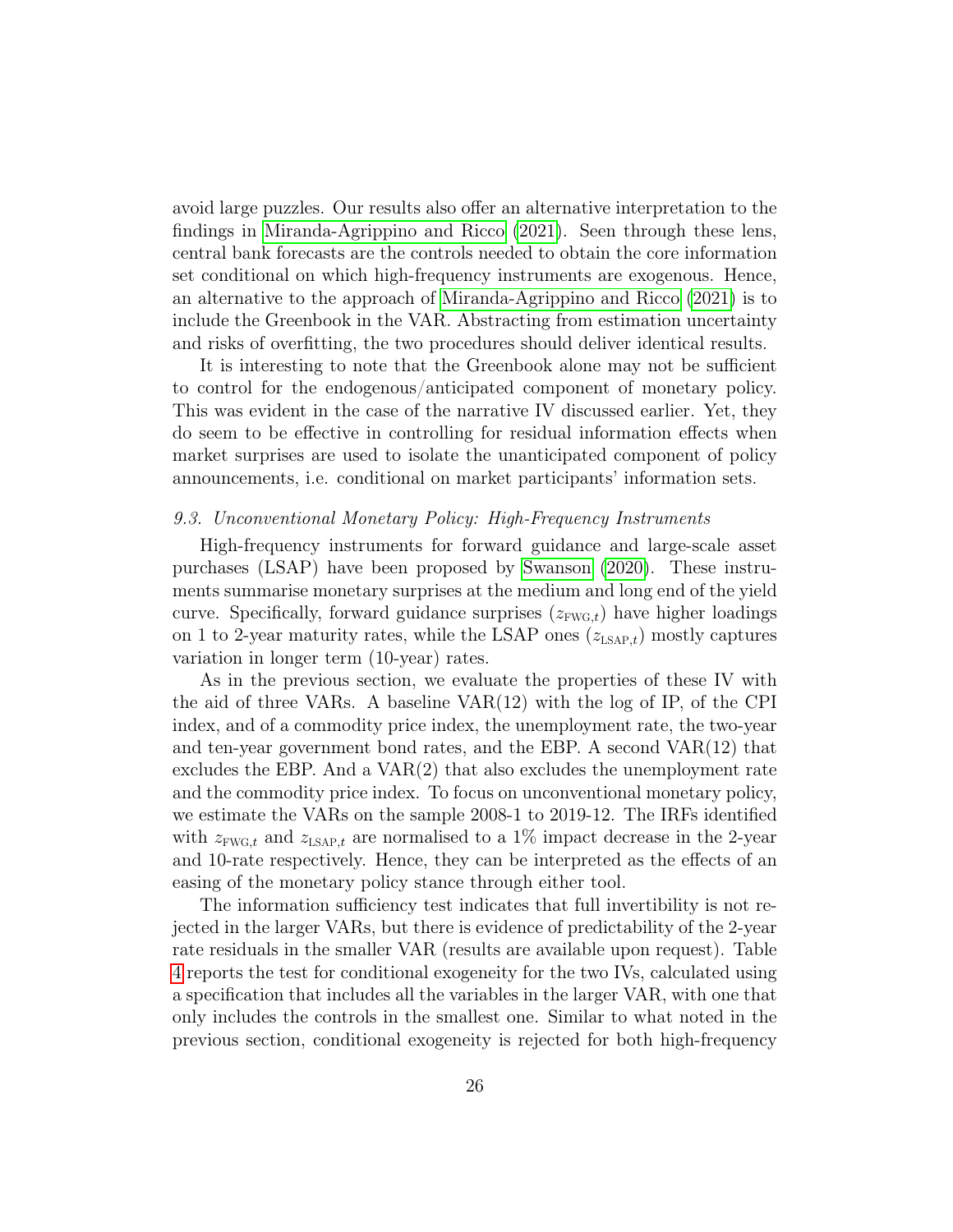avoid large puzzles. Our results also offer an alternative interpretation to the findings in [Miranda-Agrippino and Ricco](#page-32-7) [\(2021\)](#page-32-7). Seen through these lens, central bank forecasts are the controls needed to obtain the core information set conditional on which high-frequency instruments are exogenous. Hence, an alternative to the approach of [Miranda-Agrippino and Ricco](#page-32-7) [\(2021\)](#page-32-7) is to include the Greenbook in the VAR. Abstracting from estimation uncertainty and risks of overfitting, the two procedures should deliver identical results.

It is interesting to note that the Greenbook alone may not be sufficient to control for the endogenous/anticipated component of monetary policy. This was evident in the case of the narrative IV discussed earlier. Yet, they do seem to be effective in controlling for residual information effects when market surprises are used to isolate the unanticipated component of policy announcements, i.e. conditional on market participants' information sets.

#### 9.3. Unconventional Monetary Policy: High-Frequency Instruments

High-frequency instruments for forward guidance and large-scale asset purchases (LSAP) have been proposed by [Swanson](#page-33-4) [\(2020\)](#page-33-4). These instruments summarise monetary surprises at the medium and long end of the yield curve. Specifically, forward guidance surprises  $(z_{\text{FWG},t})$  have higher loadings on 1 to 2-year maturity rates, while the LSAP ones  $(z_{\text{LSAP},t})$  mostly captures variation in longer term (10-year) rates.

As in the previous section, we evaluate the properties of these IV with the aid of three VARs. A baseline VAR(12) with the log of IP, of the CPI index, and of a commodity price index, the unemployment rate, the two-year and ten-year government bond rates, and the EBP. A second  $VAR(12)$  that excludes the EBP. And a  $VAR(2)$  that also excludes the unemployment rate and the commodity price index. To focus on unconventional monetary policy, we estimate the VARs on the sample 2008-1 to 2019-12. The IRFs identified with  $z_{\text{FWG},t}$  and  $z_{\text{LSAP},t}$  are normalised to a 1% impact decrease in the 2-year and 10-rate respectively. Hence, they can be interpreted as the effects of an easing of the monetary policy stance through either tool.

The information sufficiency test indicates that full invertibility is not rejected in the larger VARs, but there is evidence of predictability of the 2-year rate residuals in the smaller VAR (results are available upon request). Table [4](#page-28-1) reports the test for conditional exogeneity for the two IVs, calculated using a specification that includes all the variables in the larger VAR, with one that only includes the controls in the smallest one. Similar to what noted in the previous section, conditional exogeneity is rejected for both high-frequency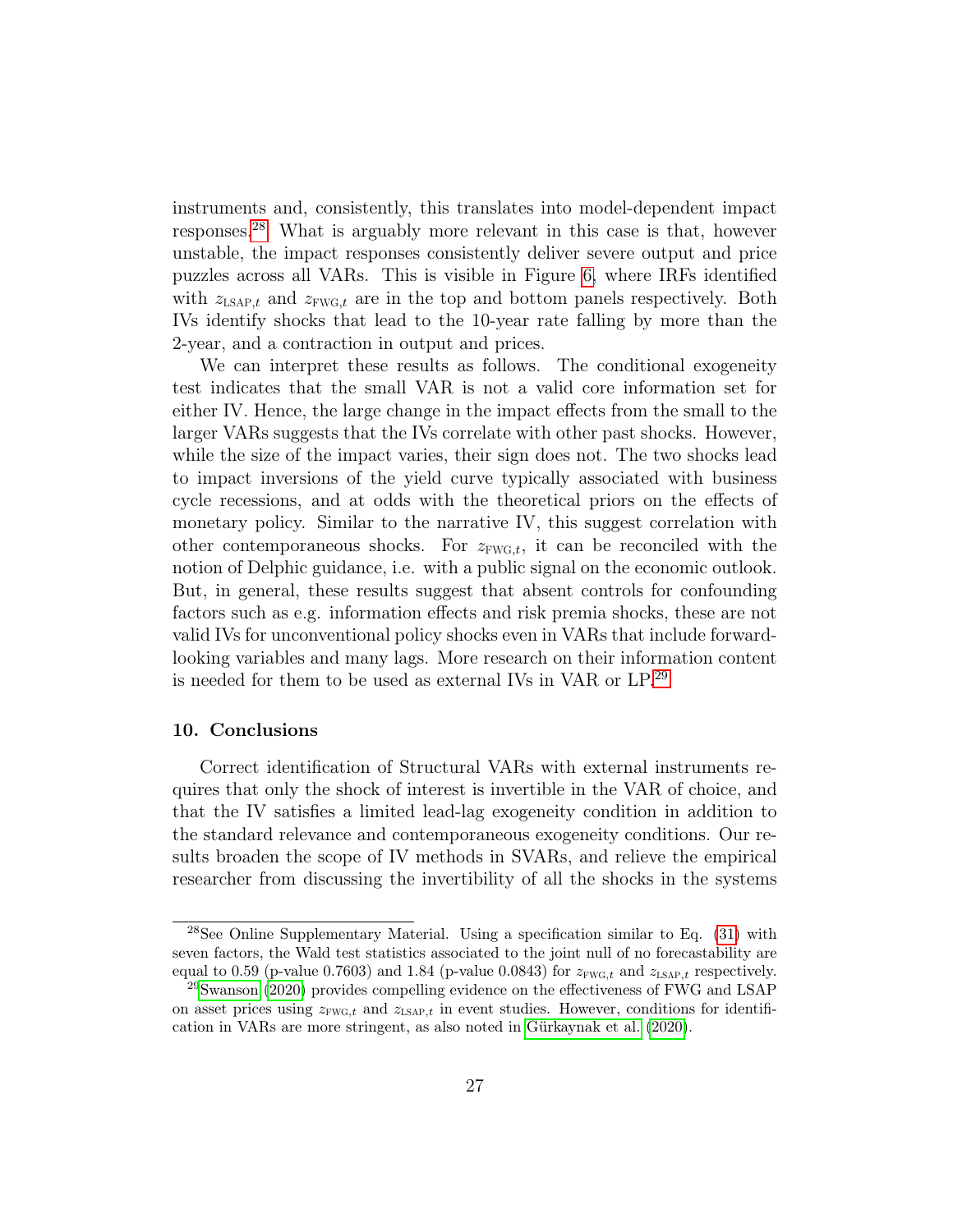instruments and, consistently, this translates into model-dependent impact responses.[28](#page--1-0) What is arguably more relevant in this case is that, however unstable, the impact responses consistently deliver severe output and price puzzles across all VARs. This is visible in Figure [6,](#page-28-1) where IRFs identified with  $z_{LSAP,t}$  and  $z_{FWG,t}$  are in the top and bottom panels respectively. Both IVs identify shocks that lead to the 10-year rate falling by more than the 2-year, and a contraction in output and prices.

<span id="page-28-1"></span>We can interpret these results as follows. The conditional exogeneity test indicates that the small VAR is not a valid core information set for either IV. Hence, the large change in the impact effects from the small to the larger VARs suggests that the IVs correlate with other past shocks. However, while the size of the impact varies, their sign does not. The two shocks lead to impact inversions of the yield curve typically associated with business cycle recessions, and at odds with the theoretical priors on the effects of monetary policy. Similar to the narrative IV, this suggest correlation with other contemporaneous shocks. For  $z_{\text{FWG},t}$ , it can be reconciled with the notion of Delphic guidance, i.e. with a public signal on the economic outlook. But, in general, these results suggest that absent controls for confounding factors such as e.g. information effects and risk premia shocks, these are not valid IVs for unconventional policy shocks even in VARs that include forwardlooking variables and many lags. More research on their information content is needed for them to be used as external IVs in VAR or LP.[29](#page--1-0)

#### <span id="page-28-0"></span>10. Conclusions

Correct identification of Structural VARs with external instruments requires that only the shock of interest is invertible in the VAR of choice, and that the IV satisfies a limited lead-lag exogeneity condition in addition to the standard relevance and contemporaneous exogeneity conditions. Our results broaden the scope of IV methods in SVARs, and relieve the empirical researcher from discussing the invertibility of all the shocks in the systems

 $28$ See Online Supplementary Material. Using a specification similar to Eq.  $(31)$  with seven factors, the Wald test statistics associated to the joint null of no forecastability are equal to 0.59 (p-value 0.7603) and 1.84 (p-value 0.0843) for  $z_{\text{FWG},t}$  and  $z_{\text{LSAP},t}$  respectively.

 $^{29}$ [Swanson](#page-33-4) [\(2020\)](#page-33-4) provides compelling evidence on the effectiveness of FWG and LSAP on asset prices using  $z_{\text{FWG},t}$  and  $z_{\text{LSAP},t}$  in event studies. However, conditions for identification in VARs are more stringent, as also noted in [Gürkaynak et al.](#page-31-9) [\(2020\)](#page-31-9).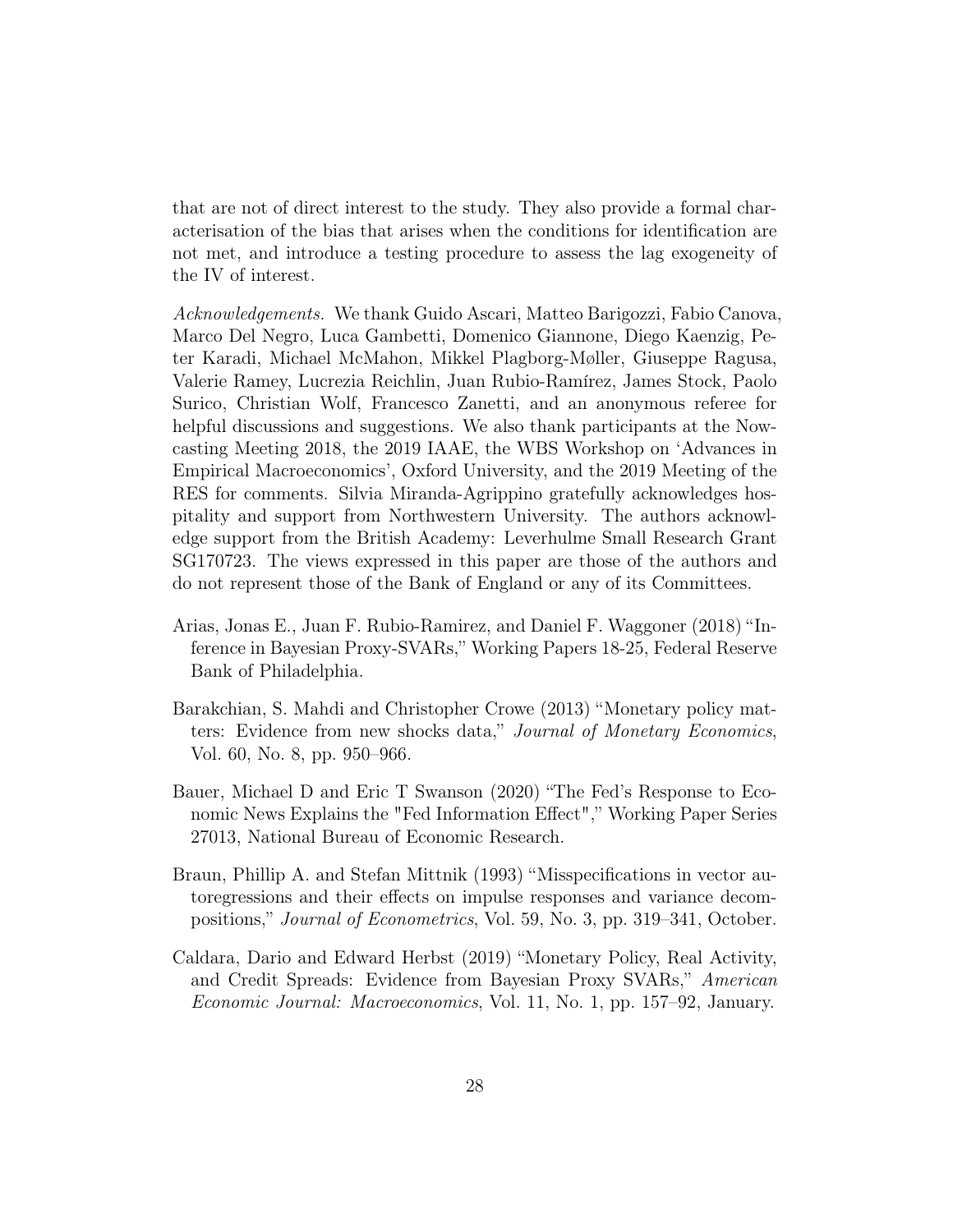that are not of direct interest to the study. They also provide a formal characterisation of the bias that arises when the conditions for identification are not met, and introduce a testing procedure to assess the lag exogeneity of the IV of interest.

Acknowledgements. We thank Guido Ascari, Matteo Barigozzi, Fabio Canova, Marco Del Negro, Luca Gambetti, Domenico Giannone, Diego Kaenzig, Peter Karadi, Michael McMahon, Mikkel Plagborg-Møller, Giuseppe Ragusa, Valerie Ramey, Lucrezia Reichlin, Juan Rubio-Ramírez, James Stock, Paolo Surico, Christian Wolf, Francesco Zanetti, and an anonymous referee for helpful discussions and suggestions. We also thank participants at the Nowcasting Meeting 2018, the 2019 IAAE, the WBS Workshop on 'Advances in Empirical Macroeconomics', Oxford University, and the 2019 Meeting of the RES for comments. Silvia Miranda-Agrippino gratefully acknowledges hospitality and support from Northwestern University. The authors acknowledge support from the British Academy: Leverhulme Small Research Grant SG170723. The views expressed in this paper are those of the authors and do not represent those of the Bank of England or any of its Committees.

- <span id="page-29-0"></span>Arias, Jonas E., Juan F. Rubio-Ramirez, and Daniel F. Waggoner (2018) "Inference in Bayesian Proxy-SVARs," Working Papers 18-25, Federal Reserve Bank of Philadelphia.
- <span id="page-29-4"></span>Barakchian, S. Mahdi and Christopher Crowe (2013) "Monetary policy matters: Evidence from new shocks data," Journal of Monetary Economics, Vol. 60, No. 8, pp. 950–966.
- <span id="page-29-3"></span>Bauer, Michael D and Eric T Swanson (2020) "The Fed's Response to Economic News Explains the "Fed Information Effect"," Working Paper Series 27013, National Bureau of Economic Research.
- <span id="page-29-1"></span>Braun, Phillip A. and Stefan Mittnik (1993) "Misspecifications in vector autoregressions and their effects on impulse responses and variance decompositions," Journal of Econometrics, Vol. 59, No. 3, pp. 319–341, October.
- <span id="page-29-2"></span>Caldara, Dario and Edward Herbst (2019) "Monetary Policy, Real Activity, and Credit Spreads: Evidence from Bayesian Proxy SVARs," American Economic Journal: Macroeconomics, Vol. 11, No. 1, pp. 157–92, January.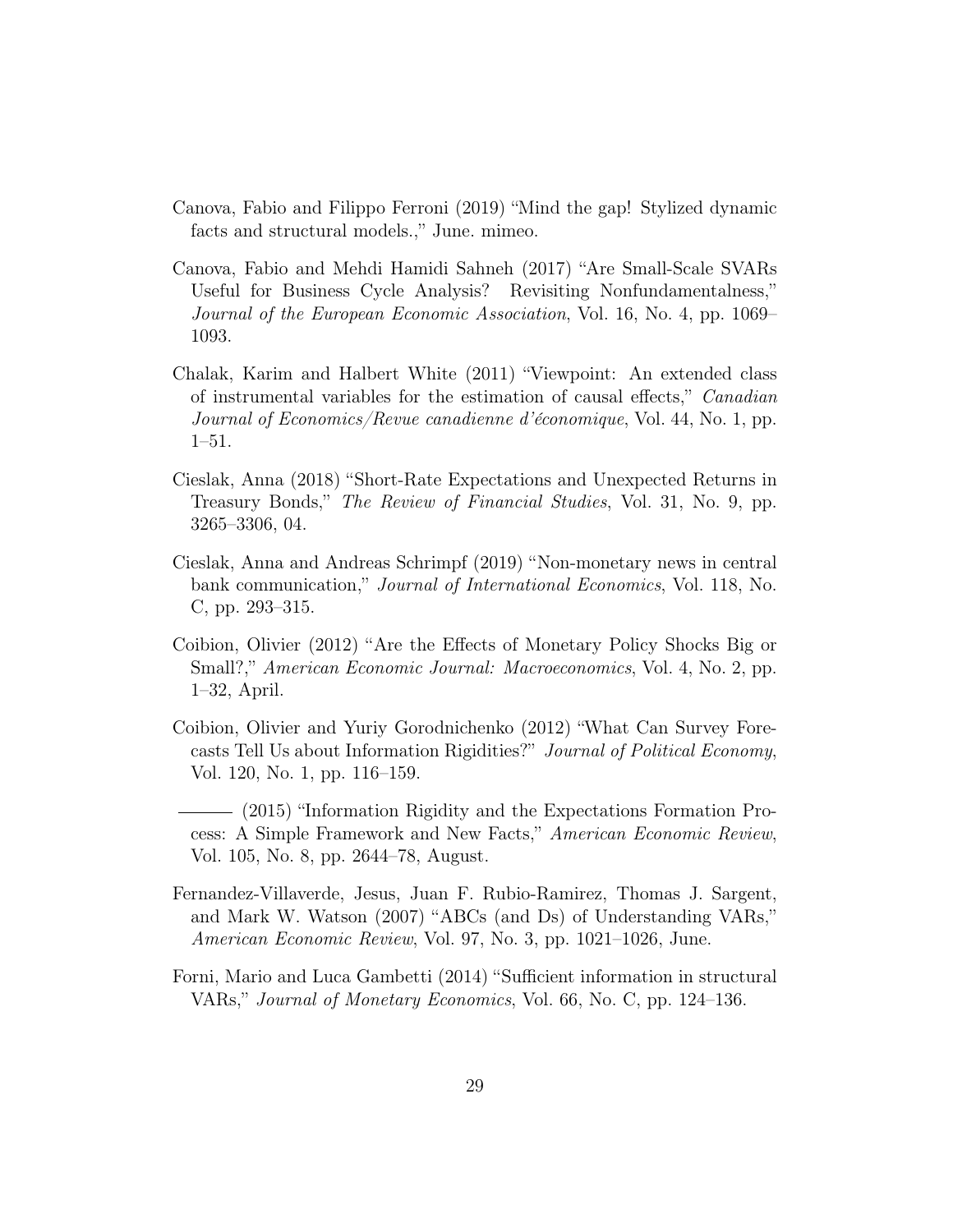- <span id="page-30-0"></span>Canova, Fabio and Filippo Ferroni (2019) "Mind the gap! Stylized dynamic facts and structural models.," June. mimeo.
- <span id="page-30-2"></span>Canova, Fabio and Mehdi Hamidi Sahneh (2017) "Are Small-Scale SVARs Useful for Business Cycle Analysis? Revisiting Nonfundamentalness," Journal of the European Economic Association, Vol. 16, No. 4, pp. 1069– 1093.
- <span id="page-30-3"></span>Chalak, Karim and Halbert White (2011) "Viewpoint: An extended class of instrumental variables for the estimation of causal effects," Canadian Journal of Economics/Revue canadienne d'économique, Vol. 44, No. 1, pp. 1–51.
- <span id="page-30-6"></span>Cieslak, Anna (2018) "Short-Rate Expectations and Unexpected Returns in Treasury Bonds," The Review of Financial Studies, Vol. 31, No. 9, pp. 3265–3306, 04.
- <span id="page-30-7"></span>Cieslak, Anna and Andreas Schrimpf (2019) "Non-monetary news in central bank communication," Journal of International Economics, Vol. 118, No. C, pp. 293–315.
- <span id="page-30-5"></span>Coibion, Olivier (2012) "Are the Effects of Monetary Policy Shocks Big or Small?," American Economic Journal: Macroeconomics, Vol. 4, No. 2, pp. 1–32, April.
- <span id="page-30-8"></span>Coibion, Olivier and Yuriy Gorodnichenko (2012) "What Can Survey Forecasts Tell Us about Information Rigidities?" Journal of Political Economy, Vol. 120, No. 1, pp. 116–159.
- <span id="page-30-9"></span>(2015) "Information Rigidity and the Expectations Formation Process: A Simple Framework and New Facts," American Economic Review, Vol. 105, No. 8, pp. 2644–78, August.
- <span id="page-30-4"></span>Fernandez-Villaverde, Jesus, Juan F. Rubio-Ramirez, Thomas J. Sargent, and Mark W. Watson (2007) "ABCs (and Ds) of Understanding VARs," American Economic Review, Vol. 97, No. 3, pp. 1021–1026, June.
- <span id="page-30-1"></span>Forni, Mario and Luca Gambetti (2014) "Sufficient information in structural VARs," Journal of Monetary Economics, Vol. 66, No. C, pp. 124–136.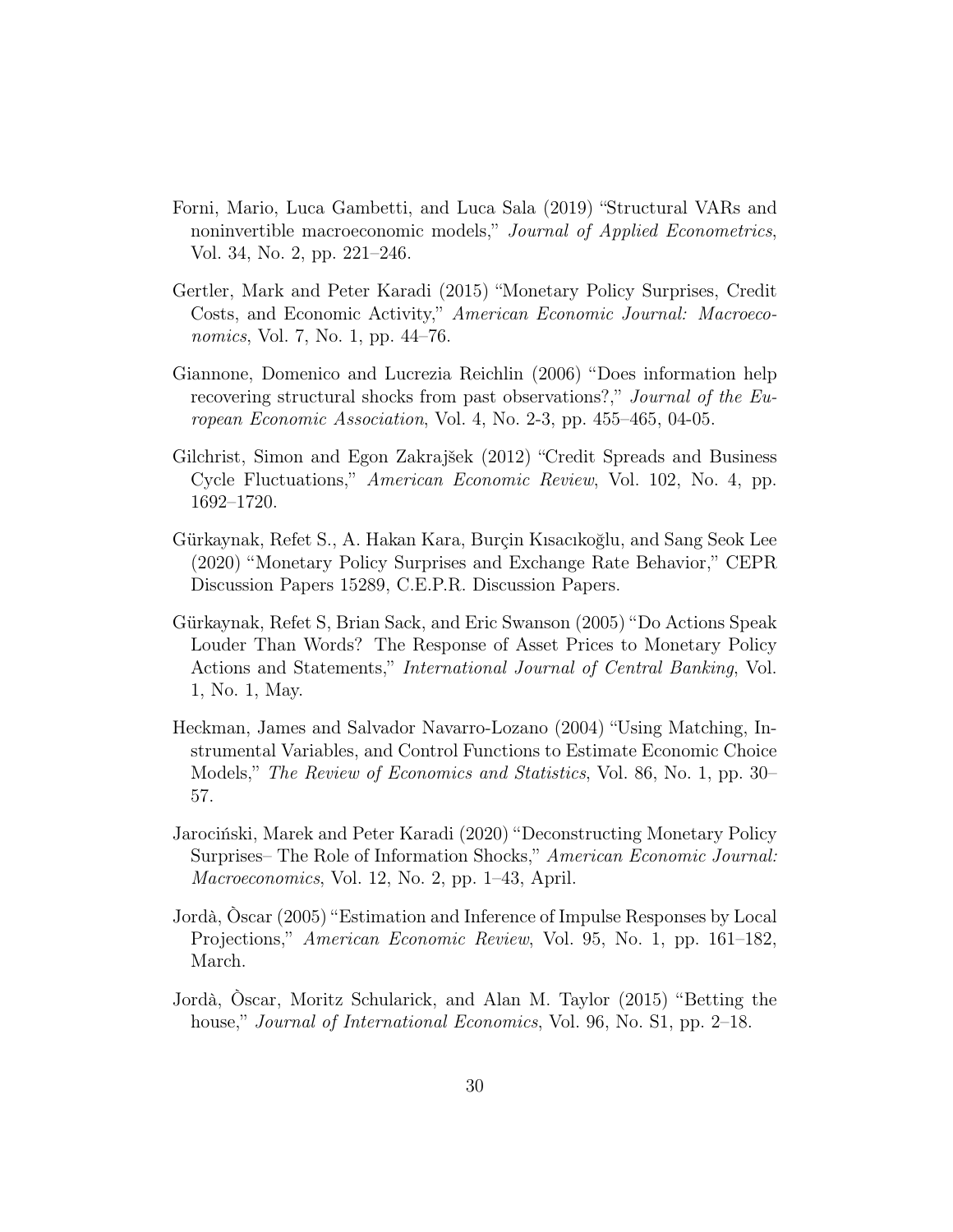- <span id="page-31-4"></span>Forni, Mario, Luca Gambetti, and Luca Sala (2019) "Structural VARs and noninvertible macroeconomic models," Journal of Applied Econometrics, Vol. 34, No. 2, pp. 221–246.
- <span id="page-31-1"></span>Gertler, Mark and Peter Karadi (2015) "Monetary Policy Surprises, Credit Costs, and Economic Activity," American Economic Journal: Macroeconomics, Vol. 7, No. 1, pp. 44–76.
- <span id="page-31-3"></span>Giannone, Domenico and Lucrezia Reichlin (2006) "Does information help recovering structural shocks from past observations?," Journal of the European Economic Association, Vol. 4, No. 2-3, pp. 455–465, 04-05.
- <span id="page-31-8"></span>Gilchrist, Simon and Egon Zakrajšek (2012) "Credit Spreads and Business Cycle Fluctuations," American Economic Review, Vol. 102, No. 4, pp. 1692–1720.
- <span id="page-31-9"></span>Gürkaynak, Refet S., A. Hakan Kara, Burçin Kısacıkoğlu, and Sang Seok Lee (2020) "Monetary Policy Surprises and Exchange Rate Behavior," CEPR Discussion Papers 15289, C.E.P.R. Discussion Papers.
- <span id="page-31-6"></span>Gürkaynak, Refet S, Brian Sack, and Eric Swanson (2005) "Do Actions Speak Louder Than Words? The Response of Asset Prices to Monetary Policy Actions and Statements," International Journal of Central Banking, Vol. 1, No. 1, May.
- <span id="page-31-5"></span>Heckman, James and Salvador Navarro-Lozano (2004) "Using Matching, Instrumental Variables, and Control Functions to Estimate Economic Choice Models," The Review of Economics and Statistics, Vol. 86, No. 1, pp. 30– 57.
- <span id="page-31-7"></span>Jarociński, Marek and Peter Karadi (2020) "Deconstructing Monetary Policy Surprises– The Role of Information Shocks," American Economic Journal: Macroeconomics, Vol. 12, No. 2, pp. 1–43, April.
- <span id="page-31-0"></span>Jordà, Òscar (2005) "Estimation and Inference of Impulse Responses by Local Projections," American Economic Review, Vol. 95, No. 1, pp. 161–182, March.
- <span id="page-31-2"></span>Jordà, Òscar, Moritz Schularick, and Alan M. Taylor (2015) "Betting the house," *Journal of International Economics*, Vol. 96, No. S1, pp. 2–18.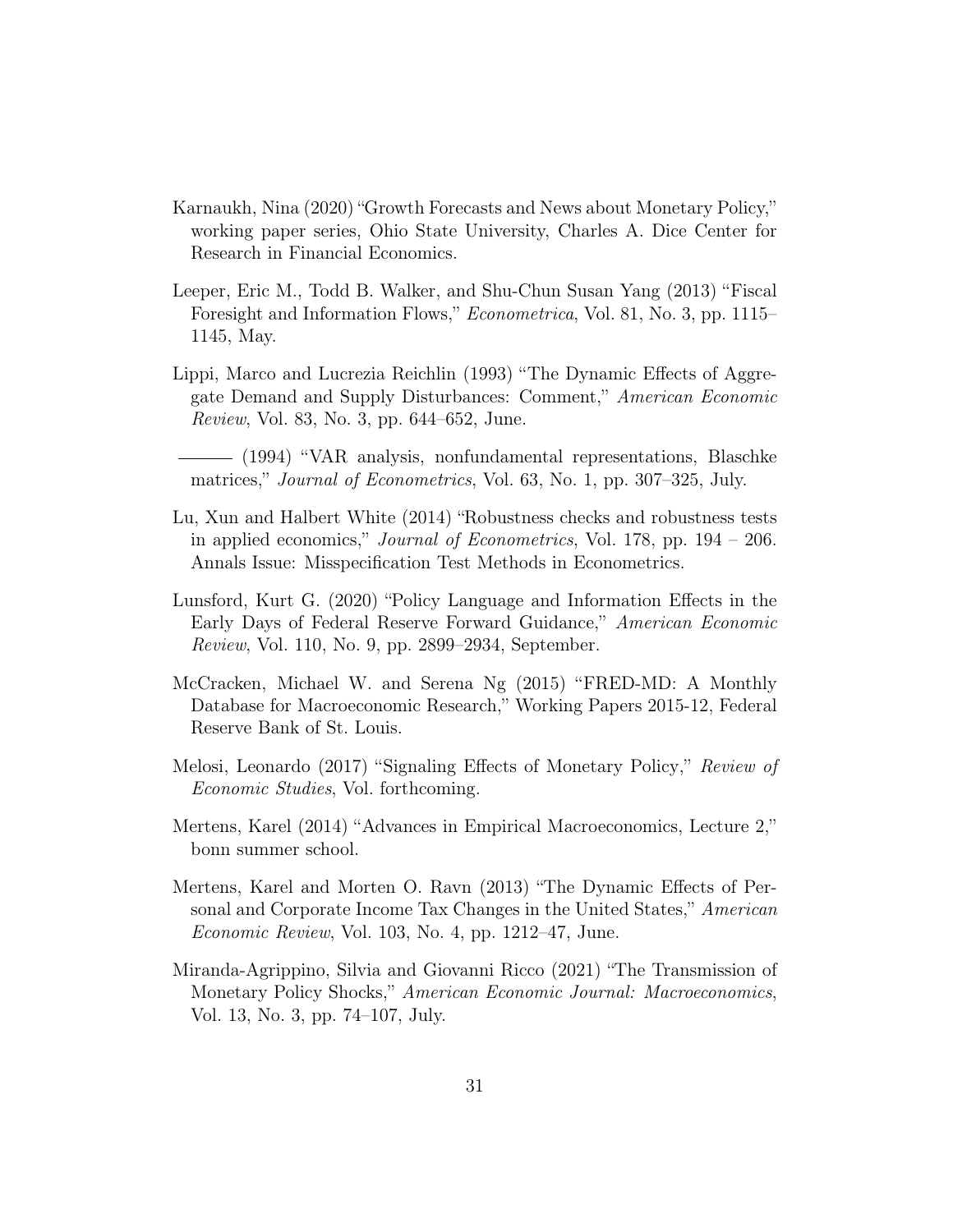- <span id="page-32-10"></span>Karnaukh, Nina (2020) "Growth Forecasts and News about Monetary Policy," working paper series, Ohio State University, Charles A. Dice Center for Research in Financial Economics.
- <span id="page-32-4"></span>Leeper, Eric M., Todd B. Walker, and Shu-Chun Susan Yang (2013) "Fiscal Foresight and Information Flows," Econometrica, Vol. 81, No. 3, pp. 1115– 1145, May.
- <span id="page-32-3"></span>Lippi, Marco and Lucrezia Reichlin (1993) "The Dynamic Effects of Aggregate Demand and Supply Disturbances: Comment," American Economic Review, Vol. 83, No. 3, pp. 644–652, June.

<span id="page-32-5"></span>(1994) "VAR analysis, nonfundamental representations, Blaschke matrices," *Journal of Econometrics*, Vol. 63, No. 1, pp. 307–325, July.

- <span id="page-32-1"></span>Lu, Xun and Halbert White (2014) "Robustness checks and robustness tests in applied economics," Journal of Econometrics, Vol. 178, pp. 194 – 206. Annals Issue: Misspecification Test Methods in Econometrics.
- <span id="page-32-9"></span>Lunsford, Kurt G. (2020) "Policy Language and Information Effects in the Early Days of Federal Reserve Forward Guidance," American Economic Review, Vol. 110, No. 9, pp. 2899–2934, September.
- <span id="page-32-6"></span>McCracken, Michael W. and Serena Ng (2015) "FRED-MD: A Monthly Database for Macroeconomic Research," Working Papers 2015-12, Federal Reserve Bank of St. Louis.
- <span id="page-32-8"></span>Melosi, Leonardo (2017) "Signaling Effects of Monetary Policy," Review of Economic Studies, Vol. forthcoming.
- <span id="page-32-2"></span>Mertens, Karel (2014) "Advances in Empirical Macroeconomics, Lecture 2," bonn summer school.
- <span id="page-32-0"></span>Mertens, Karel and Morten O. Ravn (2013) "The Dynamic Effects of Personal and Corporate Income Tax Changes in the United States," American Economic Review, Vol. 103, No. 4, pp. 1212–47, June.
- <span id="page-32-7"></span>Miranda-Agrippino, Silvia and Giovanni Ricco (2021) "The Transmission of Monetary Policy Shocks," American Economic Journal: Macroeconomics, Vol. 13, No. 3, pp. 74–107, July.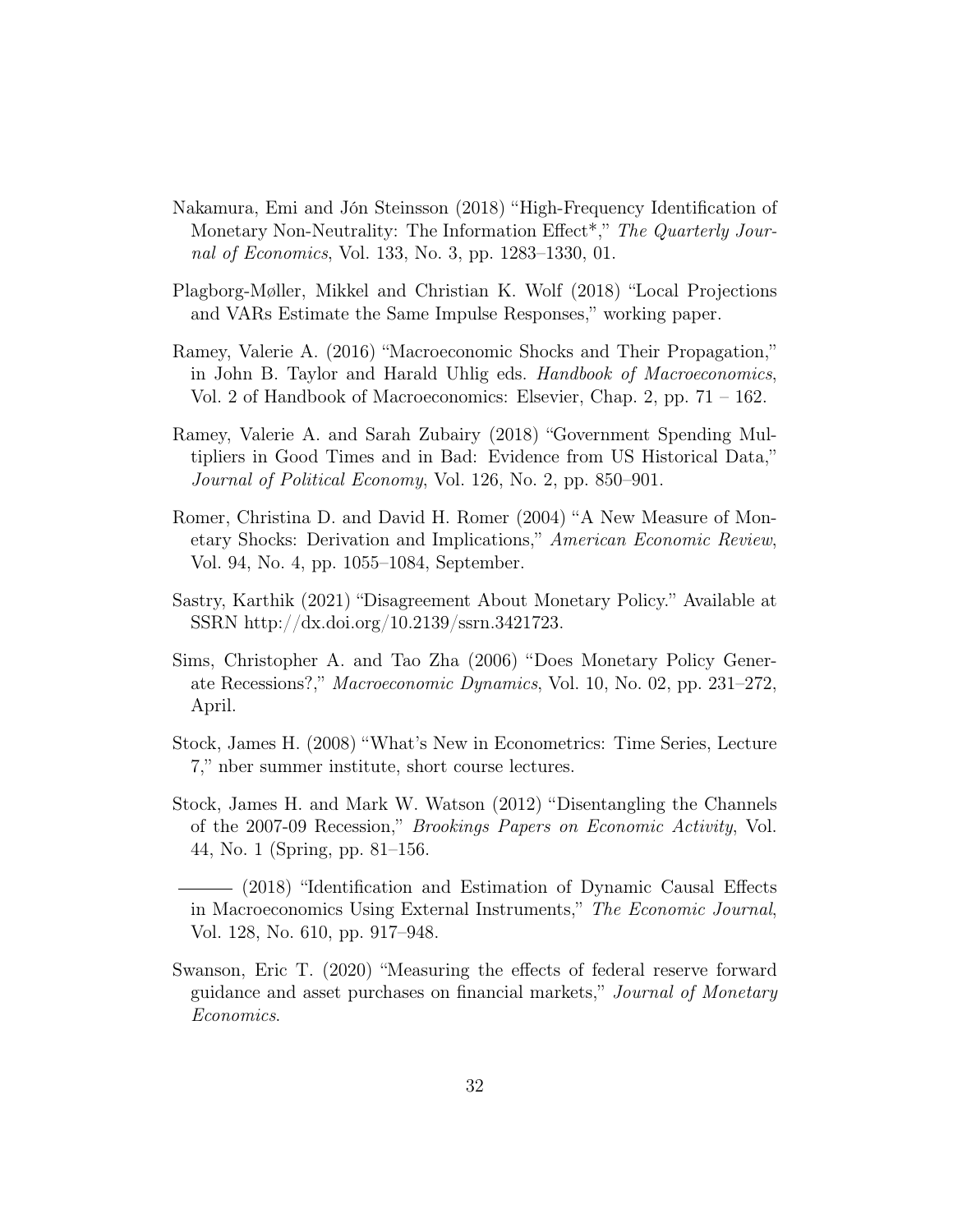- <span id="page-33-9"></span>Nakamura, Emi and Jón Steinsson (2018) "High-Frequency Identification of Monetary Non-Neutrality: The Information Effect<sup>\*</sup>," The Quarterly Journal of Economics, Vol. 133, No. 3, pp. 1283–1330, 01.
- <span id="page-33-8"></span>Plagborg-Møller, Mikkel and Christian K. Wolf (2018) "Local Projections and VARs Estimate the Same Impulse Responses," working paper.
- <span id="page-33-2"></span>Ramey, Valerie A. (2016) "Macroeconomic Shocks and Their Propagation," in John B. Taylor and Harald Uhlig eds. Handbook of Macroeconomics, Vol. 2 of Handbook of Macroeconomics: Elsevier, Chap. 2, pp. 71 – 162.
- <span id="page-33-7"></span>Ramey, Valerie A. and Sarah Zubairy (2018) "Government Spending Multipliers in Good Times and in Bad: Evidence from US Historical Data," Journal of Political Economy, Vol. 126, No. 2, pp. 850–901.
- <span id="page-33-3"></span>Romer, Christina D. and David H. Romer (2004) "A New Measure of Monetary Shocks: Derivation and Implications," American Economic Review, Vol. 94, No. 4, pp. 1055–1084, September.
- <span id="page-33-10"></span>Sastry, Karthik (2021) "Disagreement About Monetary Policy." Available at SSRN http://dx.doi.org/10.2139/ssrn.3421723.
- <span id="page-33-1"></span>Sims, Christopher A. and Tao Zha (2006) "Does Monetary Policy Generate Recessions?," Macroeconomic Dynamics, Vol. 10, No. 02, pp. 231–272, April.
- <span id="page-33-5"></span>Stock, James H. (2008) "What's New in Econometrics: Time Series, Lecture 7," nber summer institute, short course lectures.
- <span id="page-33-6"></span>Stock, James H. and Mark W. Watson (2012) "Disentangling the Channels of the 2007-09 Recession," Brookings Papers on Economic Activity, Vol. 44, No. 1 (Spring, pp. 81–156.
- <span id="page-33-0"></span>(2018) "Identification and Estimation of Dynamic Causal Effects in Macroeconomics Using External Instruments," The Economic Journal, Vol. 128, No. 610, pp. 917–948.
- <span id="page-33-4"></span>Swanson, Eric T. (2020) "Measuring the effects of federal reserve forward guidance and asset purchases on financial markets," Journal of Monetary Economics.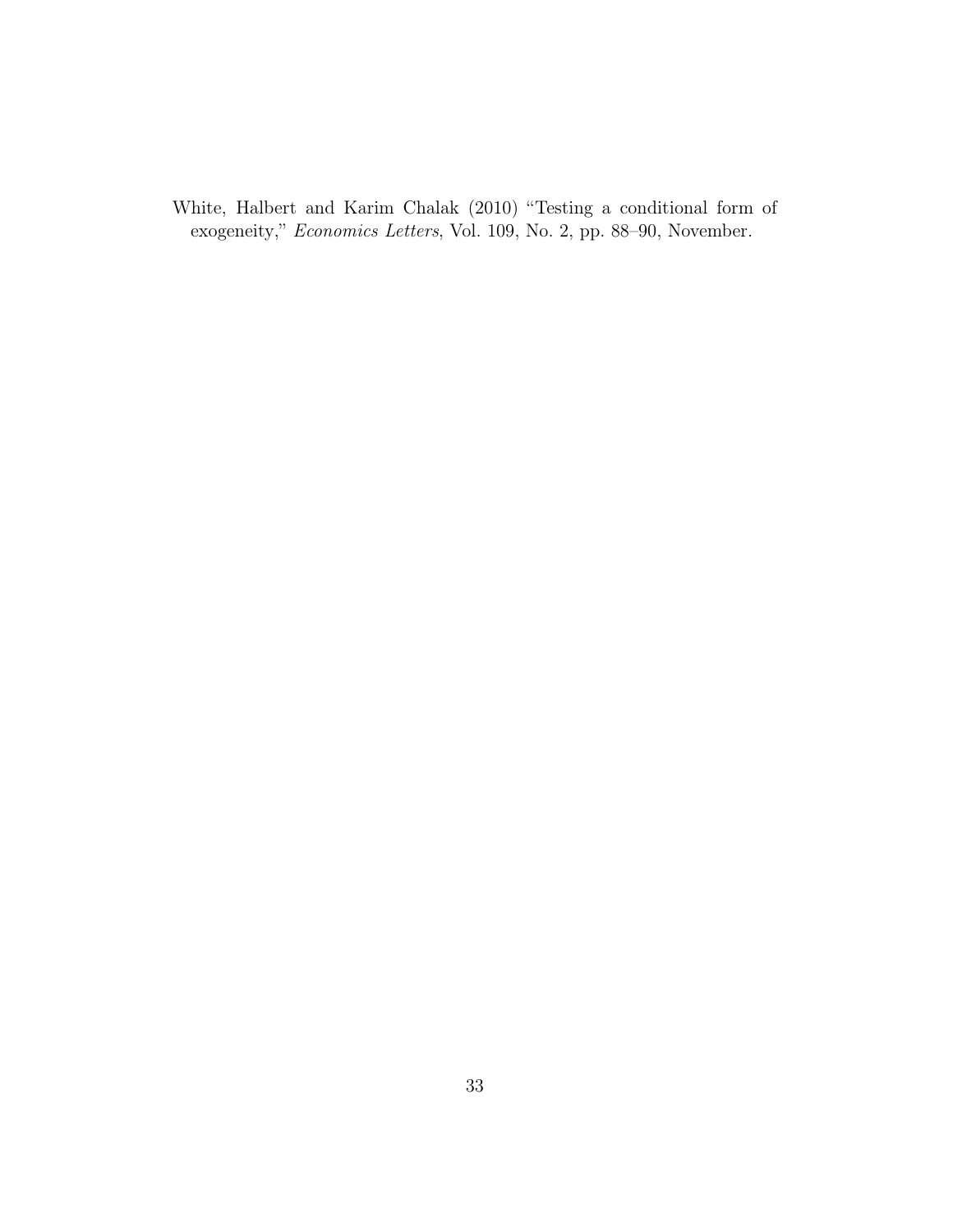<span id="page-34-0"></span>White, Halbert and Karim Chalak (2010) "Testing a conditional form of exogeneity," Economics Letters, Vol. 109, No. 2, pp. 88–90, November.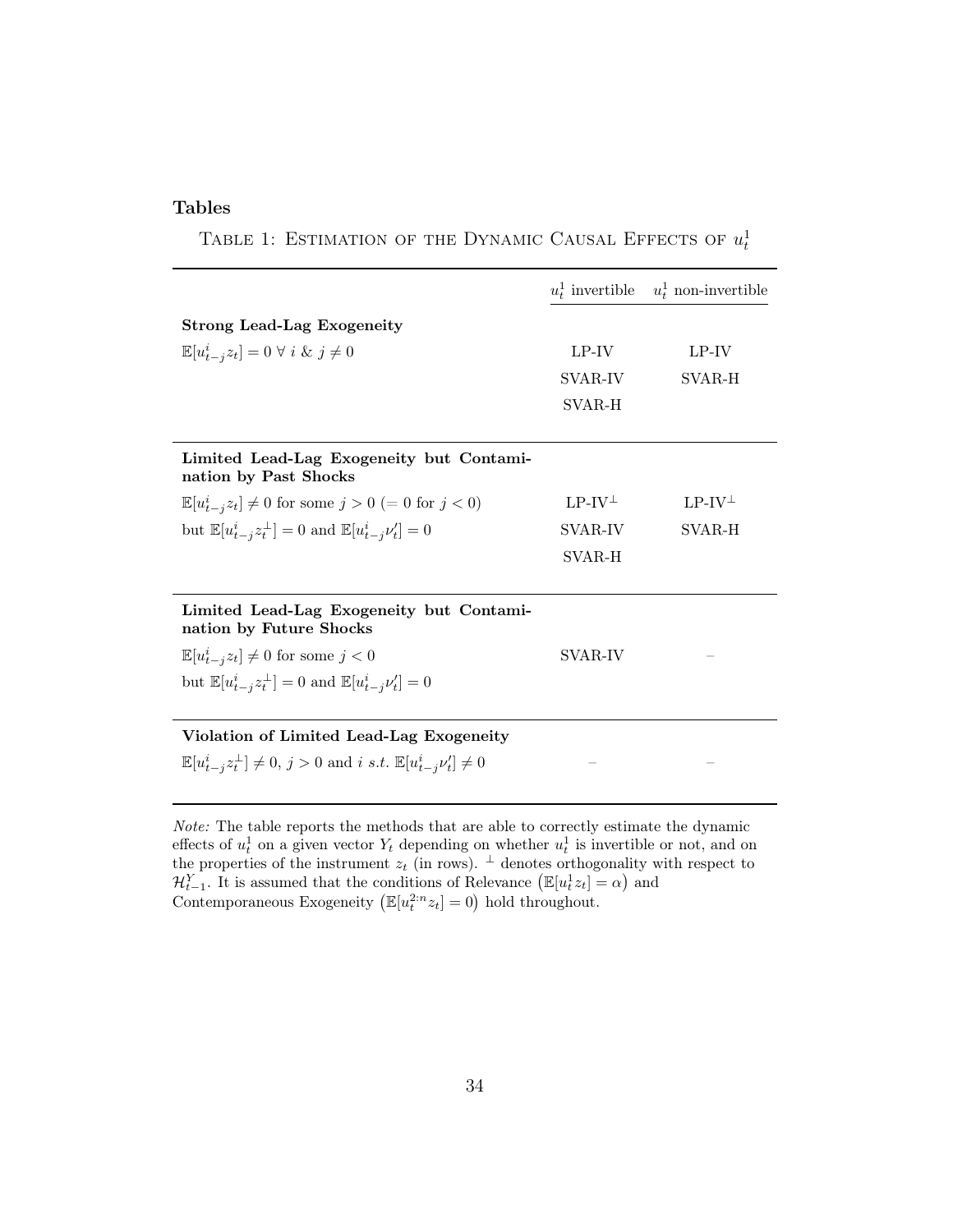#### Tables

TABLE 1: ESTIMATION OF THE DYNAMIC CAUSAL EFFECTS OF  $u_t^1$ 

|                                                                                                    |                 | $u_t^1$ invertible $u_t^1$ non-invertible |
|----------------------------------------------------------------------------------------------------|-----------------|-------------------------------------------|
| <b>Strong Lead-Lag Exogeneity</b>                                                                  |                 |                                           |
| $\mathbb{E}[u_{t-i}^i z_t] = 0 \ \forall i \ \& \ j \neq 0$                                        | LP-IV           | LP-IV                                     |
|                                                                                                    | SVAR-IV         | SVAR-H                                    |
|                                                                                                    | SVAR-H          |                                           |
|                                                                                                    |                 |                                           |
| Limited Lead-Lag Exogeneity but Contami-<br>nation by Past Shocks                                  |                 |                                           |
| $\mathbb{E}[u_{t-j}^i z_t] \neq 0$ for some $j > 0$ (= 0 for $j < 0$ )                             | $LP-IV^{\perp}$ | $LP-IV^{\perp}$                           |
| but $\mathbb{E}[u_{t-i}^i z_t^{\perp}] = 0$ and $\mathbb{E}[u_{t-i}^i \nu_t'] = 0$                 | SVAR-IV         | SVAR-H                                    |
|                                                                                                    | SVAR-H          |                                           |
|                                                                                                    |                 |                                           |
| Limited Lead-Lag Exogeneity but Contami-<br>nation by Future Shocks                                |                 |                                           |
| $\mathbb{E}[u_{t-j}^iz_t]\neq 0$ for some $j<0$                                                    | SVAR-IV         |                                           |
| but $\mathbb{E}[u_{t-i}^i z_t^{\perp}] = 0$ and $\mathbb{E}[u_{t-i}^i \nu_t'] = 0$                 |                 |                                           |
|                                                                                                    |                 |                                           |
| Violation of Limited Lead-Lag Exogeneity                                                           |                 |                                           |
| $\mathbb{E}[u_{t-i}^i z_t^{\perp}] \neq 0, j > 0$ and i s.t. $\mathbb{E}[u_{t-i}^i \nu'_t] \neq 0$ |                 |                                           |

Note: The table reports the methods that are able to correctly estimate the dynamic effects of  $u_t^1$  on a given vector  $Y_t$  depending on whether  $u_t^1$  is invertible or not, and on the properties of the instrument  $z_t$  (in rows).  $\perp$  denotes orthogonality with respect to  $\mathcal{H}_{t-1}^Y$ . It is assumed that the conditions of Relevance  $(\mathbb{E}[u_t^1 z_t] = \alpha)$  and Contemporaneous Exogeneity  $(\mathbb{E}[u_t^{2:n}z_t] = 0)$  hold throughout.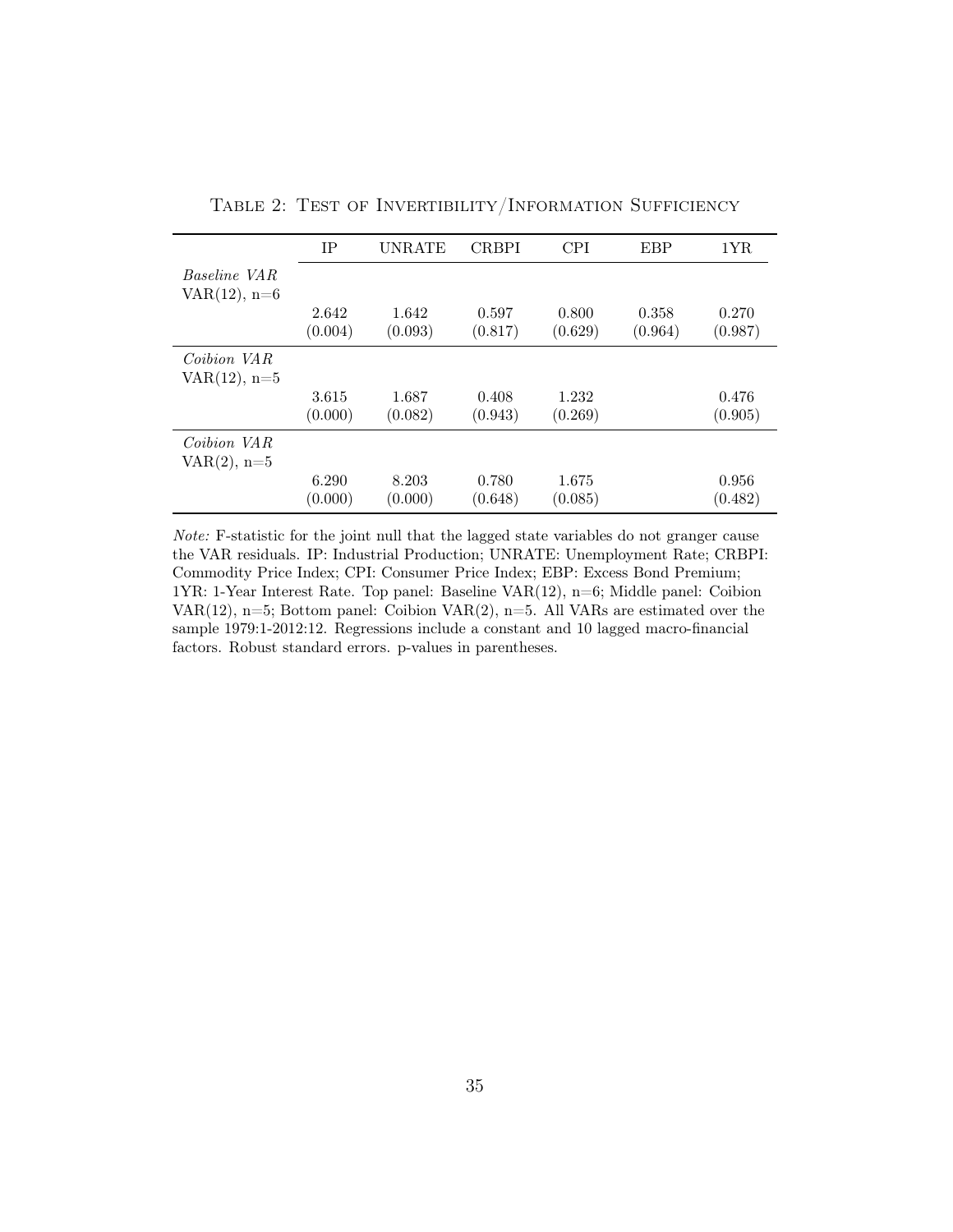| <b>UNRATE</b> | <b>CRBPI</b>                                             | <b>CPI</b> | EBP     | 1YR     |
|---------------|----------------------------------------------------------|------------|---------|---------|
|               |                                                          |            |         |         |
|               |                                                          |            |         |         |
|               |                                                          |            |         |         |
| 1.642         | 0.597                                                    | 0.800      | 0.358   | 0.270   |
| (0.093)       | (0.817)                                                  | (0.629)    | (0.964) | (0.987) |
|               |                                                          |            |         |         |
|               |                                                          |            |         |         |
| 1.687         | 0.408                                                    | 1.232      |         | 0.476   |
| (0.082)       | (0.943)                                                  | (0.269)    |         | (0.905) |
|               |                                                          |            |         |         |
|               |                                                          |            |         |         |
| 8.203         | 0.780                                                    | 1.675      |         | 0.956   |
| (0.000)       | (0.648)                                                  |            |         | (0.482) |
|               | 2.642<br>(0.004)<br>3.615<br>(0.000)<br>6.290<br>(0.000) |            | (0.085) |         |

Table 2: Test of Invertibility/Information Sufficiency

Note: F-statistic for the joint null that the lagged state variables do not granger cause the VAR residuals. IP: Industrial Production; UNRATE: Unemployment Rate; CRBPI: Commodity Price Index; CPI: Consumer Price Index; EBP: Excess Bond Premium; 1YR: 1-Year Interest Rate. Top panel: Baseline VAR(12), n=6; Middle panel: Coibion VAR(12),  $n=5$ ; Bottom panel: Coibion VAR(2),  $n=5$ . All VARs are estimated over the sample 1979:1-2012:12. Regressions include a constant and 10 lagged macro-financial factors. Robust standard errors. p-values in parentheses.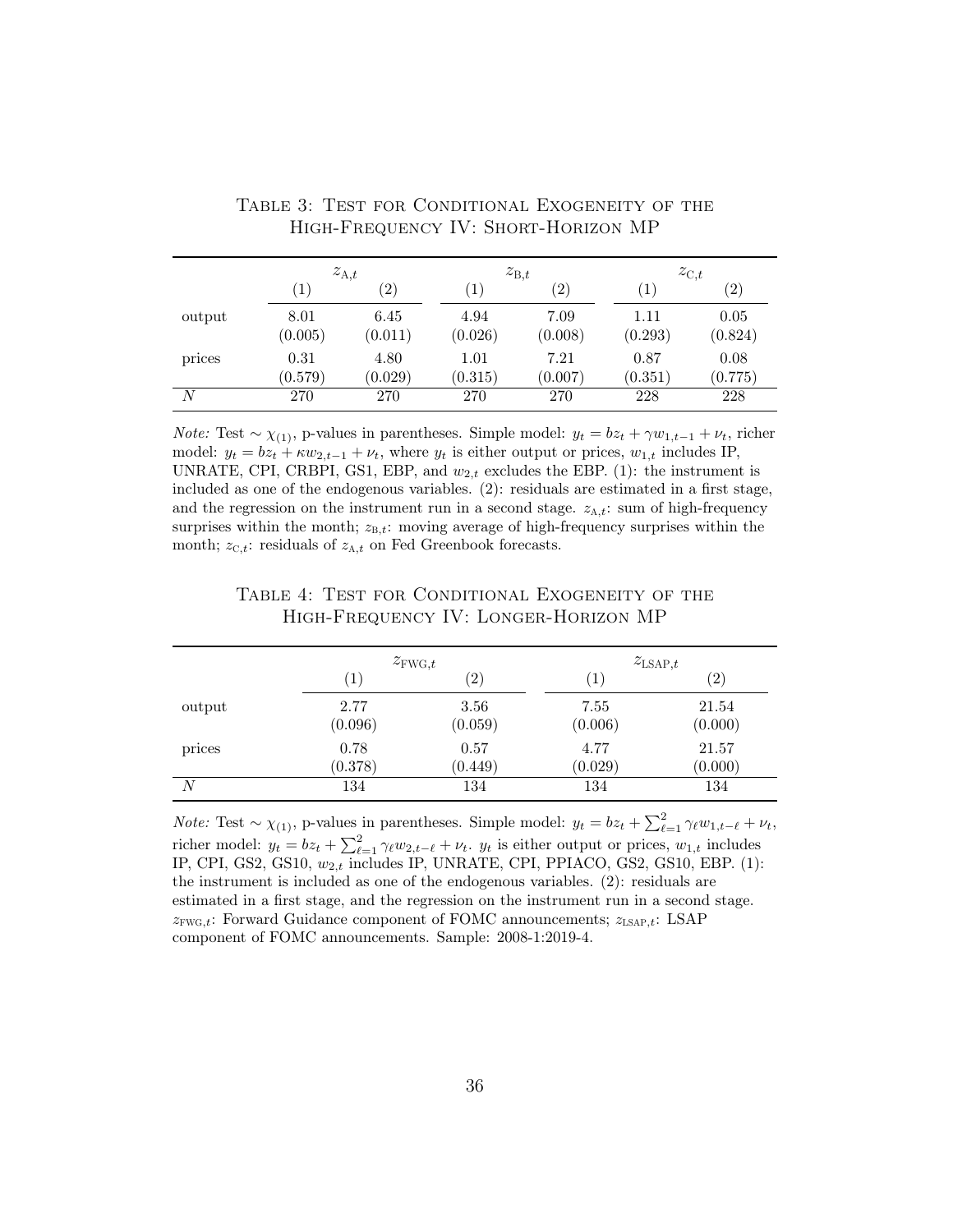|        | $z_{A,t}$        |                   | $z_{B,t}$        |                   | $z_{\mathrm{C},t}$ |                   |
|--------|------------------|-------------------|------------------|-------------------|--------------------|-------------------|
|        | $\left(1\right)$ | $\left( 2\right)$ | $\left(1\right)$ | $\left( 2\right)$ | $\left  \right $   | $\left( 2\right)$ |
| output | 8.01<br>(0.005)  | 6.45<br>(0.011)   | 4.94<br>(0.026)  | 7.09<br>(0.008)   | 1.11<br>(0.293)    | 0.05<br>(0.824)   |
| prices | 0.31<br>(0.579)  | 4.80<br>(0.029)   | 1.01<br>(0.315)  | 7.21<br>(0.007)   | 0.87<br>(0.351)    | 0.08<br>(0.775)   |
| N      | 270              | 270               | 270              | 270               | 228                | 228               |

Table 3: Test for Conditional Exogeneity of the High-Frequency IV: Short-Horizon MP

*Note:* Test ~  $\chi_{(1)}$ , p-values in parentheses. Simple model:  $y_t = bz_t + \gamma w_{1,t-1} + \nu_t$ , richer model:  $y_t = bz_t + \kappa w_{2,t-1} + \nu_t$ , where  $y_t$  is either output or prices,  $w_{1,t}$  includes IP, UNRATE, CPI, CRBPI, GS1, EBP, and  $w_{2,t}$  excludes the EBP. (1): the instrument is included as one of the endogenous variables. (2): residuals are estimated in a first stage, and the regression on the instrument run in a second stage.  $z_{A,t}$ : sum of high-frequency surprises within the month;  $z_{B,t}$ : moving average of high-frequency surprises within the month;  $z_{\text{C},t}$ : residuals of  $z_{\text{A},t}$  on Fed Greenbook forecasts.

|        |                  | $z_{\text{FWG},t}$ |                   | $z_{\text{LSAP},t}$ |  |
|--------|------------------|--------------------|-------------------|---------------------|--|
|        | $\left(1\right)$ | $\left( 2\right)$  | $\left( 1\right)$ | $\left( 2\right)$   |  |
| output | 2.77<br>(0.096)  | 3.56<br>(0.059)    | 7.55<br>(0.006)   | 21.54<br>(0.000)    |  |
| prices | 0.78<br>(0.378)  | 0.57<br>(0.449)    | 4.77<br>(0.029)   | 21.57<br>(0.000)    |  |
| N      | 134              | 134                | 134               | 134                 |  |

#### TABLE 4: TEST FOR CONDITIONAL EXOGENEITY OF THE High-Frequency IV: Longer-Horizon MP

*Note:* Test ~  $\chi_{(1)}$ , p-values in parentheses. Simple model:  $y_t = bz_t + \sum_{\ell=1}^2 \gamma_\ell w_{1,t-\ell} + \nu_t$ , richer model:  $y_t = bz_t + \sum_{\ell=1}^2 \gamma_\ell w_{2,t-\ell} + \nu_t$ .  $y_t$  is either output or prices,  $w_{1,t}$  includes IP, CPI, GS2, GS10,  $w_{2,t}$  includes IP, UNRATE, CPI, PPIACO, GS2, GS10, EBP. (1): the instrument is included as one of the endogenous variables. (2): residuals are estimated in a first stage, and the regression on the instrument run in a second stage.  $z_{\text{FWG},t}$ : Forward Guidance component of FOMC announcements;  $z_{\text{LSAP},t}$ : LSAP component of FOMC announcements. Sample: 2008-1:2019-4.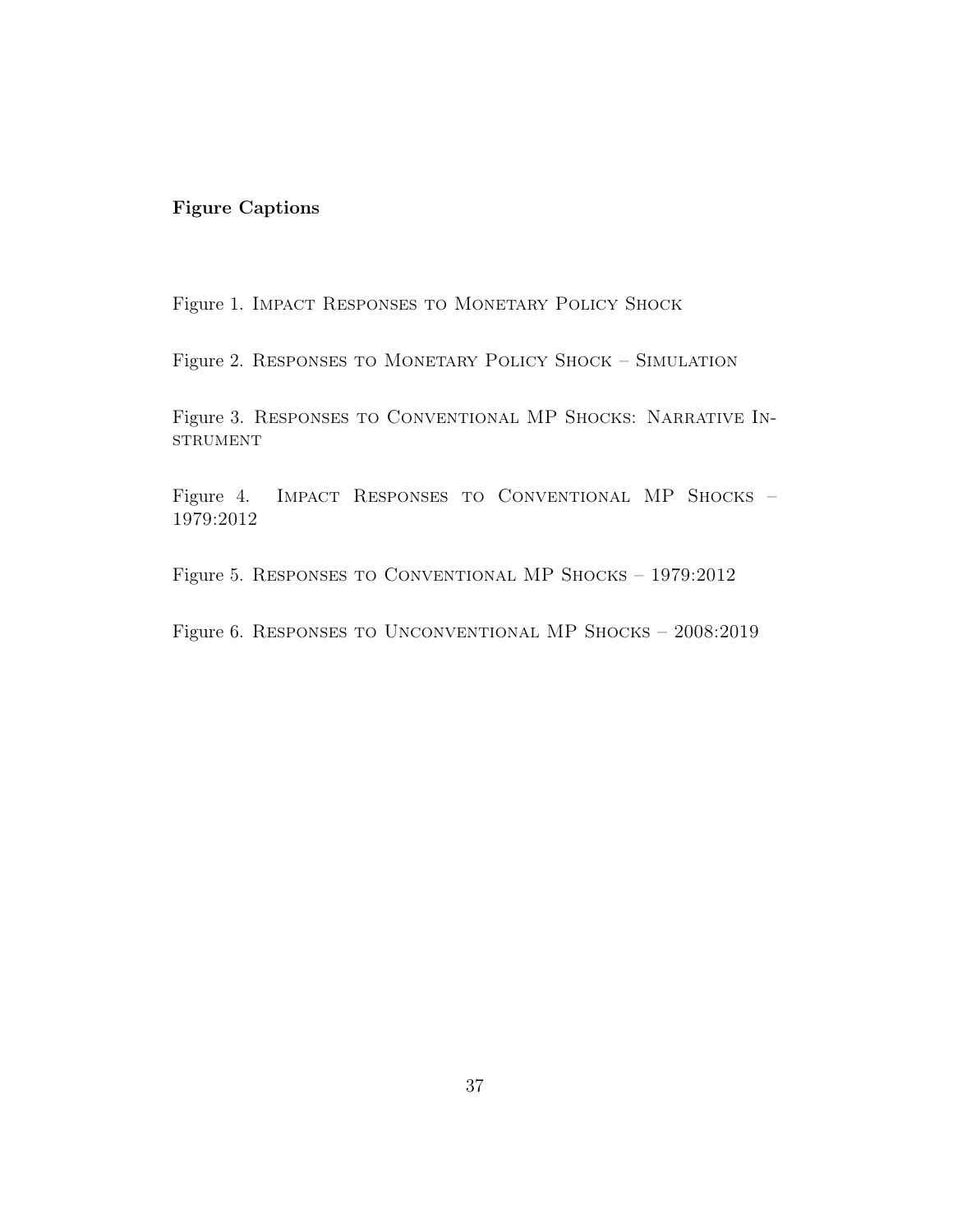### Figure Captions

Figure 1. IMPACT RESPONSES TO MONETARY POLICY SHOCK

Figure 2. RESPONSES TO MONETARY POLICY SHOCK - SIMULATION

Figure 3. Responses to Conventional MP Shocks: Narrative In-**STRUMENT** 

Figure 4. Impact Responses to Conventional MP Shocks – 1979:2012

Figure 5. Responses to Conventional MP Shocks – 1979:2012

Figure 6. Responses to Unconventional MP Shocks – 2008:2019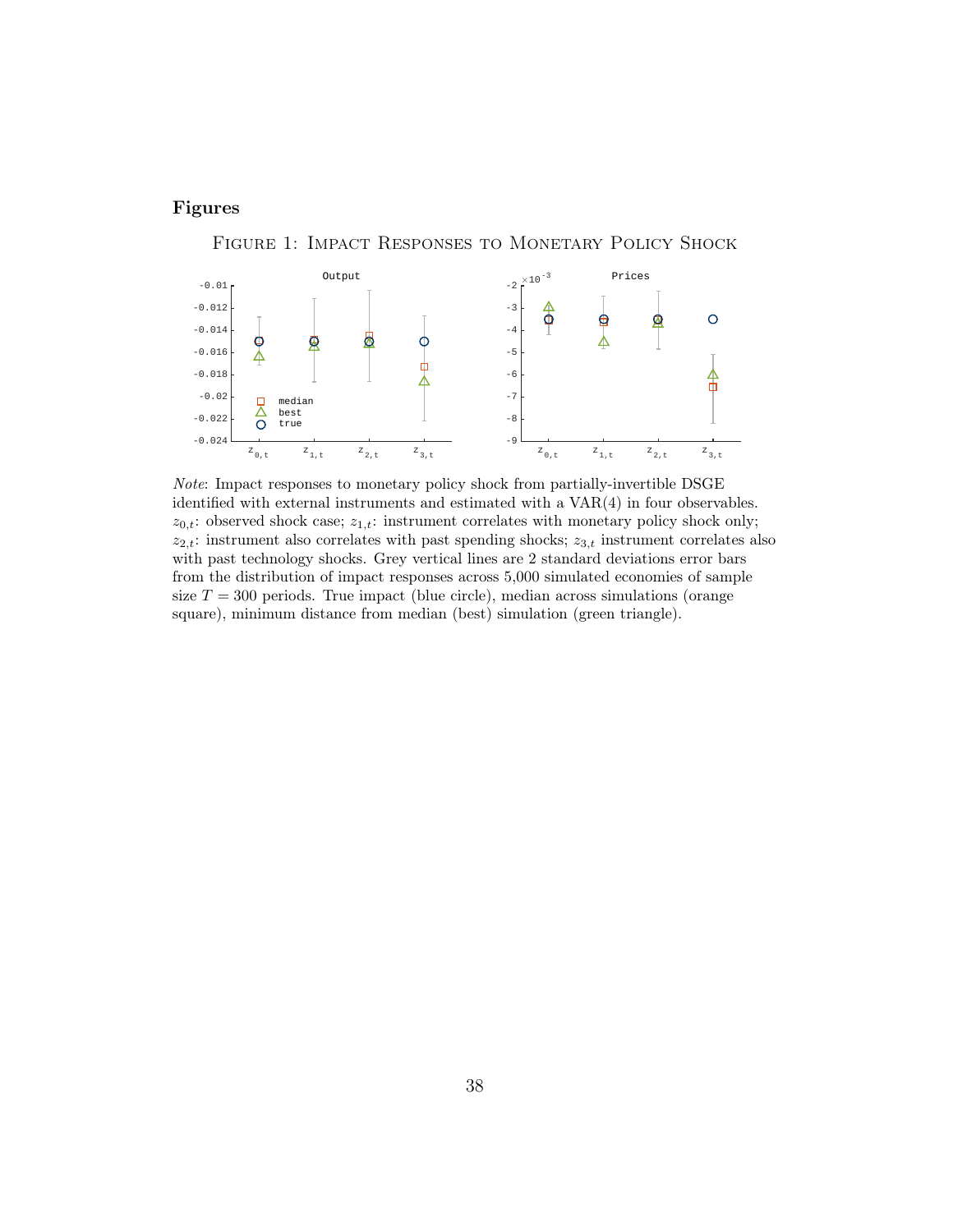#### Figures

Figure 1: Impact Responses to Monetary Policy Shock



Note: Impact responses to monetary policy shock from partially-invertible DSGE identified with external instruments and estimated with a VAR(4) in four observables.  $z_{0,t}$ : observed shock case;  $z_{1,t}$ : instrument correlates with monetary policy shock only;  $z_{2,t}$ : instrument also correlates with past spending shocks;  $z_{3,t}$  instrument correlates also with past technology shocks. Grey vertical lines are 2 standard deviations error bars from the distribution of impact responses across 5,000 simulated economies of sample size  $T = 300$  periods. True impact (blue circle), median across simulations (orange square), minimum distance from median (best) simulation (green triangle).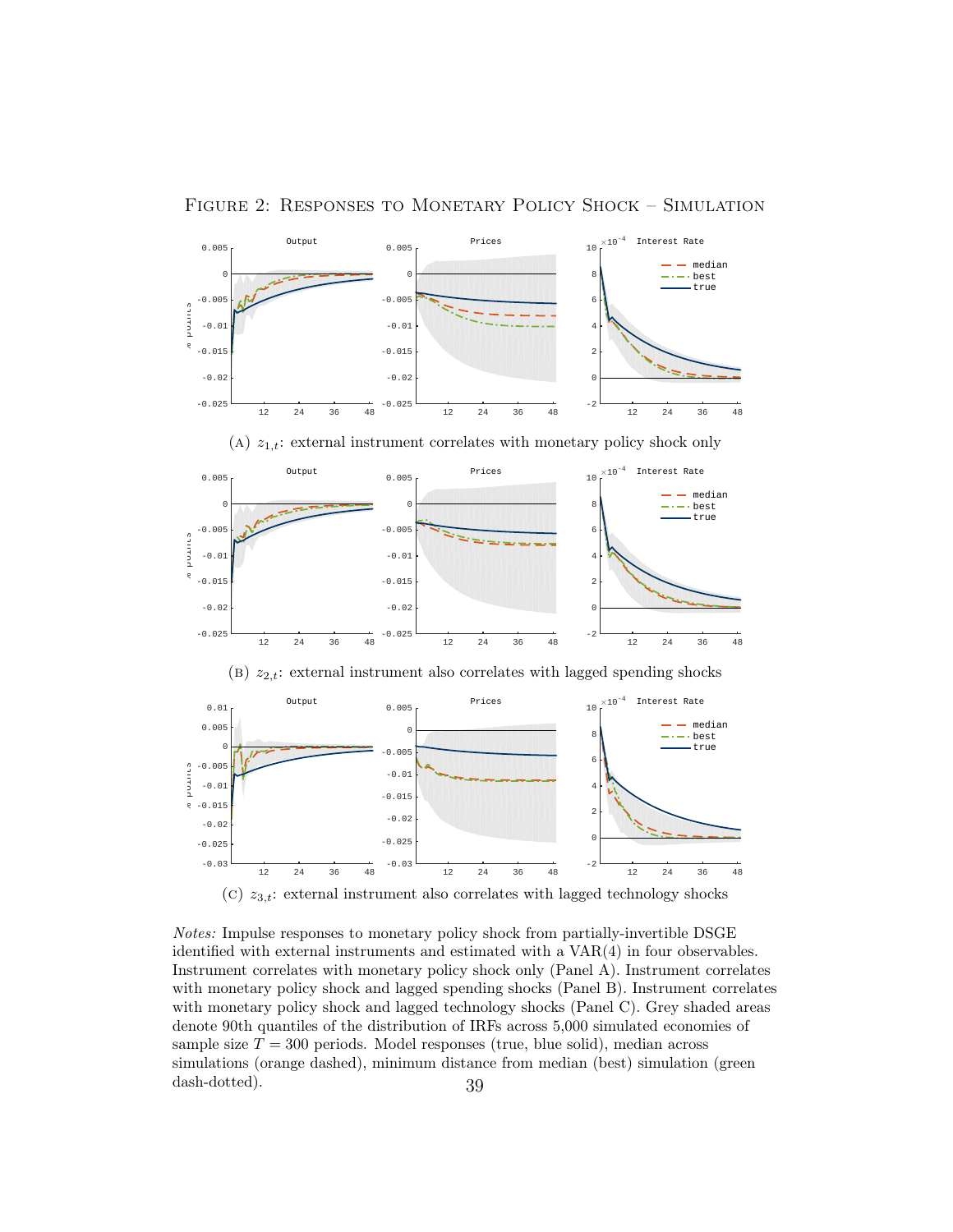Figure 2: Responses to Monetary Policy Shock – Simulation



(c)  $z_{3,t}$ : external instrument also correlates with lagged technology shocks

Notes: Impulse responses to monetary policy shock from partially-invertible DSGE identified with external instruments and estimated with a VAR(4) in four observables. Instrument correlates with monetary policy shock only (Panel A). Instrument correlates with monetary policy shock and lagged spending shocks (Panel B). Instrument correlates with monetary policy shock and lagged technology shocks (Panel C). Grey shaded areas denote 90th quantiles of the distribution of IRFs across 5,000 simulated economies of sample size  $T = 300$  periods. Model responses (true, blue solid), median across simulations (orange dashed), minimum distance from median (best) simulation (green dash-dotted). 39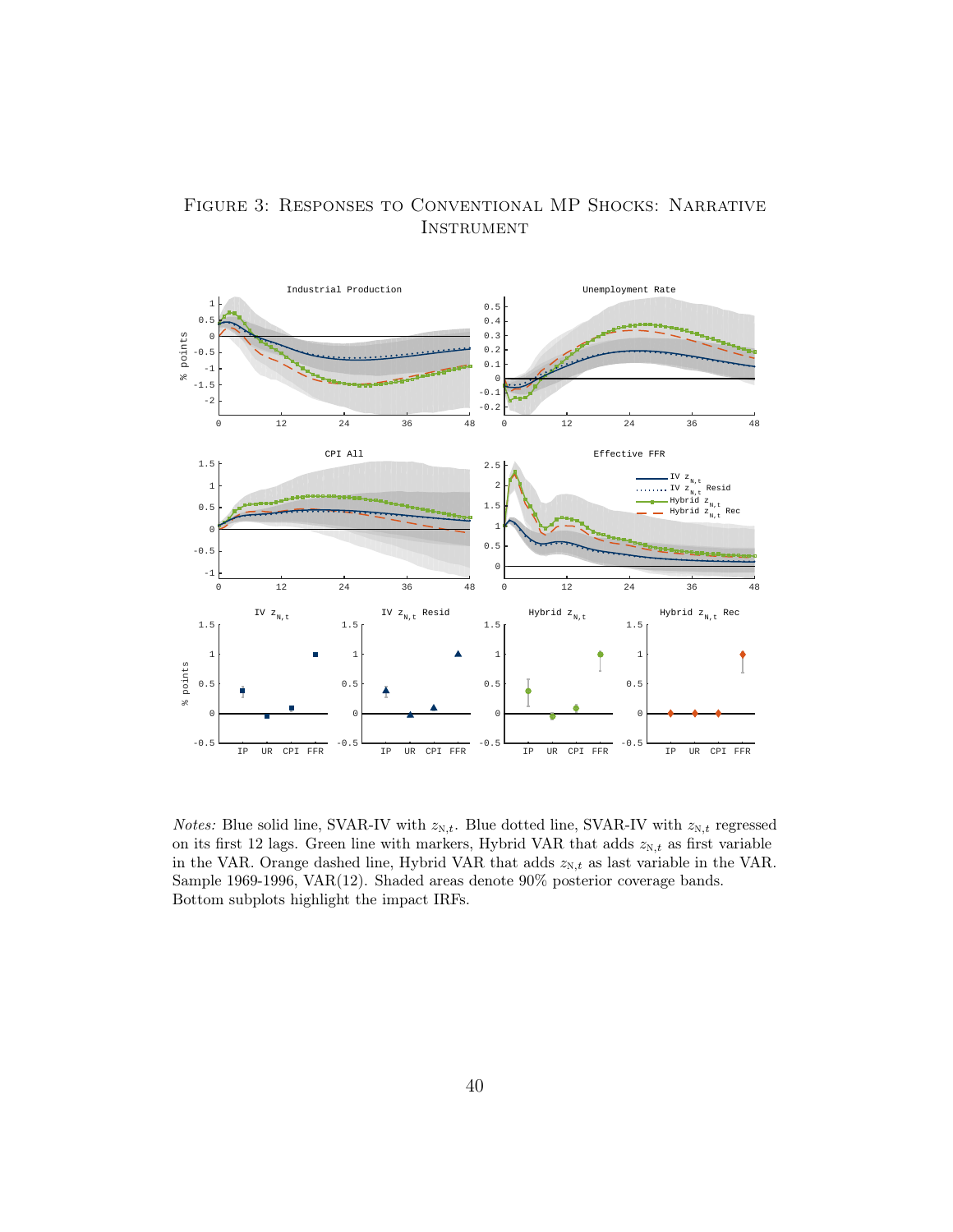

Figure 3: Responses to Conventional MP Shocks: Narrative **INSTRUMENT** 

*Notes:* Blue solid line, SVAR-IV with  $z_{N,t}$ . Blue dotted line, SVAR-IV with  $z_{N,t}$  regressed on its first 12 lags. Green line with markers, Hybrid VAR that adds  $z_{\mathrm{N},t}$  as first variable in the VAR. Orange dashed line, Hybrid VAR that adds  $z_{N,t}$  as last variable in the VAR. Sample 1969-1996, VAR(12). Shaded areas denote 90% posterior coverage bands. Bottom subplots highlight the impact IRFs.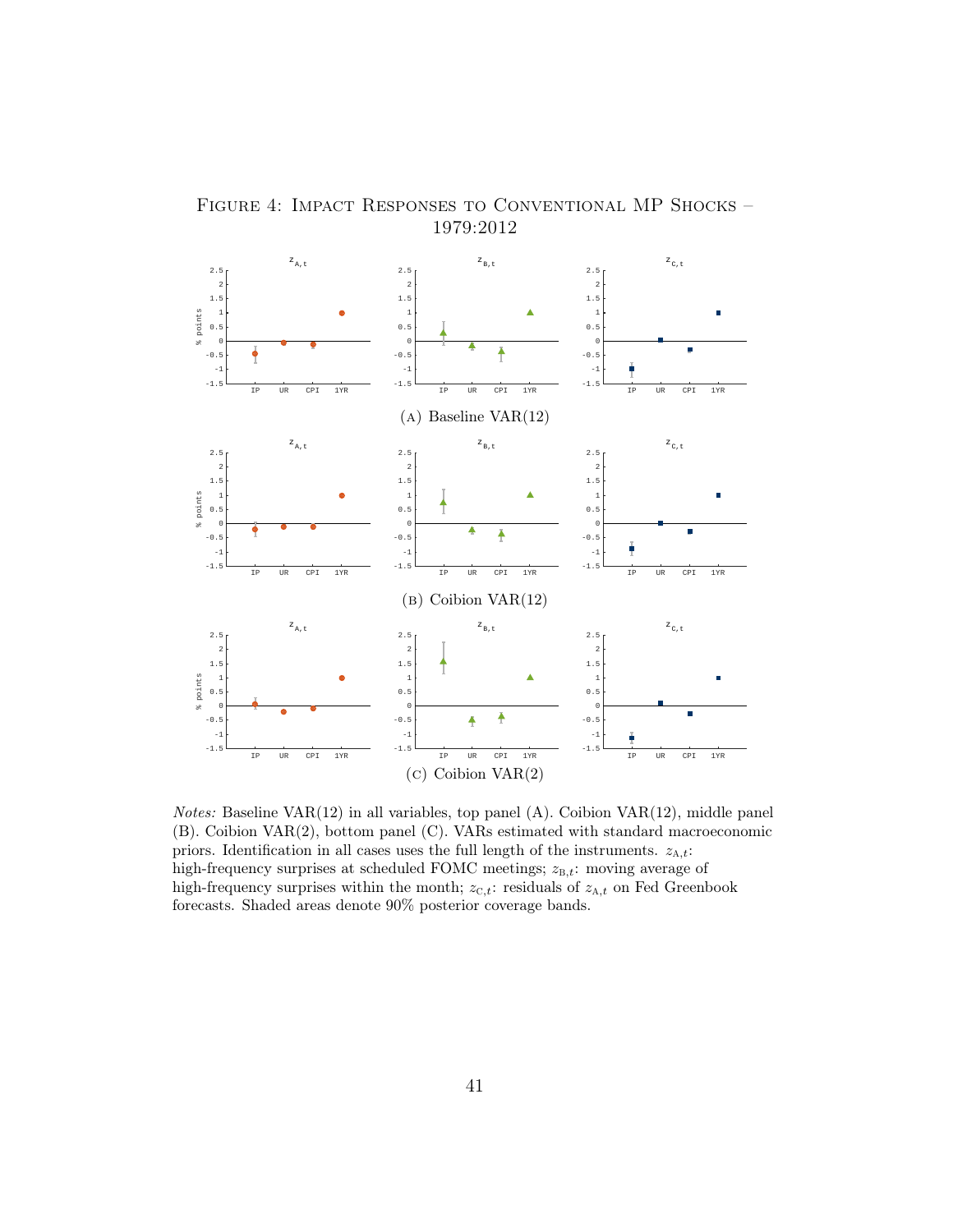

FIGURE 4: IMPACT RESPONSES TO CONVENTIONAL MP SHOCKS – 1979:2012

 $Notes: Baseline VAR(12)$  in all variables, top panel  $(A)$ . Coibion  $VAR(12)$ , middle panel (B). Coibion VAR(2), bottom panel (C). VARs estimated with standard macroeconomic priors. Identification in all cases uses the full length of the instruments.  $z_{A,t}$ : high-frequency surprises at scheduled FOMC meetings;  $z_{B,t}$ : moving average of high-frequency surprises within the month;  $z_{\text{C},t}$ : residuals of  $z_{\text{A},t}$  on Fed Greenbook forecasts. Shaded areas denote 90% posterior coverage bands.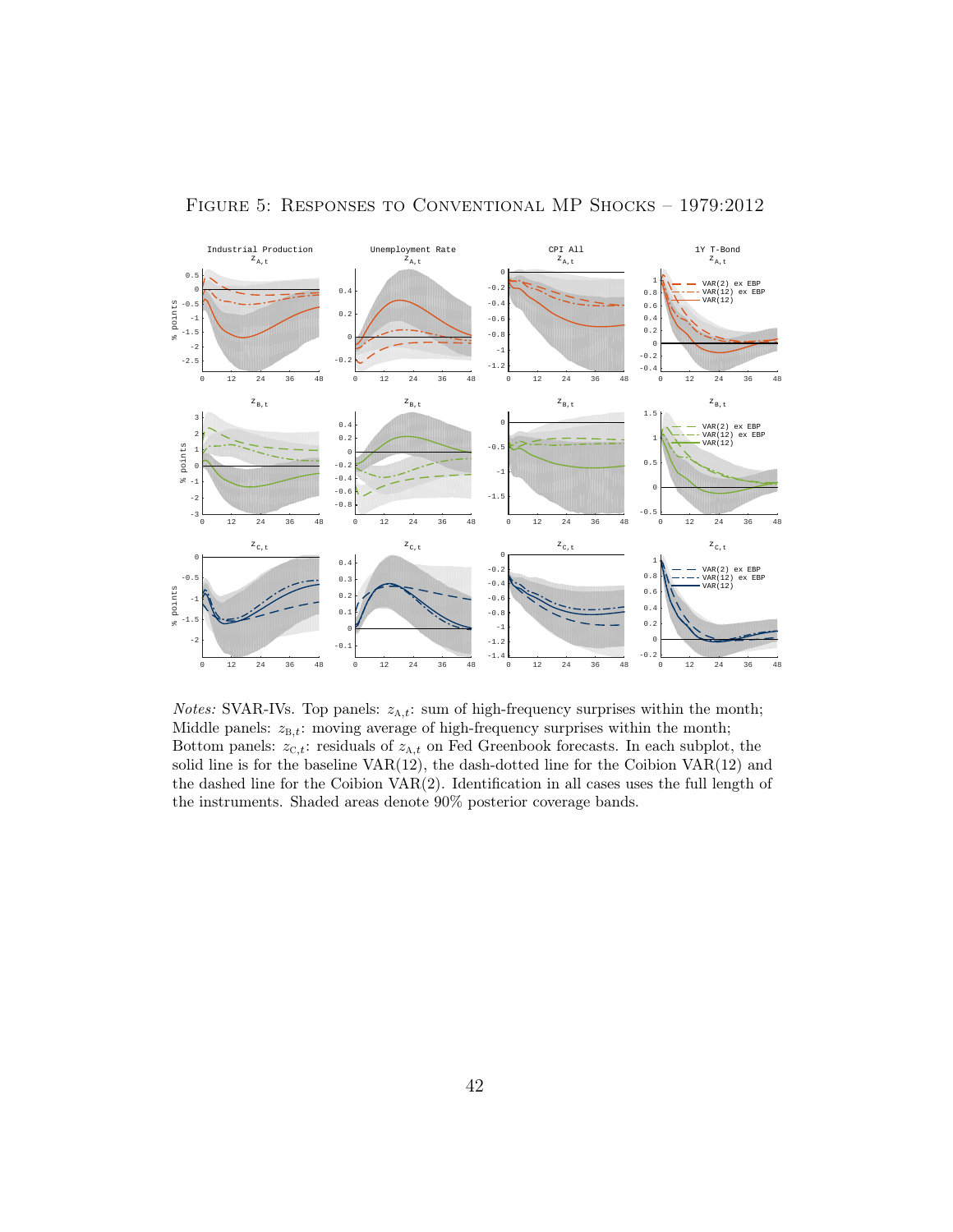

Figure 5: Responses to Conventional MP Shocks – 1979:2012

*Notes:* SVAR-IVs. Top panels:  $z_{A,t}$ : sum of high-frequency surprises within the month; Middle panels:  $z_{B,t}$ : moving average of high-frequency surprises within the month; Bottom panels:  $z_{C,t}$ : residuals of  $z_{A,t}$  on Fed Greenbook forecasts. In each subplot, the solid line is for the baseline VAR(12), the dash-dotted line for the Coibion VAR(12) and the dashed line for the Coibion  $VAR(2)$ . Identification in all cases uses the full length of the instruments. Shaded areas denote 90% posterior coverage bands.